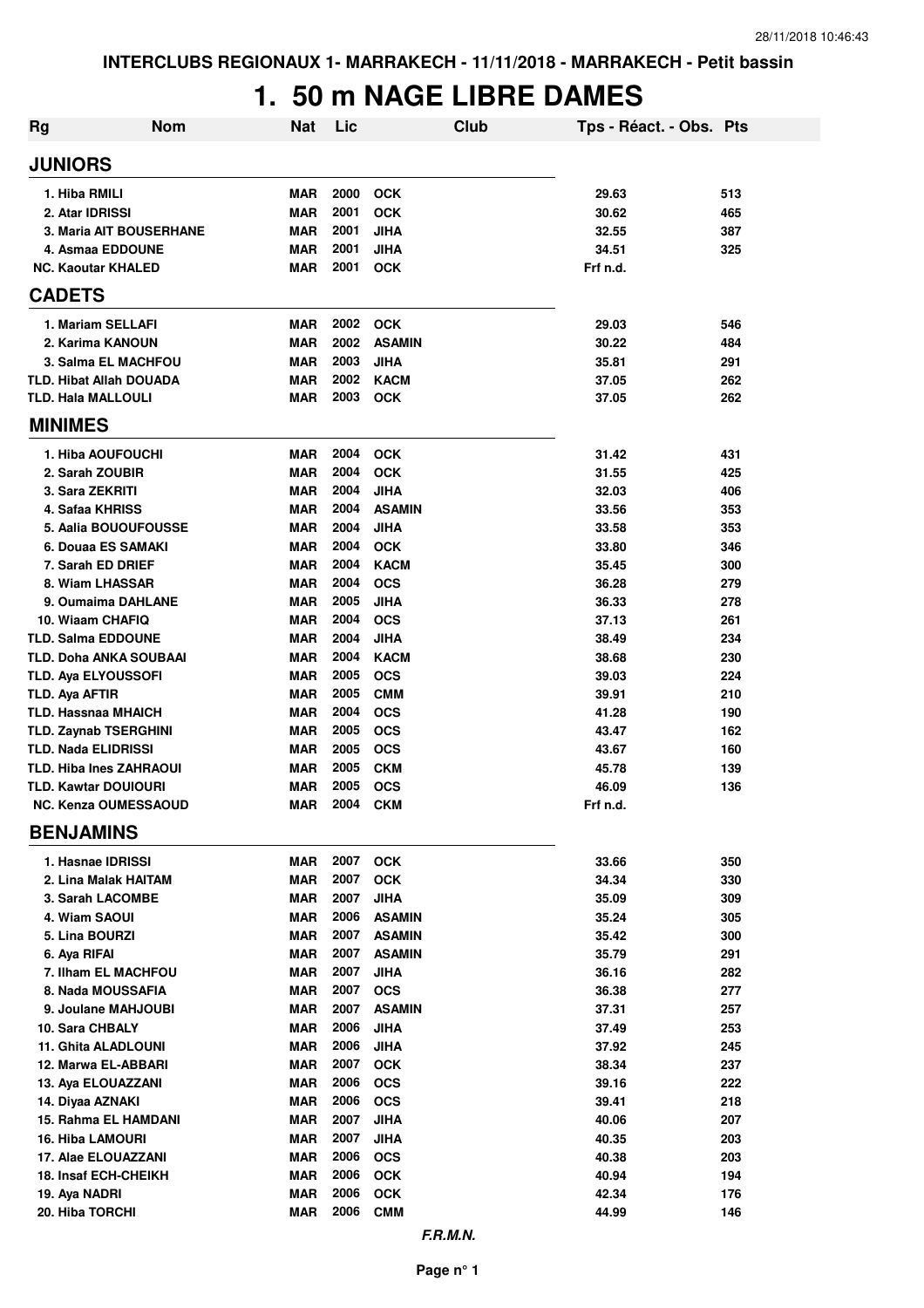## **1. 50 m NAGE LIBRE DAMES**

| <b>Rg</b>                       | <b>Nom</b>                     | <b>Nat</b>               | Lic          |                                | Club | Tps - Réact. - Obs. Pts |            |
|---------------------------------|--------------------------------|--------------------------|--------------|--------------------------------|------|-------------------------|------------|
| <b>JUNIORS</b>                  |                                |                          |              |                                |      |                         |            |
| 1. Hiba RMILI                   |                                | <b>MAR</b>               | 2000         | <b>OCK</b>                     |      | 29.63                   | 513        |
| 2. Atar IDRISSI                 |                                | <b>MAR</b>               | 2001         | <b>OCK</b>                     |      | 30.62                   | 465        |
|                                 | <b>3. Maria AIT BOUSERHANE</b> | <b>MAR</b>               | 2001         | <b>JIHA</b>                    |      | 32.55                   | 387        |
|                                 | 4. Asmaa EDDOUNE               | <b>MAR</b>               | 2001         | <b>JIHA</b>                    |      | 34.51                   | 325        |
| <b>NC. Kaoutar KHALED</b>       |                                | MAR                      | 2001         | <b>OCK</b>                     |      | Frf n.d.                |            |
| <b>CADETS</b>                   |                                |                          |              |                                |      |                         |            |
|                                 | 1. Mariam SELLAFI              | <b>MAR</b>               | 2002         | <b>OCK</b>                     |      | 29.03                   | 546        |
|                                 | 2. Karima KANOUN               | <b>MAR</b>               | 2002         | <b>ASAMIN</b>                  |      | 30.22                   | 484        |
|                                 | <b>3. Salma EL MACHFOU</b>     | <b>MAR</b>               | 2003         | <b>JIHA</b>                    |      | 35.81                   | 291        |
|                                 | <b>TLD. Hibat Allah DOUADA</b> | <b>MAR</b>               | 2002         | <b>KACM</b>                    |      | 37.05                   | 262        |
| <b>TLD. Hala MALLOULI</b>       |                                | <b>MAR</b>               | 2003         | <b>OCK</b>                     |      | 37.05                   | 262        |
| <b>MINIMES</b>                  |                                |                          |              |                                |      |                         |            |
|                                 | 1. Hiba AOUFOUCHI              | <b>MAR</b>               | 2004         | <b>OCK</b>                     |      | 31.42                   | 431        |
| 2. Sarah ZOUBIR                 |                                | <b>MAR</b>               | 2004         | <b>OCK</b>                     |      | 31.55                   | 425        |
| 3. Sara ZEKRITI                 |                                | <b>MAR</b>               | 2004         | <b>JIHA</b>                    |      | 32.03                   | 406        |
| 4. Safaa KHRISS                 |                                | <b>MAR</b>               | 2004         | <b>ASAMIN</b>                  |      | 33.56                   | 353        |
|                                 | 5. Aalia BOUOUFOUSSE           | <b>MAR</b>               | 2004         | <b>JIHA</b>                    |      | 33.58                   | 353        |
|                                 | 6. Douaa ES SAMAKI             | <b>MAR</b>               | 2004         | <b>OCK</b>                     |      | 33.80                   | 346        |
| 7. Sarah ED DRIEF               |                                | <b>MAR</b>               | 2004         | <b>KACM</b>                    |      | 35.45                   | 300        |
| 8. Wiam LHASSAR                 |                                | <b>MAR</b>               | 2004         | <b>OCS</b>                     |      | 36.28                   | 279        |
|                                 | 9. Oumaima DAHLANE             | <b>MAR</b>               | 2005         | <b>JIHA</b>                    |      | 36.33                   | 278        |
| 10. Wiaam CHAFIQ                |                                | <b>MAR</b>               | 2004         | <b>OCS</b>                     |      | 37.13                   | 261        |
| <b>TLD. Salma EDDOUNE</b>       |                                | <b>MAR</b>               | 2004         | <b>JIHA</b>                    |      | 38.49                   | 234        |
|                                 | TLD. Doha ANKA SOUBAAI         | <b>MAR</b>               | 2004         | <b>KACM</b>                    |      | 38.68                   | 230        |
| TLD. Aya ELYOUSSOFI             |                                | <b>MAR</b>               | 2005         | <b>OCS</b>                     |      | 39.03                   | 224        |
| TLD. Aya AFTIR                  |                                | <b>MAR</b>               | 2005         | <b>CMM</b>                     |      | 39.91                   | 210        |
| <b>TLD. Hassnaa MHAICH</b>      |                                | <b>MAR</b>               | 2004         | <b>OCS</b>                     |      | 41.28                   | 190        |
|                                 | <b>TLD. Zaynab TSERGHINI</b>   | <b>MAR</b>               | 2005<br>2005 | <b>OCS</b>                     |      | 43.47                   | 162        |
| <b>TLD. Nada ELIDRISSI</b>      | <b>TLD. Hiba Ines ZAHRAOUI</b> | <b>MAR</b><br><b>MAR</b> | 2005         | <b>OCS</b><br><b>CKM</b>       |      | 43.67<br>45.78          | 160<br>139 |
| <b>TLD. Kawtar DOUIOURI</b>     |                                | <b>MAR</b>               | 2005         | <b>OCS</b>                     |      | 46.09                   | 136        |
|                                 | <b>NC. Kenza OUMESSAOUD</b>    | <b>MAR</b>               | 2004         | <b>CKM</b>                     |      | Frf n.d.                |            |
| <b>BENJAMINS</b>                |                                |                          |              |                                |      |                         |            |
|                                 |                                |                          |              |                                |      |                         |            |
| 1. Hasnae IDRISSI               |                                | MAR                      | 2007         | <b>OCK</b>                     |      | 33.66                   | 350        |
|                                 | 2. Lina Malak HAITAM           | <b>MAR</b>               | 2007         | <b>OCK</b>                     |      | 34.34                   | 330        |
|                                 | 3. Sarah LACOMBE               | <b>MAR</b>               | 2007         | <b>JIHA</b>                    |      | 35.09                   | 309        |
| 4. Wiam SAOUI<br>5. Lina BOURZI |                                | <b>MAR</b><br><b>MAR</b> | 2006<br>2007 | <b>ASAMIN</b>                  |      | 35.24<br>35.42          | 305<br>300 |
| 6. Aya RIFAI                    |                                | <b>MAR</b>               | 2007         | <b>ASAMIN</b><br><b>ASAMIN</b> |      | 35.79                   | 291        |
|                                 | 7. Ilham EL MACHFOU            | <b>MAR</b>               | 2007         | <b>JIHA</b>                    |      | 36.16                   | 282        |
|                                 | 8. Nada MOUSSAFIA              | <b>MAR</b>               | 2007         | <b>OCS</b>                     |      | 36.38                   | 277        |
|                                 | 9. Joulane MAHJOUBI            | <b>MAR</b>               | 2007         | <b>ASAMIN</b>                  |      | 37.31                   | 257        |
| 10. Sara CHBALY                 |                                | <b>MAR</b>               | 2006         | <b>JIHA</b>                    |      | 37.49                   | 253        |
|                                 | <b>11. Ghita ALADLOUNI</b>     | MAR                      | 2006         | <b>JIHA</b>                    |      | 37.92                   | 245        |
|                                 | 12. Marwa EL-ABBARI            | MAR                      | 2007         | <b>OCK</b>                     |      | 38.34                   | 237        |
|                                 | 13. Aya ELOUAZZANI             | MAR                      | 2006         | <b>OCS</b>                     |      | 39.16                   | 222        |
| 14. Diyaa AZNAKI                |                                | MAR                      | 2006         | <b>OCS</b>                     |      | 39.41                   | 218        |
|                                 | 15. Rahma EL HAMDANI           | MAR                      | 2007         | <b>JIHA</b>                    |      | 40.06                   | 207        |
| <b>16. Hiba LAMOURI</b>         |                                | <b>MAR</b>               | 2007         | <b>JIHA</b>                    |      | 40.35                   | 203        |
|                                 | 17. Alae ELOUAZZANI            | MAR                      | 2006         | <b>OCS</b>                     |      | 40.38                   | 203        |
|                                 | 18. Insaf ECH-CHEIKH           | <b>MAR</b>               | 2006         | <b>OCK</b>                     |      | 40.94                   | 194        |
| 19. Aya NADRI                   |                                | <b>MAR</b>               | 2006         | <b>OCK</b>                     |      | 42.34                   | 176        |
| 20. Hiba TORCHI                 |                                | <b>MAR</b>               | 2006         | <b>CMM</b>                     |      | 44.99                   | 146        |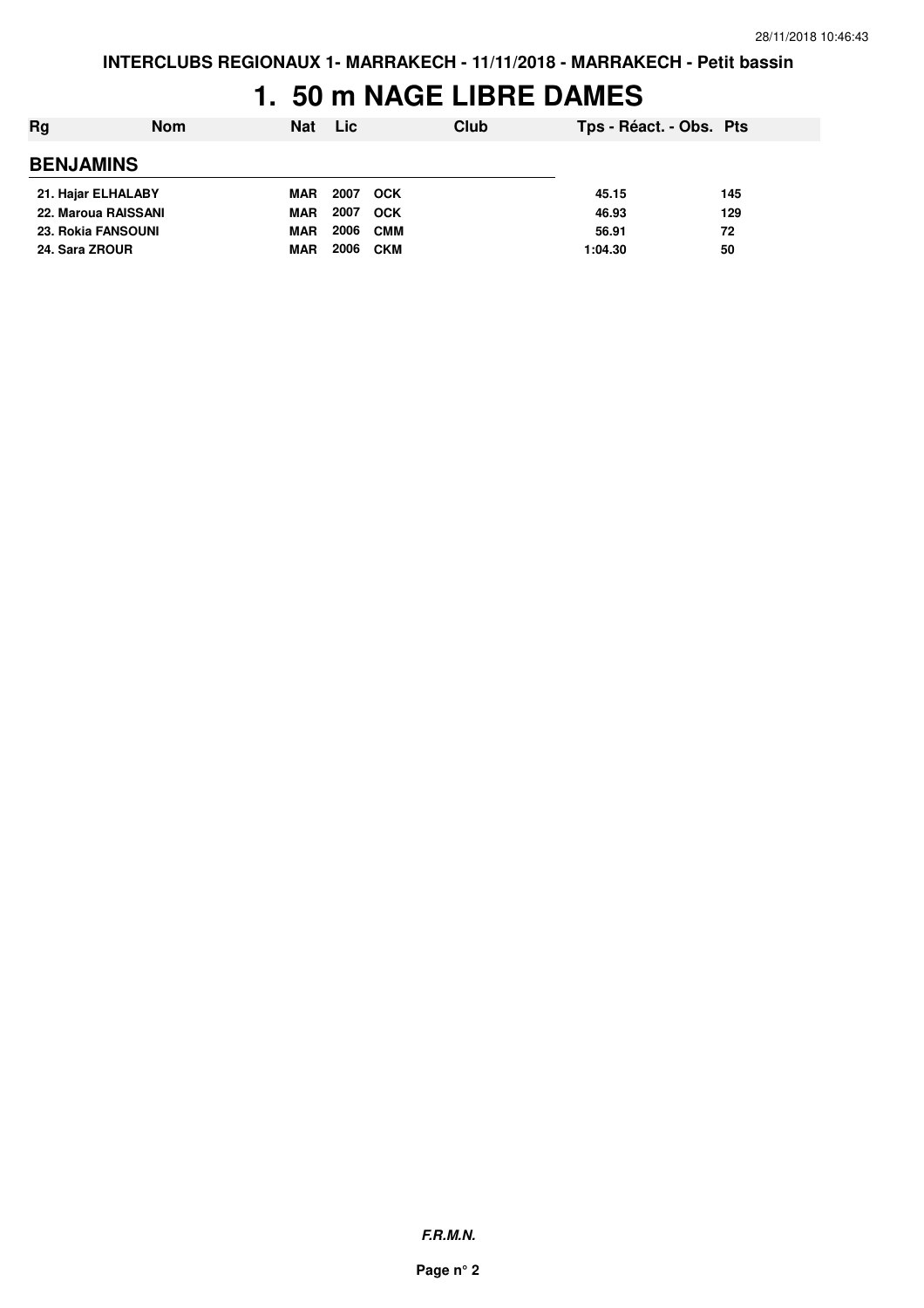### **1. 50 m NAGE LIBRE DAMES**

| Rg<br><b>Nom</b>          | <b>Nat</b> | <b>Lic</b> |            | Club | Tps - Réact. - Obs. Pts |     |
|---------------------------|------------|------------|------------|------|-------------------------|-----|
| <b>BENJAMINS</b>          |            |            |            |      |                         |     |
| 21. Hajar ELHALABY        | MAR        | 2007       | <b>OCK</b> |      | 45.15                   | 145 |
| 22. Maroua RAISSANI       | <b>MAR</b> | 2007       | <b>OCK</b> |      | 46.93                   | 129 |
| <b>23. Rokia FANSOUNI</b> | <b>MAR</b> | 2006       | <b>CMM</b> |      | 56.91                   | 72  |
| 24. Sara ZROUR            | <b>MAR</b> | 2006       | <b>CKM</b> |      | 1:04.30                 | 50  |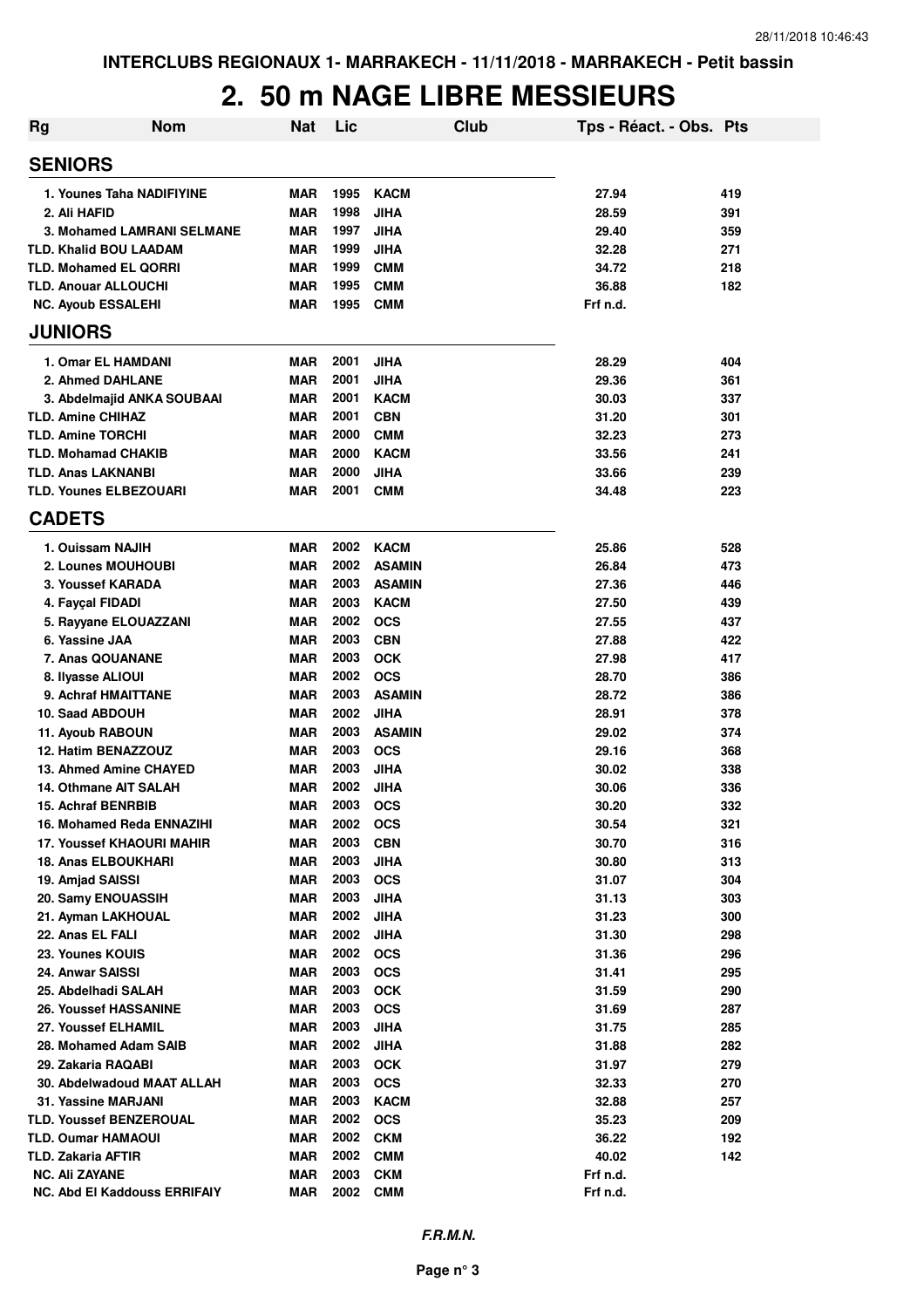# **2. 50 m NAGE LIBRE MESSIEURS**

| Rg | <b>Nom</b>                        | Nat        | Lic  | Club          | Tps - Réact. - Obs. Pts |     |
|----|-----------------------------------|------------|------|---------------|-------------------------|-----|
|    | <b>SENIORS</b>                    |            |      |               |                         |     |
|    | 1. Younes Taha NADIFIYINE         | MAR        | 1995 | <b>KACM</b>   | 27.94                   | 419 |
|    | 2. Ali HAFID                      | <b>MAR</b> | 1998 | <b>JIHA</b>   | 28.59                   | 391 |
|    | <b>3. Mohamed LAMRANI SELMANE</b> | <b>MAR</b> | 1997 | <b>JIHA</b>   | 29.40                   | 359 |
|    | <b>TLD. Khalid BOU LAADAM</b>     | <b>MAR</b> | 1999 | <b>JIHA</b>   | 32.28                   | 271 |
|    | <b>TLD. Mohamed EL QORRI</b>      | <b>MAR</b> | 1999 | <b>CMM</b>    | 34.72                   | 218 |
|    | <b>TLD. Anouar ALLOUCHI</b>       | <b>MAR</b> | 1995 | <b>CMM</b>    | 36.88                   | 182 |
|    | <b>NC. Ayoub ESSALEHI</b>         | MAR        | 1995 | <b>CMM</b>    | Frf n.d.                |     |
|    | <b>JUNIORS</b>                    |            |      |               |                         |     |
|    | 1. Omar EL HAMDANI                | MAR        | 2001 | <b>JIHA</b>   | 28.29                   | 404 |
|    | 2. Ahmed DAHLANE                  | <b>MAR</b> | 2001 | <b>JIHA</b>   | 29.36                   | 361 |
|    | 3. Abdelmajid ANKA SOUBAAI        | <b>MAR</b> | 2001 | <b>KACM</b>   | 30.03                   | 337 |
|    | <b>TLD. Amine CHIHAZ</b>          | <b>MAR</b> | 2001 | <b>CBN</b>    | 31.20                   | 301 |
|    | <b>TLD. Amine TORCHI</b>          | <b>MAR</b> | 2000 | <b>CMM</b>    | 32.23                   | 273 |
|    | <b>TLD. Mohamad CHAKIB</b>        | <b>MAR</b> | 2000 | <b>KACM</b>   | 33.56                   | 241 |
|    | <b>TLD. Anas LAKNANBI</b>         | <b>MAR</b> | 2000 | <b>JIHA</b>   | 33.66                   | 239 |
|    | <b>TLD. Younes ELBEZOUARI</b>     | <b>MAR</b> | 2001 | <b>CMM</b>    | 34.48                   | 223 |
|    | <b>CADETS</b>                     |            |      |               |                         |     |
|    | 1. Ouissam NAJIH                  | MAR        | 2002 | <b>KACM</b>   | 25.86                   | 528 |
|    | 2. Lounes MOUHOUBI                | <b>MAR</b> | 2002 | <b>ASAMIN</b> | 26.84                   | 473 |
|    | 3. Youssef KARADA                 | <b>MAR</b> | 2003 | <b>ASAMIN</b> | 27.36                   | 446 |
|    | 4. Fayçal FIDADI                  | <b>MAR</b> | 2003 | <b>KACM</b>   | 27.50                   | 439 |
|    | 5. Rayyane ELOUAZZANI             | <b>MAR</b> | 2002 | <b>OCS</b>    | 27.55                   | 437 |
|    | 6. Yassine JAA                    | <b>MAR</b> | 2003 | <b>CBN</b>    | 27.88                   | 422 |
|    | 7. Anas QOUANANE                  | <b>MAR</b> | 2003 | <b>OCK</b>    | 27.98                   | 417 |
|    | 8. Ilyasse ALIOUI                 | <b>MAR</b> | 2002 | <b>OCS</b>    | 28.70                   | 386 |
|    | 9. Achraf HMAITTANE               | <b>MAR</b> | 2003 | <b>ASAMIN</b> | 28.72                   | 386 |
|    | 10. Saad ABDOUH                   | <b>MAR</b> | 2002 | <b>JIHA</b>   | 28.91                   | 378 |
|    | 11. Ayoub RABOUN                  | <b>MAR</b> | 2003 | <b>ASAMIN</b> | 29.02                   | 374 |
|    | 12. Hatim BENAZZOUZ               | <b>MAR</b> | 2003 | <b>OCS</b>    | 29.16                   | 368 |
|    | 13. Ahmed Amine CHAYED            | <b>MAR</b> | 2003 | <b>JIHA</b>   | 30.02                   | 338 |
|    | 14. Othmane AIT SALAH             | <b>MAR</b> | 2002 | <b>JIHA</b>   | 30.06                   | 336 |
|    | <b>15. Achraf BENRBIB</b>         | <b>MAR</b> | 2003 | <b>OCS</b>    | 30.20                   | 332 |
|    | 16. Mohamed Reda ENNAZIHI         | <b>MAR</b> | 2002 | <b>OCS</b>    | 30.54                   | 321 |
|    | <b>17. Youssef KHAOURI MAHIR</b>  | MAR        | 2003 | <b>CBN</b>    | 30.70                   | 316 |
|    | <b>18. Anas ELBOUKHARI</b>        | <b>MAR</b> | 2003 | <b>JIHA</b>   | 30.80                   | 313 |
|    | 19. Amjad SAISSI                  | <b>MAR</b> | 2003 | <b>OCS</b>    | 31.07                   | 304 |
|    | 20. Samy ENOUASSIH                |            | 2003 |               |                         |     |
|    |                                   | MAR        | 2002 | <b>JIHA</b>   | 31.13                   | 303 |
|    | 21. Ayman LAKHOUAL                | <b>MAR</b> |      | <b>JIHA</b>   | 31.23                   | 300 |
|    | 22. Anas EL FALI                  | <b>MAR</b> | 2002 | <b>JIHA</b>   | 31.30                   | 298 |
|    | 23. Younes KOUIS                  | <b>MAR</b> | 2002 | <b>OCS</b>    | 31.36                   | 296 |
|    | 24. Anwar SAISSI                  | <b>MAR</b> | 2003 | <b>OCS</b>    | 31.41                   | 295 |
|    | 25. Abdelhadi SALAH               | <b>MAR</b> | 2003 | <b>OCK</b>    | 31.59                   | 290 |
|    | <b>26. Youssef HASSANINE</b>      | <b>MAR</b> | 2003 | <b>OCS</b>    | 31.69                   | 287 |
|    | 27. Youssef ELHAMIL               | <b>MAR</b> | 2003 | <b>JIHA</b>   | 31.75                   | 285 |
|    | 28. Mohamed Adam SAIB             | <b>MAR</b> | 2002 | <b>JIHA</b>   | 31.88                   | 282 |
|    | 29. Zakaria RAQABI                | <b>MAR</b> | 2003 | <b>OCK</b>    | 31.97                   | 279 |
|    | 30. Abdelwadoud MAAT ALLAH        | <b>MAR</b> | 2003 | <b>OCS</b>    | 32.33                   | 270 |
|    | 31. Yassine MARJANI               | MAR        | 2003 | <b>KACM</b>   | 32.88                   | 257 |
|    | <b>TLD. Youssef BENZEROUAL</b>    | MAR        | 2002 | <b>OCS</b>    | 35.23                   | 209 |
|    | <b>TLD. Oumar HAMAOUI</b>         | MAR        | 2002 | <b>CKM</b>    | 36.22                   | 192 |
|    | <b>TLD. Zakaria AFTIR</b>         | <b>MAR</b> | 2002 | <b>CMM</b>    | 40.02                   | 142 |
|    | <b>NC. Ali ZAYANE</b>             | <b>MAR</b> | 2003 | <b>CKM</b>    | Frf n.d.                |     |
|    | NC. Abd El Kaddouss ERRIFAIY      | <b>MAR</b> | 2002 | <b>CMM</b>    | Frf n.d.                |     |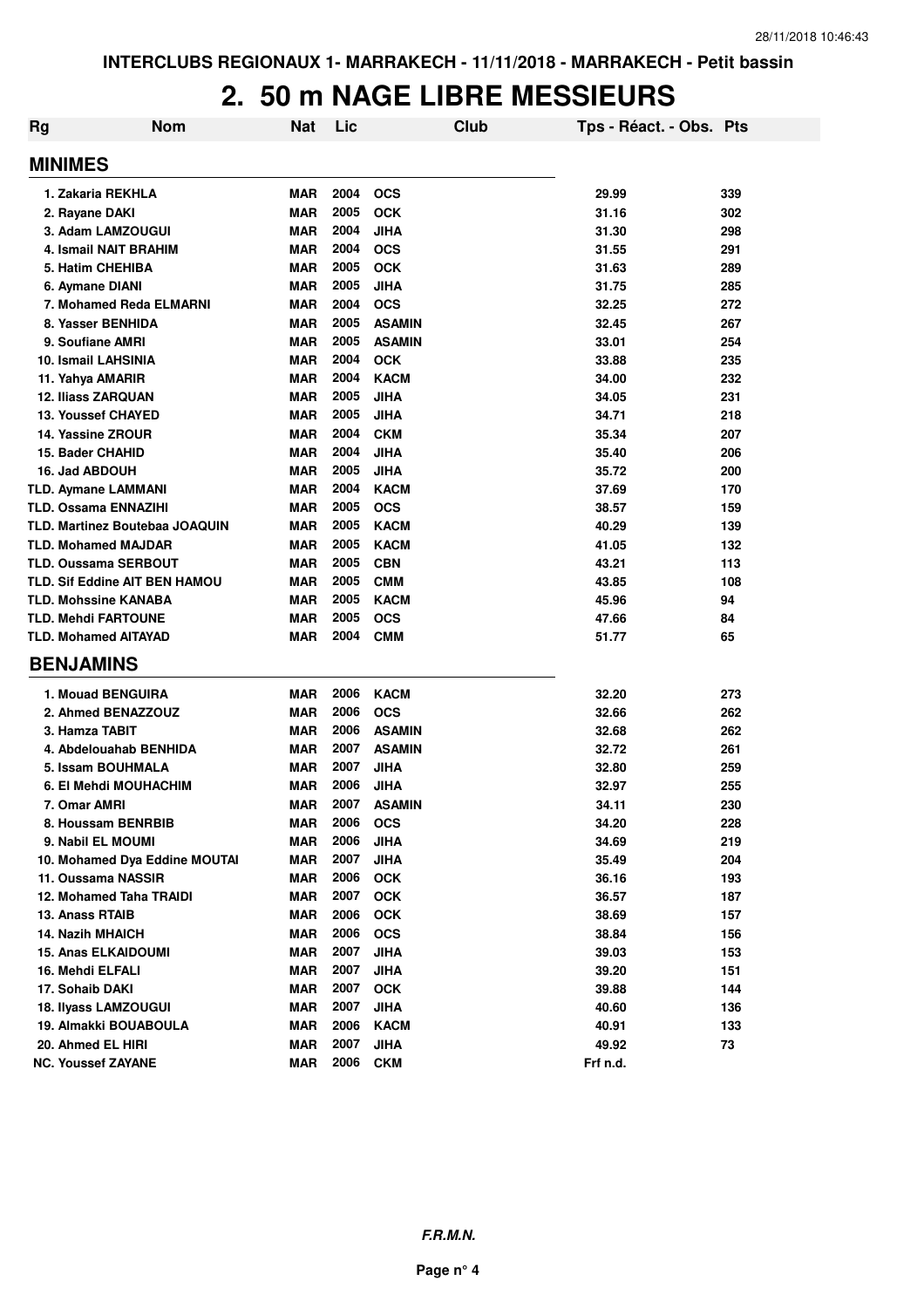#### **2. 50 m NAGE LIBRE MESSIEURS**

| <b>Rg</b> | <b>Nom</b>                           | <b>Nat</b> | Lic  | Club          | Tps - Réact. - Obs. Pts |     |
|-----------|--------------------------------------|------------|------|---------------|-------------------------|-----|
|           | <b>MINIMES</b>                       |            |      |               |                         |     |
|           | 1. Zakaria REKHLA                    | <b>MAR</b> | 2004 | <b>OCS</b>    | 29.99                   | 339 |
|           | 2. Rayane DAKI                       | <b>MAR</b> | 2005 | <b>OCK</b>    | 31.16                   | 302 |
|           | 3. Adam LAMZOUGUI                    | <b>MAR</b> | 2004 | <b>JIHA</b>   | 31.30                   | 298 |
|           | 4. Ismail NAIT BRAHIM                | <b>MAR</b> | 2004 | <b>OCS</b>    | 31.55                   | 291 |
|           | 5. Hatim CHEHIBA                     | <b>MAR</b> | 2005 | <b>OCK</b>    | 31.63                   | 289 |
|           | 6. Aymane DIANI                      | <b>MAR</b> | 2005 | <b>JIHA</b>   | 31.75                   | 285 |
|           | 7. Mohamed Reda ELMARNI              | <b>MAR</b> | 2004 | <b>OCS</b>    | 32.25                   | 272 |
|           | 8. Yasser BENHIDA                    | <b>MAR</b> | 2005 | <b>ASAMIN</b> | 32.45                   | 267 |
|           | 9. Soufiane AMRI                     | <b>MAR</b> | 2005 | <b>ASAMIN</b> | 33.01                   | 254 |
|           | 10. Ismail LAHSINIA                  | <b>MAR</b> | 2004 | <b>OCK</b>    | 33.88                   | 235 |
|           | 11. Yahya AMARIR                     | <b>MAR</b> | 2004 | <b>KACM</b>   | 34.00                   | 232 |
|           | <b>12. Iliass ZARQUAN</b>            | <b>MAR</b> | 2005 | JIHA          | 34.05                   | 231 |
|           | <b>13. Youssef CHAYED</b>            | MAR        | 2005 | JIHA          | 34.71                   | 218 |
|           | 14. Yassine ZROUR                    | <b>MAR</b> | 2004 | <b>CKM</b>    | 35.34                   | 207 |
|           | 15. Bader CHAHID                     | <b>MAR</b> | 2004 | <b>JIHA</b>   | 35.40                   | 206 |
|           | 16. Jad ABDOUH                       | <b>MAR</b> | 2005 | JIHA          | 35.72                   | 200 |
|           | <b>TLD. Aymane LAMMANI</b>           | <b>MAR</b> | 2004 | <b>KACM</b>   | 37.69                   | 170 |
|           | <b>TLD. Ossama ENNAZIHI</b>          | <b>MAR</b> | 2005 | <b>OCS</b>    | 38.57                   | 159 |
|           | TLD. Martinez Boutebaa JOAQUIN       | <b>MAR</b> | 2005 | <b>KACM</b>   | 40.29                   | 139 |
|           | <b>TLD. Mohamed MAJDAR</b>           | <b>MAR</b> | 2005 | <b>KACM</b>   | 41.05                   | 132 |
|           | <b>TLD. Oussama SERBOUT</b>          | <b>MAR</b> | 2005 | <b>CBN</b>    | 43.21                   | 113 |
|           | <b>TLD. Sif Eddine AIT BEN HAMOU</b> | MAR        | 2005 | <b>CMM</b>    | 43.85                   | 108 |
|           | <b>TLD. Mohssine KANABA</b>          | <b>MAR</b> | 2005 | <b>KACM</b>   | 45.96                   | 94  |
|           | <b>TLD. Mehdi FARTOUNE</b>           | MAR        | 2005 | <b>OCS</b>    | 47.66                   | 84  |
|           | <b>TLD. Mohamed AITAYAD</b>          | <b>MAR</b> | 2004 | <b>CMM</b>    | 51.77                   | 65  |
|           | <b>BENJAMINS</b>                     |            |      |               |                         |     |
|           | 1. Mouad BENGUIRA                    | <b>MAR</b> | 2006 | <b>KACM</b>   | 32.20                   | 273 |
|           | 2. Ahmed BENAZZOUZ                   | <b>MAR</b> | 2006 | <b>OCS</b>    | 32.66                   | 262 |
|           | 3. Hamza TABIT                       | <b>MAR</b> | 2006 | <b>ASAMIN</b> | 32.68                   | 262 |
|           | 4. Abdelouahab BENHIDA               | MAR        | 2007 | <b>ASAMIN</b> | 32.72                   | 261 |
|           | 5. Issam BOUHMALA                    | <b>MAR</b> | 2007 | <b>JIHA</b>   | 32.80                   | 259 |
|           | 6. El Mehdi MOUHACHIM                | <b>MAR</b> | 2006 | JIHA          | 32.97                   | 255 |
|           | 7. Omar AMRI                         | <b>MAR</b> | 2007 | <b>ASAMIN</b> | 34.11                   | 230 |
|           | 8. Houssam BENRBIB                   | <b>MAR</b> | 2006 | <b>OCS</b>    | 34.20                   | 228 |
|           | 9. Nabil EL MOUMI                    | <b>MAR</b> | 2006 | <b>JIHA</b>   | 34.69                   | 219 |
|           | 10. Mohamed Dya Eddine MOUTAI        | <b>MAR</b> | 2007 | <b>JIHA</b>   | 35.49                   | 204 |
|           | 11. Oussama NASSIR                   | <b>MAR</b> | 2006 | <b>OCK</b>    | 36.16                   | 193 |
|           | 12. Mohamed Taha TRAIDI              | <b>MAR</b> | 2007 | <b>OCK</b>    | 36.57                   | 187 |
|           | 13. Anass RTAIB                      | <b>MAR</b> | 2006 | <b>OCK</b>    | 38.69                   | 157 |
|           | <b>14. Nazih MHAICH</b>              | <b>MAR</b> | 2006 | <b>OCS</b>    | 38.84                   | 156 |
|           | <b>15. Anas ELKAIDOUMI</b>           | <b>MAR</b> | 2007 | <b>JIHA</b>   | 39.03                   | 153 |
|           | 16. Mehdi ELFALI                     | <b>MAR</b> | 2007 | <b>JIHA</b>   | 39.20                   | 151 |
|           | 17. Sohaib DAKI                      | <b>MAR</b> | 2007 | <b>OCK</b>    | 39.88                   | 144 |
|           | 18. Ilyass LAMZOUGUI                 | <b>MAR</b> | 2007 | <b>JIHA</b>   | 40.60                   | 136 |
|           | 19. Almakki BOUABOULA                | MAR        | 2006 | <b>KACM</b>   | 40.91                   | 133 |
|           | 20. Ahmed EL HIRI                    | <b>MAR</b> | 2007 | <b>JIHA</b>   | 49.92                   | 73  |
|           | <b>NC. Youssef ZAYANE</b>            | <b>MAR</b> | 2006 | <b>CKM</b>    | Frf n.d.                |     |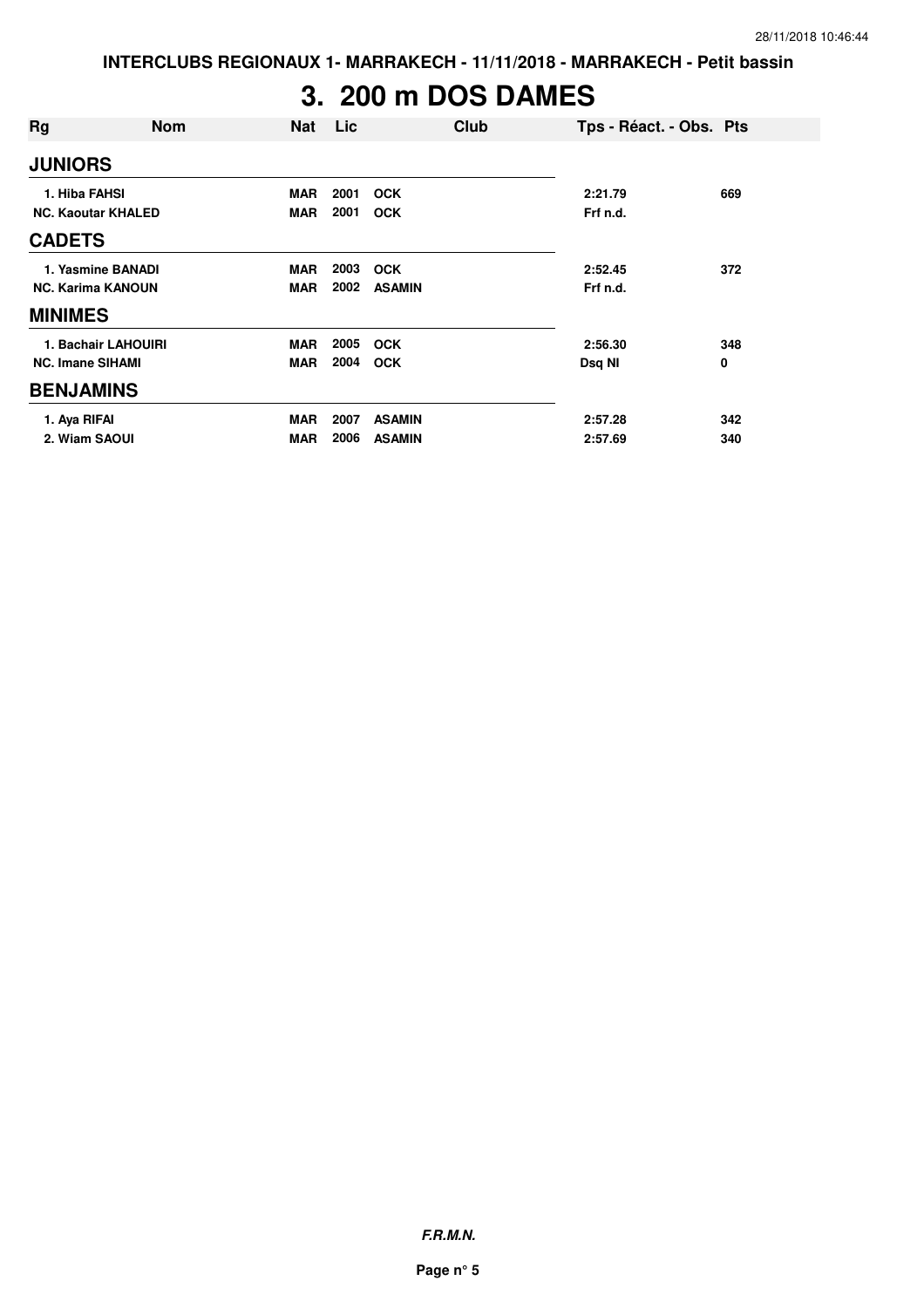**INTERCLUBS REGIONAUX 1- MARRAKECH - 11/11/2018 - MARRAKECH - Petit bassin**

# **3. 200 m DOS DAMES**

| Rg                        | <b>Nom</b>          | <b>Nat</b> | Lic  |               | Club | Tps - Réact. - Obs. Pts |     |
|---------------------------|---------------------|------------|------|---------------|------|-------------------------|-----|
| <b>JUNIORS</b>            |                     |            |      |               |      |                         |     |
| 1. Hiba FAHSI             |                     | <b>MAR</b> | 2001 | <b>OCK</b>    |      | 2:21.79                 | 669 |
| <b>NC. Kaoutar KHALED</b> |                     | <b>MAR</b> | 2001 | <b>OCK</b>    |      | Frf n.d.                |     |
| <b>CADETS</b>             |                     |            |      |               |      |                         |     |
|                           | 1. Yasmine BANADI   | <b>MAR</b> | 2003 | <b>OCK</b>    |      | 2:52.45                 | 372 |
| <b>NC. Karima KANOUN</b>  |                     | <b>MAR</b> | 2002 | <b>ASAMIN</b> |      | Frf n.d.                |     |
| <b>MINIMES</b>            |                     |            |      |               |      |                         |     |
|                           | 1. Bachair LAHOUIRI | <b>MAR</b> | 2005 | <b>OCK</b>    |      | 2:56.30                 | 348 |
| <b>NC. Imane SIHAMI</b>   |                     | <b>MAR</b> | 2004 | <b>OCK</b>    |      | Dsq NI                  | 0   |
| <b>BENJAMINS</b>          |                     |            |      |               |      |                         |     |
| 1. Aya RIFAI              |                     | <b>MAR</b> | 2007 | <b>ASAMIN</b> |      | 2:57.28                 | 342 |
| 2. Wiam SAOUI             |                     | MAR        | 2006 | <b>ASAMIN</b> |      | 2:57.69                 | 340 |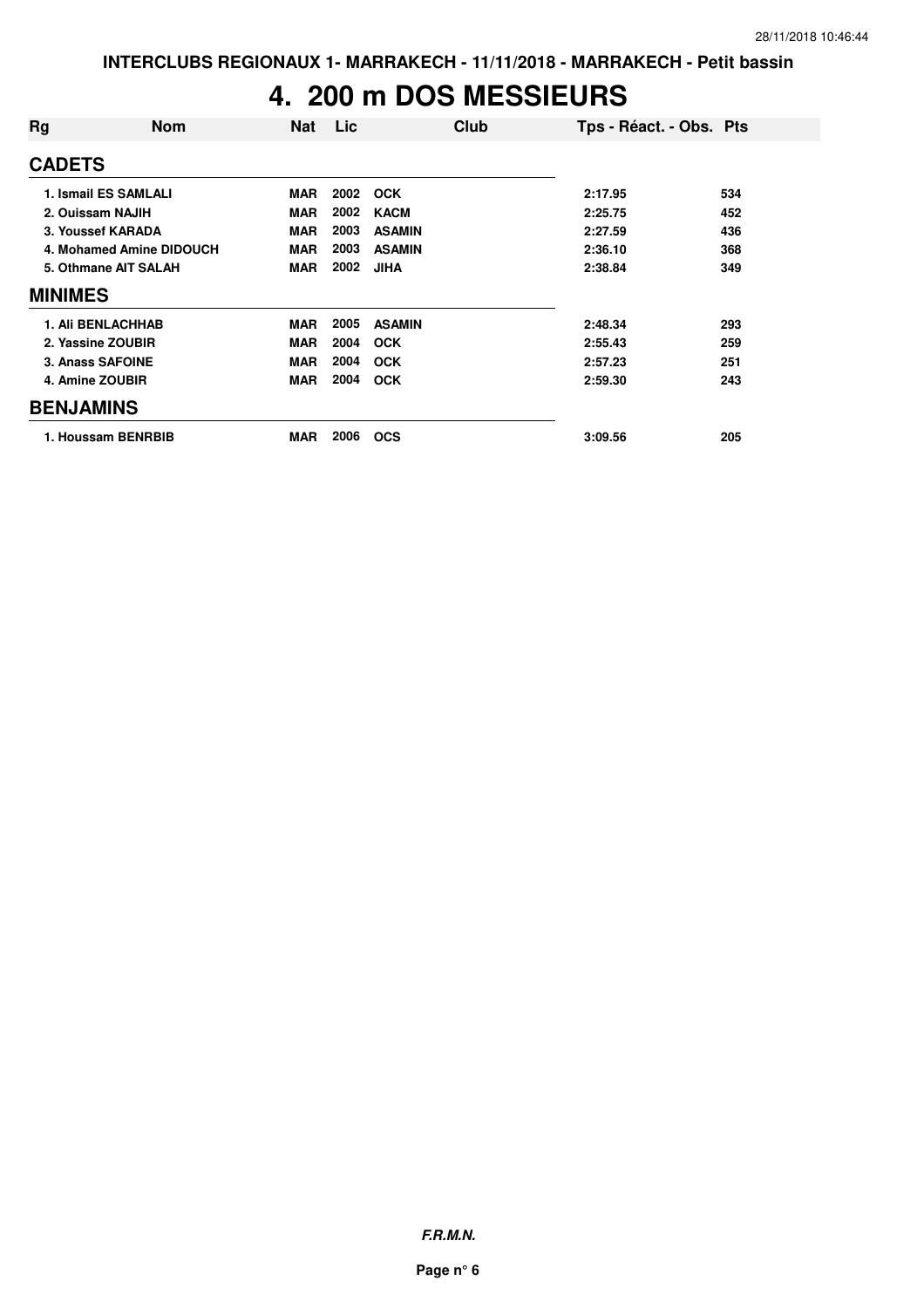#### **4. 200 m DOS MESSIEURS**

| Rg               | <b>Nom</b>               | <b>Nat</b> | Lic  | Club          | Tps - Réact. - Obs. Pts |     |
|------------------|--------------------------|------------|------|---------------|-------------------------|-----|
| <b>CADETS</b>    |                          |            |      |               |                         |     |
|                  | 1. Ismail ES SAMLALI     | <b>MAR</b> | 2002 | <b>OCK</b>    | 2:17.95                 | 534 |
|                  | 2. Ouissam NAJIH         | <b>MAR</b> | 2002 | <b>KACM</b>   | 2:25.75                 | 452 |
|                  | 3. Youssef KARADA        | <b>MAR</b> | 2003 | <b>ASAMIN</b> | 2:27.59                 | 436 |
|                  | 4. Mohamed Amine DIDOUCH | <b>MAR</b> | 2003 | <b>ASAMIN</b> | 2:36.10                 | 368 |
|                  | 5. Othmane AIT SALAH     | <b>MAR</b> | 2002 | <b>JIHA</b>   | 2:38.84                 | 349 |
| <b>MINIMES</b>   |                          |            |      |               |                         |     |
|                  | <b>1. Ali BENLACHHAB</b> | <b>MAR</b> | 2005 | <b>ASAMIN</b> | 2:48.34                 | 293 |
|                  | 2. Yassine ZOUBIR        | <b>MAR</b> | 2004 | <b>OCK</b>    | 2:55.43                 | 259 |
|                  | 3. Anass SAFOINE         | <b>MAR</b> | 2004 | <b>OCK</b>    | 2:57.23                 | 251 |
|                  | 4. Amine ZOUBIR          | <b>MAR</b> | 2004 | <b>OCK</b>    | 2:59.30                 | 243 |
| <b>BENJAMINS</b> |                          |            |      |               |                         |     |
|                  | 1. Houssam BENRBIB       | <b>MAR</b> | 2006 | <b>OCS</b>    | 3:09.56                 | 205 |

**F.R.M.N.**

**Page n° 6**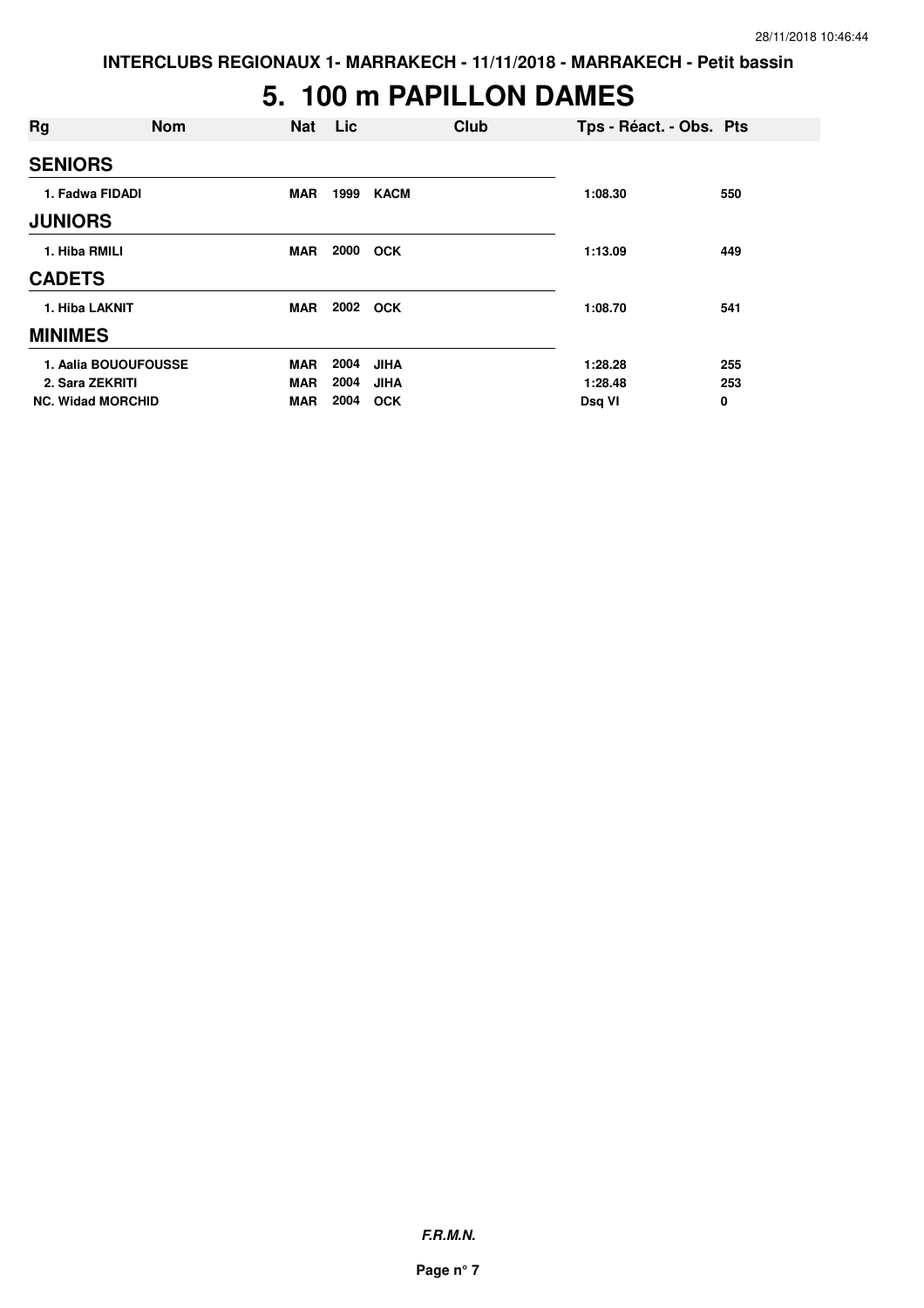#### **5. 100 m PAPILLON DAMES**

| Rg                       | <b>Nom</b> | <b>Nat</b> | Lic  | Club        | Tps - Réact. - Obs. Pts |     |
|--------------------------|------------|------------|------|-------------|-------------------------|-----|
| <b>SENIORS</b>           |            |            |      |             |                         |     |
| 1. Fadwa FIDADI          |            | <b>MAR</b> | 1999 | <b>KACM</b> | 1:08.30                 | 550 |
| <b>JUNIORS</b>           |            |            |      |             |                         |     |
| 1. Hiba RMILI            |            | MAR        | 2000 | <b>OCK</b>  | 1:13.09                 | 449 |
| <b>CADETS</b>            |            |            |      |             |                         |     |
| 1. Hiba LAKNIT           |            | <b>MAR</b> | 2002 | <b>OCK</b>  | 1:08.70                 | 541 |
| <b>MINIMES</b>           |            |            |      |             |                         |     |
| 1. Aalia BOUOUFOUSSE     |            | MAR        | 2004 | <b>JIHA</b> | 1:28.28                 | 255 |
| 2. Sara ZEKRITI          |            | <b>MAR</b> | 2004 | <b>JIHA</b> | 1:28.48                 | 253 |
| <b>NC. Widad MORCHID</b> |            | <b>MAR</b> | 2004 | <b>OCK</b>  | Dsg VI                  | 0   |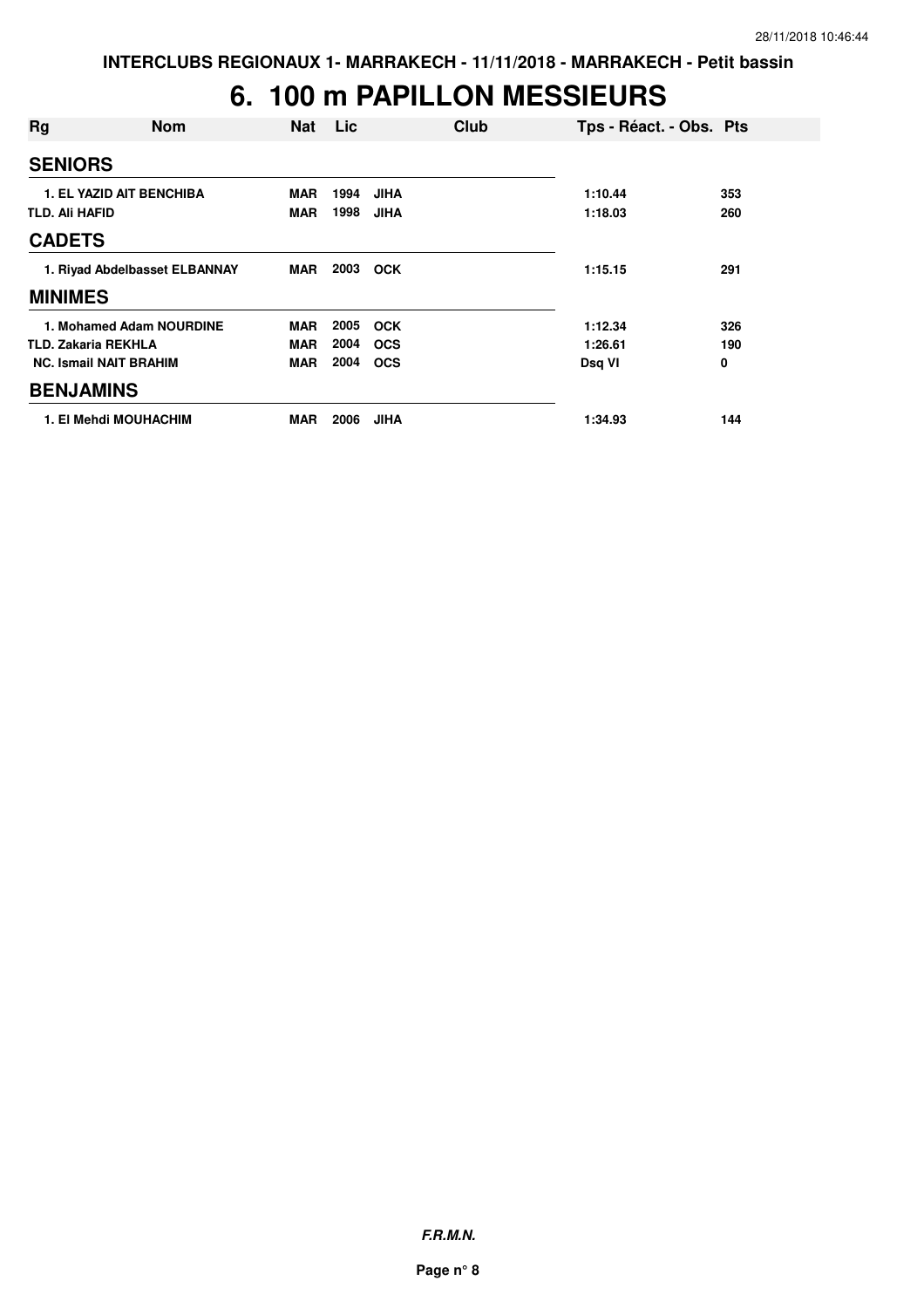### **6. 100 m PAPILLON MESSIEURS**

| Rg                            | <b>Nom</b>                      | <b>Nat</b> | Lic  | Club        | Tps - Réact. - Obs. Pts |     |
|-------------------------------|---------------------------------|------------|------|-------------|-------------------------|-----|
| <b>SENIORS</b>                |                                 |            |      |             |                         |     |
|                               | <b>1. EL YAZID AIT BENCHIBA</b> | <b>MAR</b> | 1994 | <b>JIHA</b> | 1:10.44                 | 353 |
| <b>TLD. Ali HAFID</b>         |                                 | <b>MAR</b> | 1998 | <b>JIHA</b> | 1:18.03                 | 260 |
| <b>CADETS</b>                 |                                 |            |      |             |                         |     |
| 1. Riyad Abdelbasset ELBANNAY |                                 | MAR        | 2003 | <b>OCK</b>  | 1:15.15                 | 291 |
| <b>MINIMES</b>                |                                 |            |      |             |                         |     |
|                               | 1. Mohamed Adam NOURDINE        | <b>MAR</b> | 2005 | <b>OCK</b>  | 1:12.34                 | 326 |
|                               | <b>TLD. Zakaria REKHLA</b>      | <b>MAR</b> | 2004 | <b>OCS</b>  | 1:26.61                 | 190 |
|                               | <b>NC. Ismail NAIT BRAHIM</b>   | <b>MAR</b> | 2004 | <b>OCS</b>  | Dsq VI                  | 0   |
| <b>BENJAMINS</b>              |                                 |            |      |             |                         |     |
|                               | 1. El Mehdi MOUHACHIM           | <b>MAR</b> | 2006 | <b>JIHA</b> | 1:34.93                 | 144 |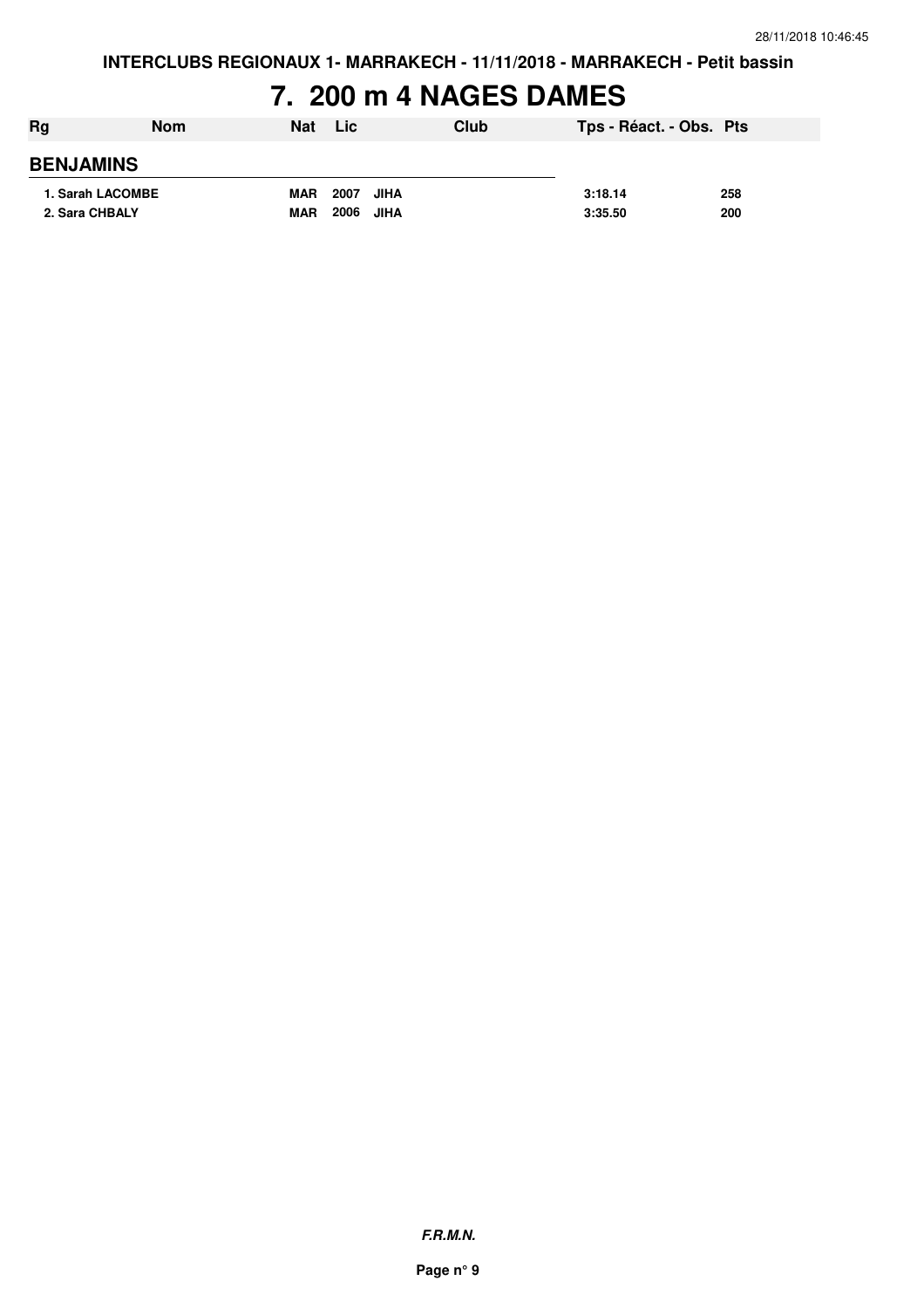### **7. 200 m 4 NAGES DAMES**

| Rg               | <b>Nom</b> | Nat        | Lic          | Club | Tps - Réact. - Obs. Pts |     |
|------------------|------------|------------|--------------|------|-------------------------|-----|
| <b>BENJAMINS</b> |            |            |              |      |                         |     |
| 1. Sarah LACOMBE |            | <b>MAR</b> | 2007<br>JIHA |      | 3:18.14                 | 258 |
| 2. Sara CHBALY   |            | <b>MAR</b> | 2006 JIHA    |      | 3:35.50                 | 200 |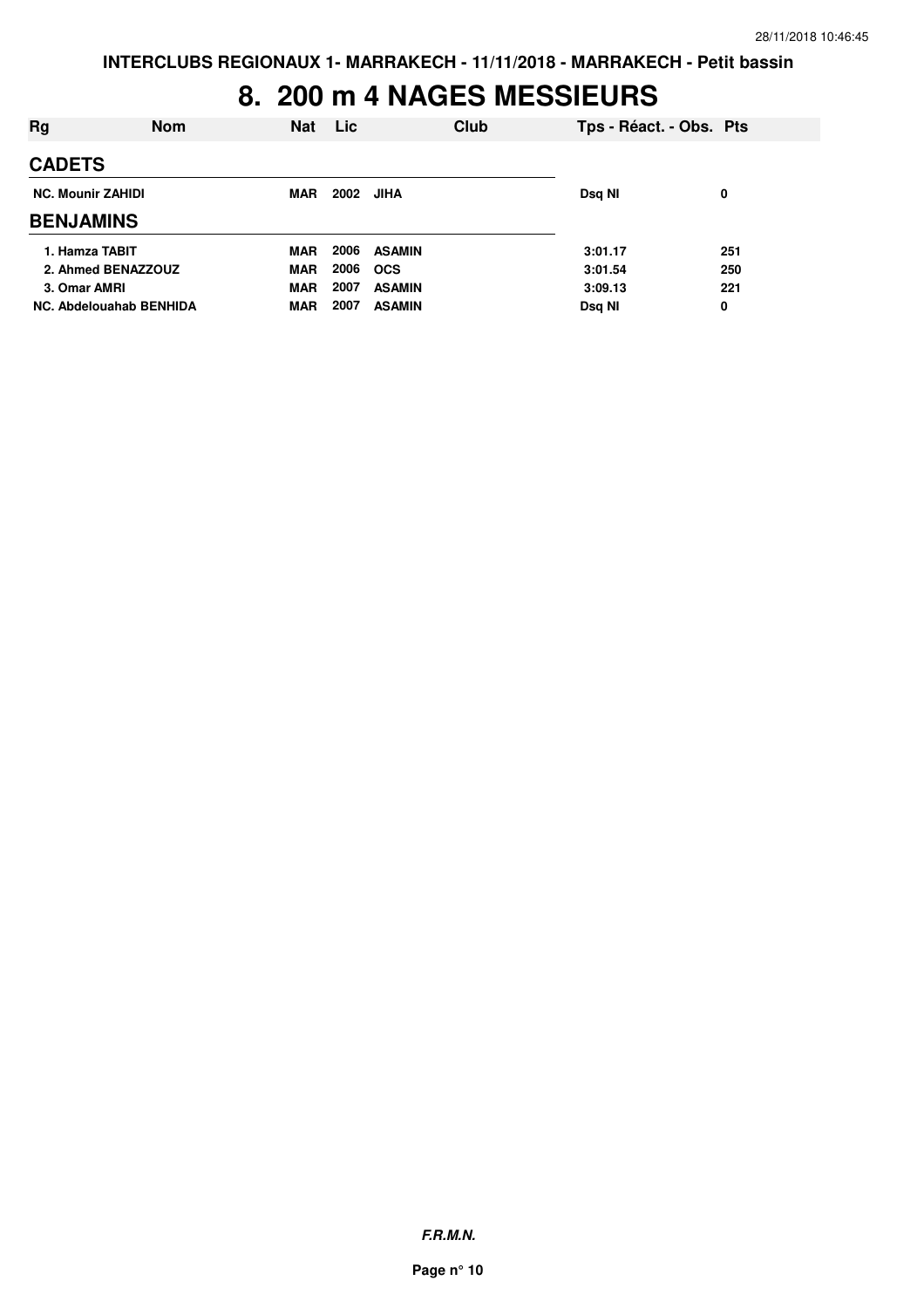#### **8. 200 m 4 NAGES MESSIEURS**

| Rg                             | <b>Nom</b> | <b>Nat</b> | <b>Lic</b> |               | Club | Tps - Réact. - Obs. Pts |     |
|--------------------------------|------------|------------|------------|---------------|------|-------------------------|-----|
| <b>CADETS</b>                  |            |            |            |               |      |                         |     |
| <b>NC. Mounir ZAHIDI</b>       |            |            | 2002       | JIHA          |      | Dsq NI                  | 0   |
| <b>BENJAMINS</b>               |            |            |            |               |      |                         |     |
| 1. Hamza TABIT                 |            | <b>MAR</b> | 2006       | <b>ASAMIN</b> |      | 3:01.17                 | 251 |
| 2. Ahmed BENAZZOUZ             |            | <b>MAR</b> | 2006       | <b>OCS</b>    |      | 3:01.54                 | 250 |
| 3. Omar AMRI                   |            | <b>MAR</b> | 2007       | <b>ASAMIN</b> |      | 3:09.13                 | 221 |
| <b>NC. Abdelouahab BENHIDA</b> |            | MAR        | 2007       | <b>ASAMIN</b> |      | Dsg NI                  | 0   |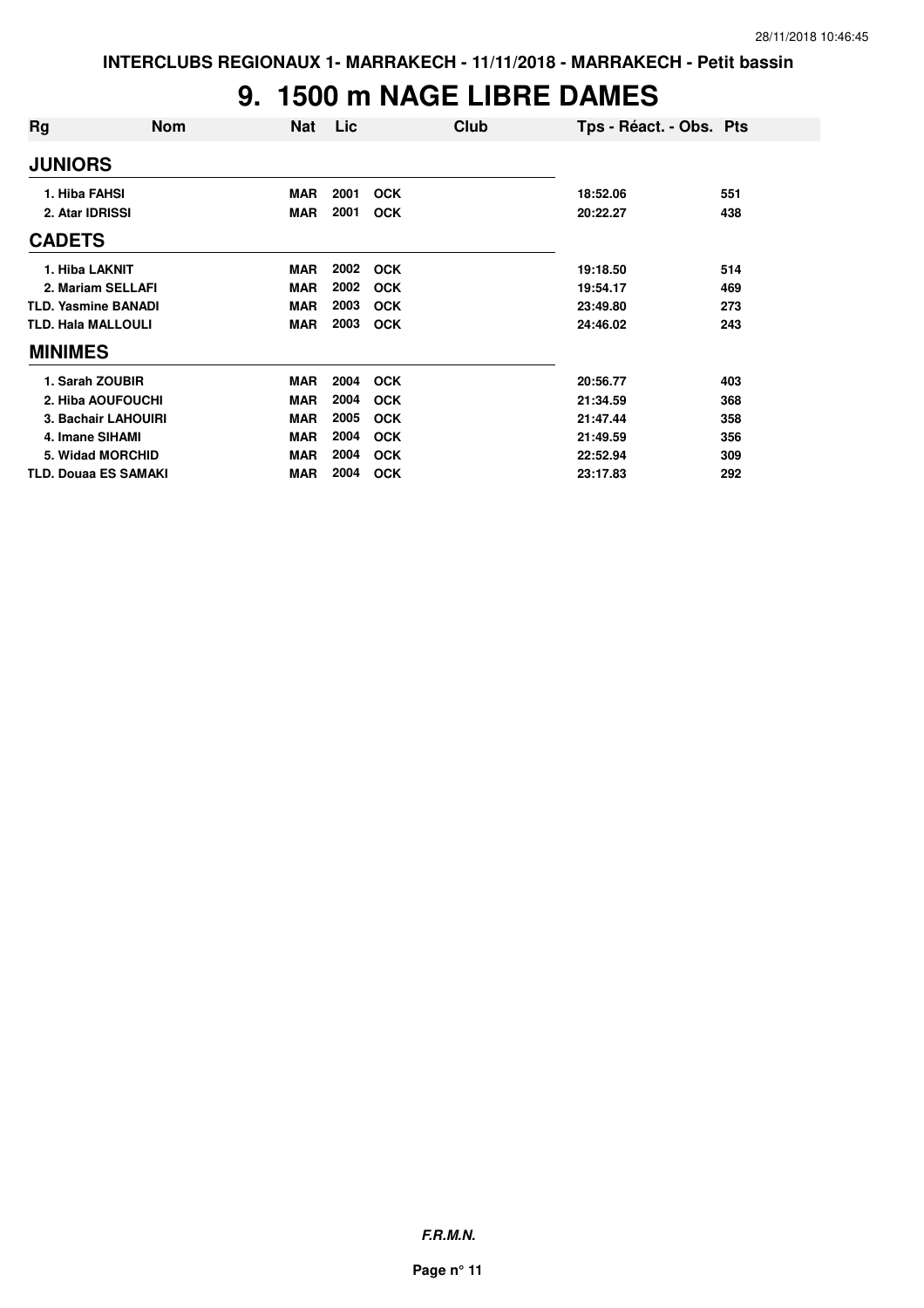#### **9. 1500 m NAGE LIBRE DAMES**

| Rg                          | <b>Nom</b> | Nat        | Lic  | Club       | Tps - Réact. - Obs. Pts |     |
|-----------------------------|------------|------------|------|------------|-------------------------|-----|
| <b>JUNIORS</b>              |            |            |      |            |                         |     |
| 1. Hiba FAHSI               |            | <b>MAR</b> | 2001 | <b>OCK</b> | 18:52.06                | 551 |
| 2. Atar IDRISSI             |            | <b>MAR</b> | 2001 | <b>OCK</b> | 20:22.27                | 438 |
| <b>CADETS</b>               |            |            |      |            |                         |     |
| 1. Hiba LAKNIT              |            | <b>MAR</b> | 2002 | <b>OCK</b> | 19:18.50                | 514 |
| 2. Mariam SELLAFI           |            | <b>MAR</b> | 2002 | <b>OCK</b> | 19:54.17                | 469 |
| <b>TLD. Yasmine BANADI</b>  |            | <b>MAR</b> | 2003 | <b>OCK</b> | 23:49.80                | 273 |
| <b>TLD. Hala MALLOULI</b>   |            | <b>MAR</b> | 2003 | <b>OCK</b> | 24:46.02                | 243 |
| <b>MINIMES</b>              |            |            |      |            |                         |     |
| 1. Sarah ZOUBIR             |            | <b>MAR</b> | 2004 | <b>OCK</b> | 20:56.77                | 403 |
| 2. Hiba AOUFOUCHI           |            | <b>MAR</b> | 2004 | <b>OCK</b> | 21:34.59                | 368 |
| 3. Bachair LAHOUIRI         |            | <b>MAR</b> | 2005 | <b>OCK</b> | 21:47.44                | 358 |
| 4. Imane SIHAMI             |            | <b>MAR</b> | 2004 | <b>OCK</b> | 21:49.59                | 356 |
| 5. Widad MORCHID            |            | <b>MAR</b> | 2004 | <b>OCK</b> | 22:52.94                | 309 |
| <b>TLD. Douaa ES SAMAKI</b> |            | <b>MAR</b> | 2004 | <b>OCK</b> | 23:17.83                | 292 |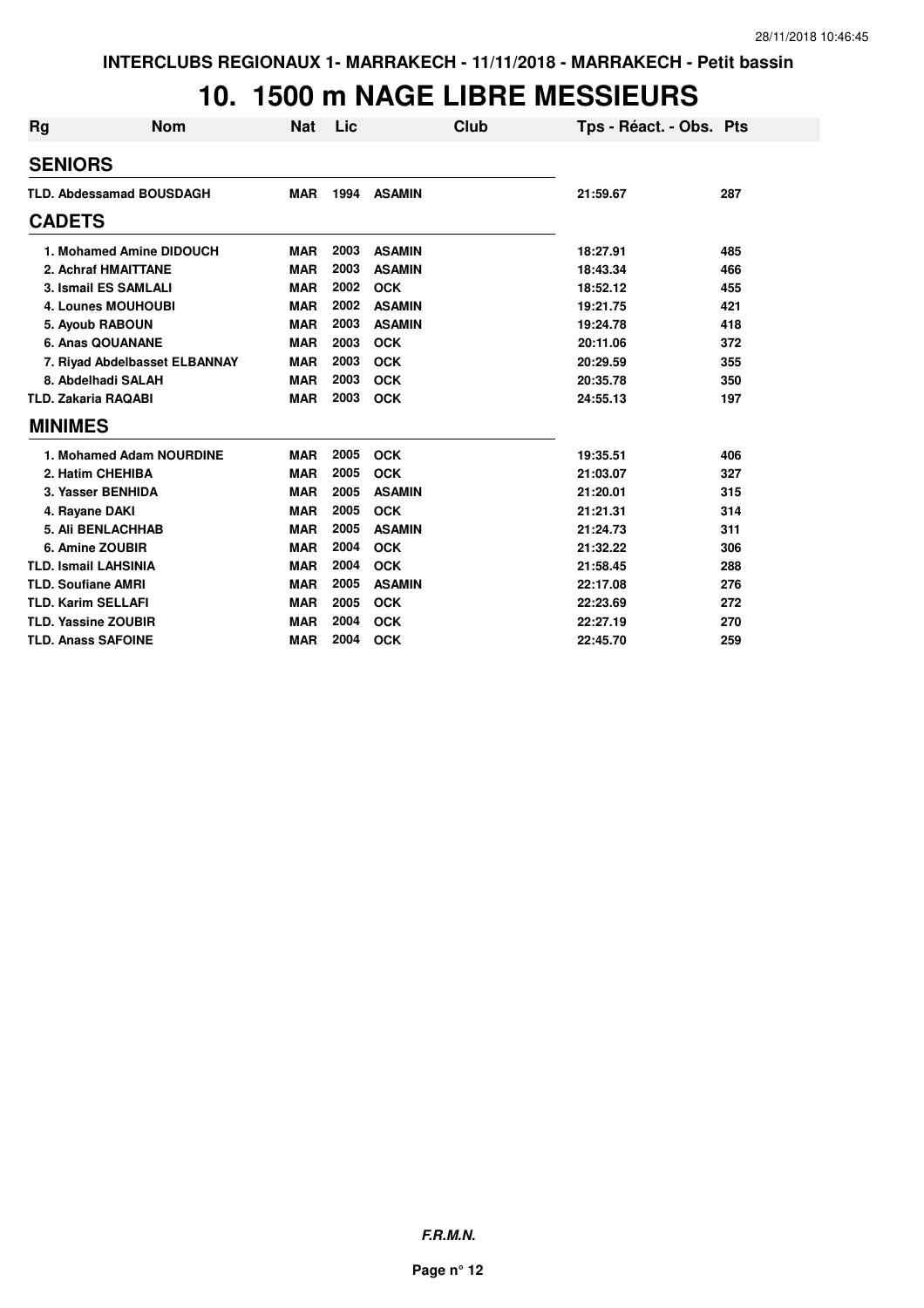#### **10. 1500 m NAGE LIBRE MESSIEURS**

| <b>Rg</b> | <b>Nom</b>                      | <b>Nat</b> | Lic  | Club          | Tps - Réact. - Obs. Pts |     |
|-----------|---------------------------------|------------|------|---------------|-------------------------|-----|
|           | <b>SENIORS</b>                  |            |      |               |                         |     |
|           | <b>TLD. Abdessamad BOUSDAGH</b> | <b>MAR</b> | 1994 | <b>ASAMIN</b> | 21:59.67                | 287 |
|           | <b>CADETS</b>                   |            |      |               |                         |     |
|           | 1. Mohamed Amine DIDOUCH        | <b>MAR</b> | 2003 | <b>ASAMIN</b> | 18:27.91                | 485 |
|           | 2. Achraf HMAITTANE             | <b>MAR</b> | 2003 | <b>ASAMIN</b> | 18:43.34                | 466 |
|           | 3. Ismail ES SAMLALI            | <b>MAR</b> | 2002 | <b>OCK</b>    | 18:52.12                | 455 |
|           | <b>4. Lounes MOUHOUBI</b>       | <b>MAR</b> | 2002 | <b>ASAMIN</b> | 19:21.75                | 421 |
|           | 5. Ayoub RABOUN                 | <b>MAR</b> | 2003 | <b>ASAMIN</b> | 19:24.78                | 418 |
|           | 6. Anas QOUANANE                | <b>MAR</b> | 2003 | <b>OCK</b>    | 20:11.06                | 372 |
|           | 7. Riyad Abdelbasset ELBANNAY   | <b>MAR</b> | 2003 | <b>OCK</b>    | 20:29.59                | 355 |
|           | 8. Abdelhadi SALAH              | <b>MAR</b> | 2003 | <b>OCK</b>    | 20:35.78                | 350 |
|           | <b>TLD. Zakaria RAQABI</b>      | <b>MAR</b> | 2003 | <b>OCK</b>    | 24:55.13                | 197 |
|           | <b>MINIMES</b>                  |            |      |               |                         |     |
|           | 1. Mohamed Adam NOURDINE        | <b>MAR</b> | 2005 | <b>OCK</b>    | 19:35.51                | 406 |
|           | 2. Hatim CHEHIBA                | <b>MAR</b> | 2005 | <b>OCK</b>    | 21:03.07                | 327 |
|           | 3. Yasser BENHIDA               | <b>MAR</b> | 2005 | <b>ASAMIN</b> | 21:20.01                | 315 |
|           | 4. Rayane DAKI                  | <b>MAR</b> | 2005 | <b>OCK</b>    | 21:21.31                | 314 |
|           | <b>5. Ali BENLACHHAB</b>        | <b>MAR</b> | 2005 | <b>ASAMIN</b> | 21:24.73                | 311 |
|           | 6. Amine ZOUBIR                 | <b>MAR</b> | 2004 | <b>OCK</b>    | 21:32.22                | 306 |
|           | <b>TLD. Ismail LAHSINIA</b>     | <b>MAR</b> | 2004 | <b>OCK</b>    | 21:58.45                | 288 |
|           | <b>TLD. Soufiane AMRI</b>       | <b>MAR</b> | 2005 | <b>ASAMIN</b> | 22:17.08                | 276 |
|           | <b>TLD. Karim SELLAFI</b>       | <b>MAR</b> | 2005 | <b>OCK</b>    | 22:23.69                | 272 |
|           | <b>TLD. Yassine ZOUBIR</b>      | <b>MAR</b> | 2004 | <b>OCK</b>    | 22:27.19                | 270 |
|           | <b>TLD. Anass SAFOINE</b>       | <b>MAR</b> | 2004 | <b>OCK</b>    | 22:45.70                | 259 |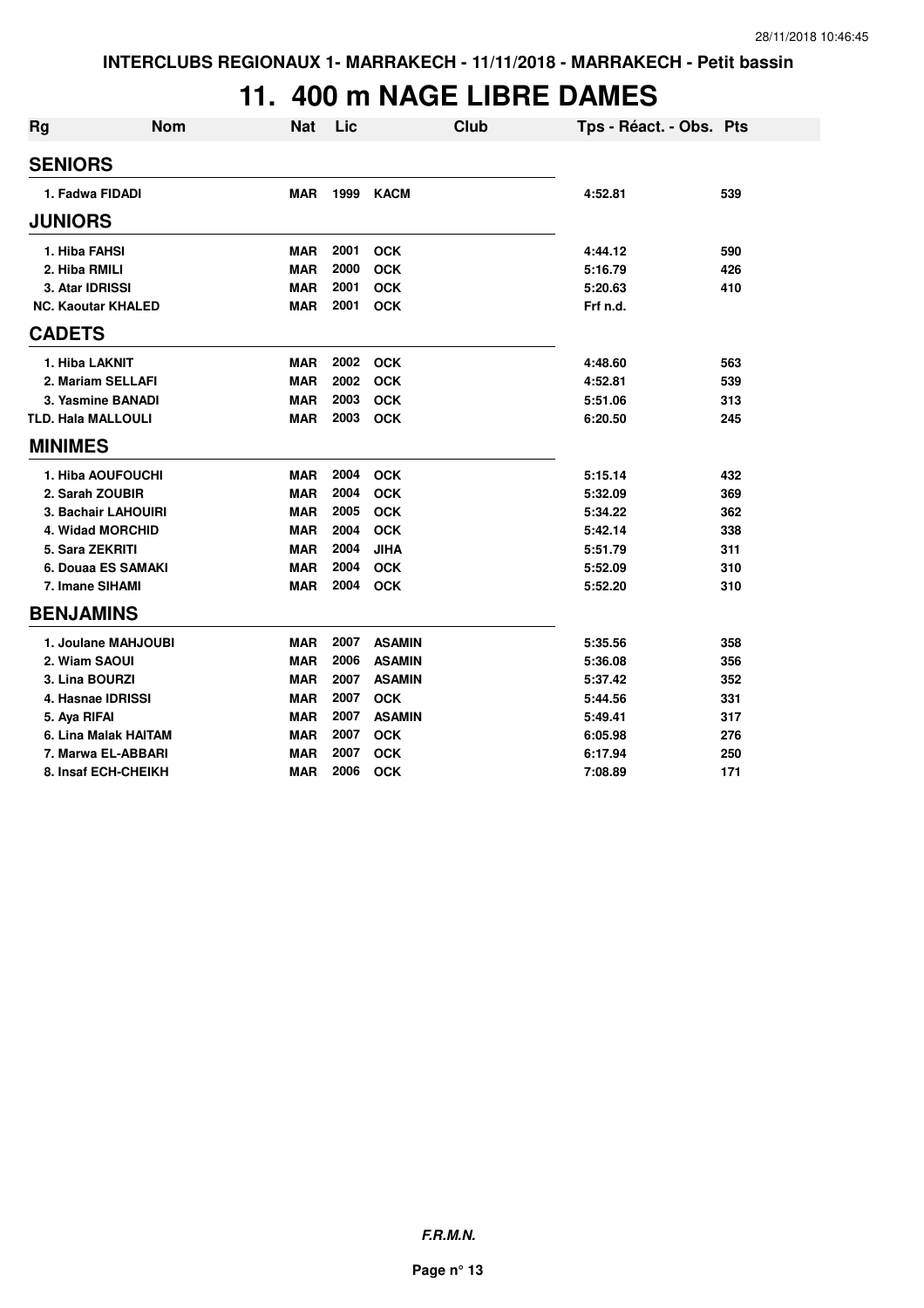#### **11. 400 m NAGE LIBRE DAMES**

| <b>Rg</b>                 | <b>Nom</b> | <b>Nat</b> | Lic  | <b>Club</b>   | Tps - Réact. - Obs. Pts |     |
|---------------------------|------------|------------|------|---------------|-------------------------|-----|
| <b>SENIORS</b>            |            |            |      |               |                         |     |
| 1. Fadwa FIDADI           |            | <b>MAR</b> | 1999 | <b>KACM</b>   | 4:52.81                 | 539 |
| <b>JUNIORS</b>            |            |            |      |               |                         |     |
| 1. Hiba FAHSI             |            | <b>MAR</b> | 2001 | <b>OCK</b>    | 4:44.12                 | 590 |
| 2. Hiba RMILI             |            | <b>MAR</b> | 2000 | <b>OCK</b>    | 5:16.79                 | 426 |
| 3. Atar IDRISSI           |            | <b>MAR</b> | 2001 | <b>OCK</b>    | 5:20.63                 | 410 |
| <b>NC. Kaoutar KHALED</b> |            | <b>MAR</b> | 2001 | <b>OCK</b>    | Frf n.d.                |     |
| <b>CADETS</b>             |            |            |      |               |                         |     |
| 1. Hiba LAKNIT            |            | <b>MAR</b> | 2002 | <b>OCK</b>    | 4:48.60                 | 563 |
| 2. Mariam SELLAFI         |            | <b>MAR</b> | 2002 | <b>OCK</b>    | 4:52.81                 | 539 |
| 3. Yasmine BANADI         |            | <b>MAR</b> | 2003 | <b>OCK</b>    | 5:51.06                 | 313 |
| <b>TLD. Hala MALLOULI</b> |            | <b>MAR</b> | 2003 | <b>OCK</b>    | 6:20.50                 | 245 |
| <b>MINIMES</b>            |            |            |      |               |                         |     |
| 1. Hiba AOUFOUCHI         |            | <b>MAR</b> | 2004 | <b>OCK</b>    | 5:15.14                 | 432 |
| 2. Sarah ZOUBIR           |            | <b>MAR</b> | 2004 | <b>OCK</b>    | 5:32.09                 | 369 |
| 3. Bachair LAHOUIRI       |            | <b>MAR</b> | 2005 | <b>OCK</b>    | 5:34.22                 | 362 |
| <b>4. Widad MORCHID</b>   |            | <b>MAR</b> | 2004 | <b>OCK</b>    | 5:42.14                 | 338 |
| 5. Sara ZEKRITI           |            | <b>MAR</b> | 2004 | <b>JIHA</b>   | 5:51.79                 | 311 |
| 6. Douaa ES SAMAKI        |            | <b>MAR</b> | 2004 | <b>OCK</b>    | 5:52.09                 | 310 |
| 7. Imane SIHAMI           |            | <b>MAR</b> | 2004 | <b>OCK</b>    | 5:52.20                 | 310 |
| <b>BENJAMINS</b>          |            |            |      |               |                         |     |
| 1. Joulane MAHJOUBI       |            | <b>MAR</b> | 2007 | <b>ASAMIN</b> | 5:35.56                 | 358 |
| 2. Wiam SAOUI             |            | <b>MAR</b> | 2006 | <b>ASAMIN</b> | 5:36.08                 | 356 |
| 3. Lina BOURZI            |            | <b>MAR</b> | 2007 | <b>ASAMIN</b> | 5:37.42                 | 352 |
| 4. Hasnae IDRISSI         |            | <b>MAR</b> | 2007 | <b>OCK</b>    | 5:44.56                 | 331 |
| 5. Aya RIFAI              |            | <b>MAR</b> | 2007 | <b>ASAMIN</b> | 5:49.41                 | 317 |
| 6. Lina Malak HAITAM      |            | <b>MAR</b> | 2007 | <b>OCK</b>    | 6:05.98                 | 276 |
| 7. Marwa EL-ABBARI        |            | <b>MAR</b> | 2007 | <b>OCK</b>    | 6:17.94                 | 250 |
| 8. Insaf ECH-CHEIKH       |            | <b>MAR</b> | 2006 | <b>OCK</b>    | 7:08.89                 | 171 |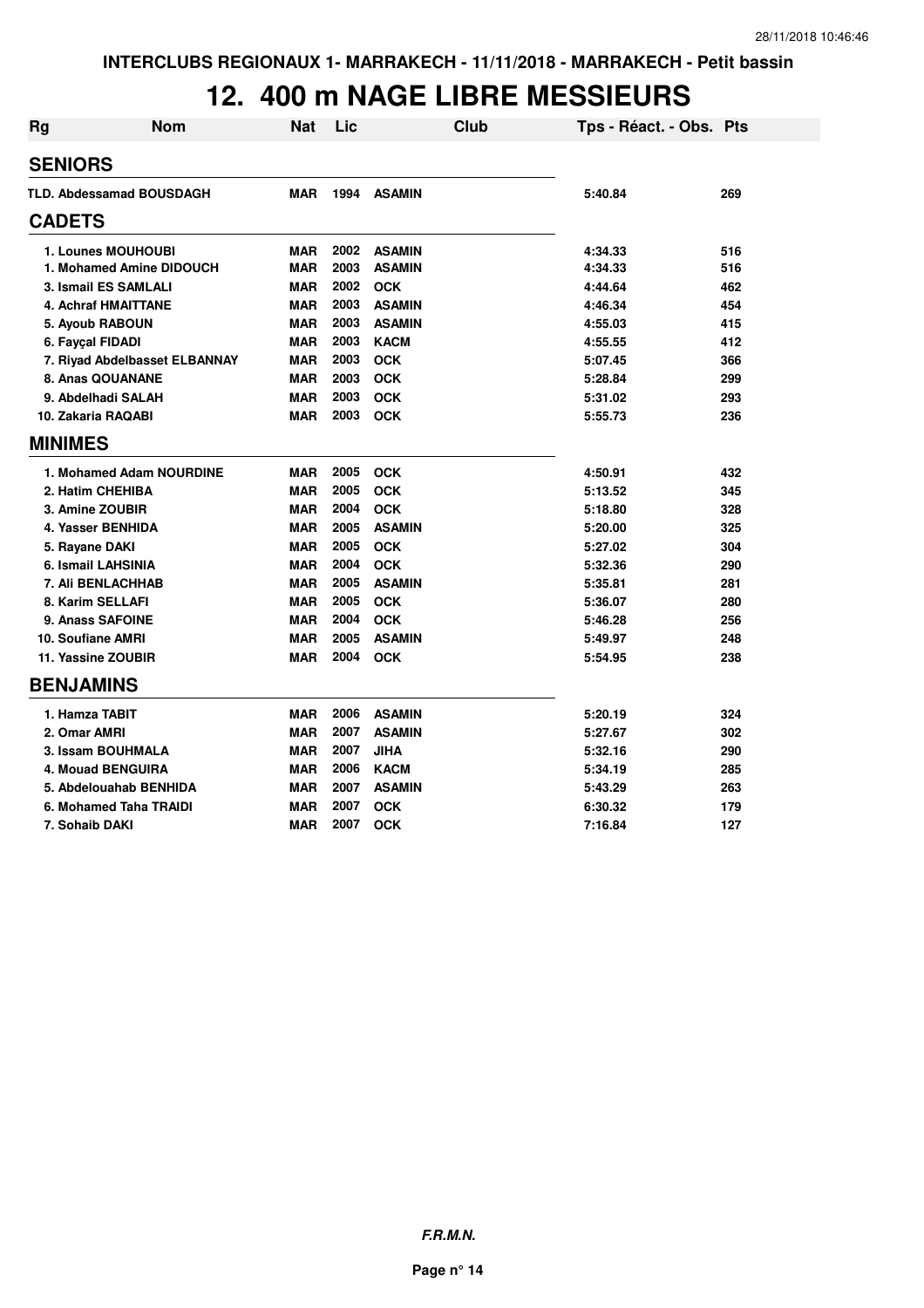#### **12. 400 m NAGE LIBRE MESSIEURS**

| <b>Rg</b>                  | <b>Nom</b>                      | <b>Nat</b> | Lic  |               | <b>Club</b> | Tps - Réact. - Obs. Pts |     |
|----------------------------|---------------------------------|------------|------|---------------|-------------|-------------------------|-----|
| <b>SENIORS</b>             |                                 |            |      |               |             |                         |     |
|                            | <b>TLD. Abdessamad BOUSDAGH</b> | <b>MAR</b> | 1994 | <b>ASAMIN</b> |             | 5:40.84                 | 269 |
| <b>CADETS</b>              |                                 |            |      |               |             |                         |     |
|                            | 1. Lounes MOUHOUBI              | <b>MAR</b> | 2002 | <b>ASAMIN</b> |             | 4:34.33                 | 516 |
|                            | 1. Mohamed Amine DIDOUCH        | <b>MAR</b> | 2003 | <b>ASAMIN</b> |             | 4:34.33                 | 516 |
|                            | 3. Ismail ES SAMLALI            | <b>MAR</b> | 2002 | <b>OCK</b>    |             | 4:44.64                 | 462 |
| <b>4. Achraf HMAITTANE</b> |                                 | <b>MAR</b> | 2003 | <b>ASAMIN</b> |             | 4:46.34                 | 454 |
| 5. Ayoub RABOUN            |                                 | <b>MAR</b> | 2003 | <b>ASAMIN</b> |             | 4:55.03                 | 415 |
| 6. Fayçal FIDADI           |                                 | <b>MAR</b> | 2003 | <b>KACM</b>   |             | 4:55.55                 | 412 |
|                            | 7. Riyad Abdelbasset ELBANNAY   | <b>MAR</b> | 2003 | <b>OCK</b>    |             | 5:07.45                 | 366 |
| 8. Anas QOUANANE           |                                 | <b>MAR</b> | 2003 | <b>OCK</b>    |             | 5:28.84                 | 299 |
| 9. Abdelhadi SALAH         |                                 | <b>MAR</b> | 2003 | <b>OCK</b>    |             | 5:31.02                 | 293 |
| 10. Zakaria RAQABI         |                                 | <b>MAR</b> | 2003 | <b>OCK</b>    |             | 5:55.73                 | 236 |
| <b>MINIMES</b>             |                                 |            |      |               |             |                         |     |
|                            | 1. Mohamed Adam NOURDINE        | <b>MAR</b> | 2005 | <b>OCK</b>    |             | 4:50.91                 | 432 |
| 2. Hatim CHEHIBA           |                                 | <b>MAR</b> | 2005 | <b>OCK</b>    |             | 5:13.52                 | 345 |
| 3. Amine ZOUBIR            |                                 | <b>MAR</b> | 2004 | <b>OCK</b>    |             | 5:18.80                 | 328 |
| 4. Yasser BENHIDA          |                                 | <b>MAR</b> | 2005 | <b>ASAMIN</b> |             | 5:20.00                 | 325 |
| 5. Rayane DAKI             |                                 | <b>MAR</b> | 2005 | <b>OCK</b>    |             | 5:27.02                 | 304 |
| 6. Ismail LAHSINIA         |                                 | <b>MAR</b> | 2004 | <b>OCK</b>    |             | 5:32.36                 | 290 |
| <b>7. Ali BENLACHHAB</b>   |                                 | <b>MAR</b> | 2005 | <b>ASAMIN</b> |             | 5:35.81                 | 281 |
| 8. Karim SELLAFI           |                                 | <b>MAR</b> | 2005 | <b>OCK</b>    |             | 5:36.07                 | 280 |
| 9. Anass SAFOINE           |                                 | <b>MAR</b> | 2004 | <b>OCK</b>    |             | 5:46.28                 | 256 |
| 10. Soufiane AMRI          |                                 | <b>MAR</b> | 2005 | <b>ASAMIN</b> |             | 5:49.97                 | 248 |
| 11. Yassine ZOUBIR         |                                 | <b>MAR</b> | 2004 | <b>OCK</b>    |             | 5:54.95                 | 238 |
| <b>BENJAMINS</b>           |                                 |            |      |               |             |                         |     |
| 1. Hamza TABIT             |                                 | <b>MAR</b> | 2006 | <b>ASAMIN</b> |             | 5:20.19                 | 324 |
| 2. Omar AMRI               |                                 | <b>MAR</b> | 2007 | <b>ASAMIN</b> |             | 5:27.67                 | 302 |
| 3. Issam BOUHMALA          |                                 | <b>MAR</b> | 2007 | <b>JIHA</b>   |             | 5:32.16                 | 290 |
| <b>4. Mouad BENGUIRA</b>   |                                 | <b>MAR</b> | 2006 | <b>KACM</b>   |             | 5:34.19                 | 285 |
|                            | 5. Abdelouahab BENHIDA          | <b>MAR</b> | 2007 | <b>ASAMIN</b> |             | 5:43.29                 | 263 |
|                            | 6. Mohamed Taha TRAIDI          | <b>MAR</b> | 2007 | <b>OCK</b>    |             | 6:30.32                 | 179 |
| 7. Sohaib DAKI             |                                 | <b>MAR</b> | 2007 | <b>OCK</b>    |             | 7:16.84                 | 127 |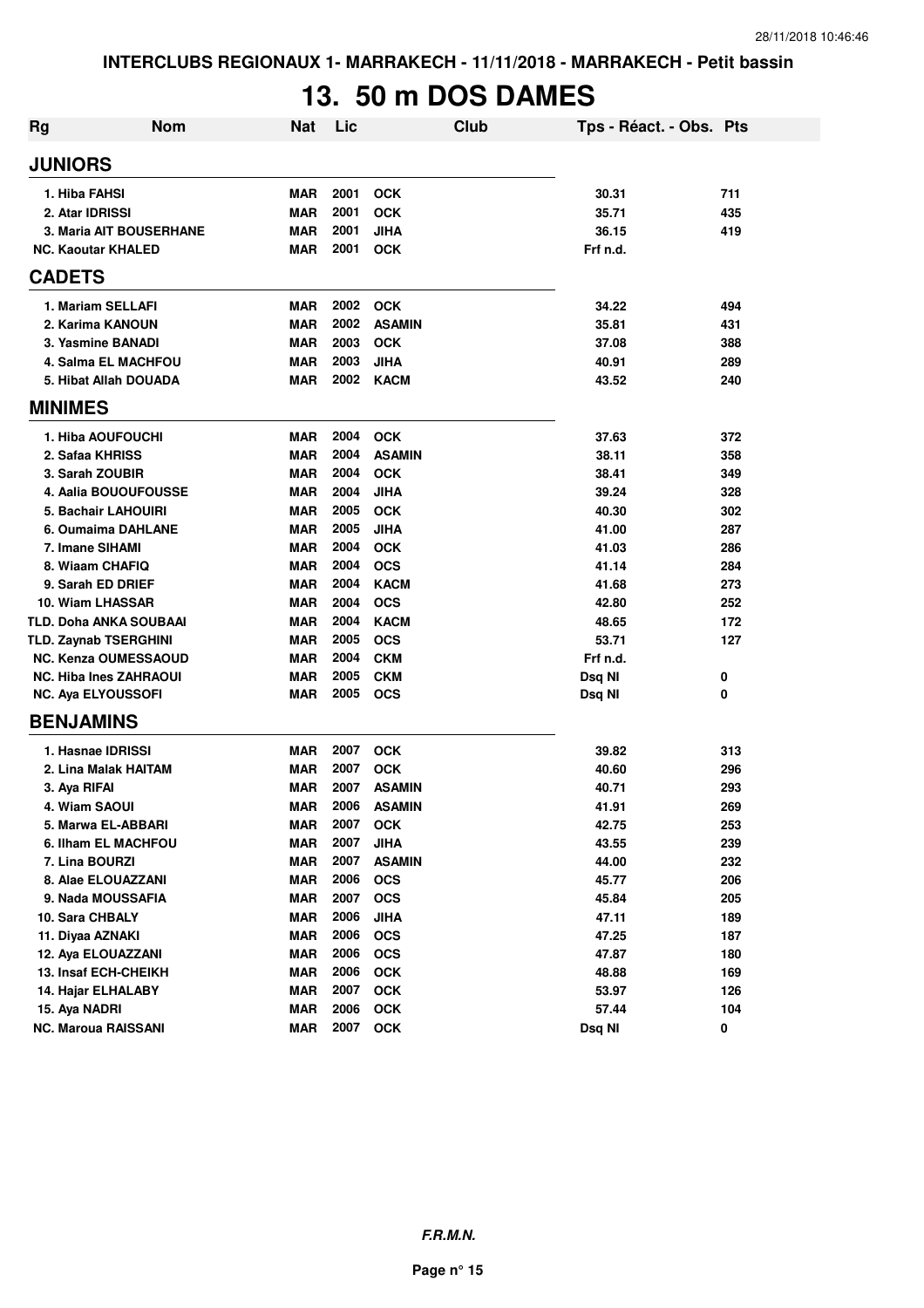# **13. 50 m DOS DAMES**

| Rg             | <b>Nom</b>                           | <b>Nat</b>               | Lic  | <b>Club</b>                 | Tps - Réact. - Obs. Pts |            |
|----------------|--------------------------------------|--------------------------|------|-----------------------------|-------------------------|------------|
| <b>JUNIORS</b> |                                      |                          |      |                             |                         |            |
|                | 1. Hiba FAHSI                        | <b>MAR</b>               | 2001 | <b>OCK</b>                  | 30.31                   | 711        |
|                | 2. Atar IDRISSI                      | <b>MAR</b>               | 2001 | <b>OCK</b>                  | 35.71                   | 435        |
|                | <b>3. Maria AIT BOUSERHANE</b>       | <b>MAR</b>               | 2001 | <b>JIHA</b>                 | 36.15                   | 419        |
|                | <b>NC. Kaoutar KHALED</b>            | <b>MAR</b>               | 2001 | <b>OCK</b>                  | Frf n.d.                |            |
| <b>CADETS</b>  |                                      |                          |      |                             |                         |            |
|                | 1. Mariam SELLAFI                    | <b>MAR</b>               | 2002 | <b>OCK</b>                  | 34.22                   | 494        |
|                | 2. Karima KANOUN                     | <b>MAR</b>               | 2002 | <b>ASAMIN</b>               | 35.81                   | 431        |
|                | 3. Yasmine BANADI                    | <b>MAR</b>               | 2003 | <b>OCK</b>                  | 37.08                   | 388        |
|                | <b>4. Salma EL MACHFOU</b>           | <b>MAR</b>               | 2003 | <b>JIHA</b>                 | 40.91                   | 289        |
|                | 5. Hibat Allah DOUADA                | <b>MAR</b>               | 2002 | <b>KACM</b>                 | 43.52                   | 240        |
| <b>MINIMES</b> |                                      |                          |      |                             |                         |            |
|                | 1. Hiba AOUFOUCHI                    | <b>MAR</b>               | 2004 | <b>OCK</b>                  | 37.63                   | 372        |
|                | 2. Safaa KHRISS                      | <b>MAR</b>               | 2004 | <b>ASAMIN</b>               | 38.11                   | 358        |
|                | 3. Sarah ZOUBIR                      | <b>MAR</b>               | 2004 | <b>OCK</b>                  | 38.41                   | 349        |
|                | 4. Aalia BOUOUFOUSSE                 | <b>MAR</b>               | 2004 | <b>JIHA</b>                 | 39.24                   | 328        |
|                | 5. Bachair LAHOUIRI                  | <b>MAR</b>               | 2005 | <b>OCK</b>                  | 40.30                   | 302        |
|                | 6. Oumaima DAHLANE                   | <b>MAR</b>               | 2005 | <b>JIHA</b>                 | 41.00                   | 287        |
|                | 7. Imane SIHAMI                      | <b>MAR</b>               | 2004 | <b>OCK</b>                  | 41.03                   | 286        |
|                | 8. Wiaam CHAFIQ                      | <b>MAR</b>               | 2004 | <b>OCS</b>                  | 41.14                   | 284        |
|                | 9. Sarah ED DRIEF                    | <b>MAR</b>               | 2004 | <b>KACM</b>                 | 41.68                   | 273        |
|                | 10. Wiam LHASSAR                     | <b>MAR</b>               | 2004 | <b>OCS</b>                  | 42.80                   | 252        |
|                | <b>TLD. Doha ANKA SOUBAAI</b>        | <b>MAR</b>               | 2004 | <b>KACM</b>                 | 48.65                   | 172        |
|                | <b>TLD. Zaynab TSERGHINI</b>         | <b>MAR</b>               | 2005 | <b>OCS</b>                  | 53.71                   | 127        |
|                | <b>NC. Kenza OUMESSAOUD</b>          | <b>MAR</b>               | 2004 | <b>CKM</b>                  | Frf n.d.                |            |
|                | <b>NC. Hiba Ines ZAHRAOUI</b>        | <b>MAR</b>               | 2005 | <b>CKM</b>                  | Dsq NI                  | 0          |
|                | <b>NC. Aya ELYOUSSOFI</b>            | <b>MAR</b>               | 2005 | <b>OCS</b>                  | Dsq NI                  | 0          |
|                | <b>BENJAMINS</b>                     |                          |      |                             |                         |            |
|                | 1. Hasnae IDRISSI                    | <b>MAR</b>               | 2007 |                             | 39.82                   |            |
|                | 2. Lina Malak HAITAM                 | <b>MAR</b>               | 2007 | <b>OCK</b><br><b>OCK</b>    | 40.60                   | 313        |
|                |                                      | <b>MAR</b>               | 2007 | <b>ASAMIN</b>               | 40.71                   | 296        |
|                | 3. Aya RIFAI<br>4. Wiam SAOUI        | <b>MAR</b>               | 2006 |                             |                         | 293<br>269 |
|                |                                      |                          | 2007 | <b>ASAMIN</b><br><b>OCK</b> | 41.91                   |            |
|                | 5. Marwa EL-ABBARI                   | MAR                      | 2007 |                             | 42.75<br>43.55          | 253        |
|                | 6. Ilham EL MACHFOU                  | <b>MAR</b>               | 2007 | <b>JIHA</b>                 |                         | 239        |
|                | 7. Lina BOURZI<br>8. Alae ELOUAZZANI | <b>MAR</b><br><b>MAR</b> | 2006 | <b>ASAMIN</b><br><b>OCS</b> | 44.00<br>45.77          | 232<br>206 |
|                | 9. Nada MOUSSAFIA                    |                          | 2007 |                             |                         |            |
|                | 10. Sara CHBALY                      | <b>MAR</b>               | 2006 | <b>OCS</b>                  | 45.84                   | 205        |
|                |                                      | <b>MAR</b>               |      | <b>JIHA</b>                 | 47.11                   | 189        |
|                | 11. Diyaa AZNAKI                     | <b>MAR</b>               | 2006 | <b>OCS</b>                  | 47.25                   | 187        |
|                | 12. Aya ELOUAZZANI                   | <b>MAR</b>               | 2006 | <b>OCS</b>                  | 47.87                   | 180        |
|                | 13. Insaf ECH-CHEIKH                 | <b>MAR</b>               | 2006 | OCK                         | 48.88                   | 169        |
|                | 14. Hajar ELHALABY                   | <b>MAR</b>               | 2007 | OCK                         | 53.97                   | 126        |
|                | 15. Aya NADRI                        | <b>MAR</b>               | 2006 | <b>OCK</b>                  | 57.44                   | 104        |
|                | <b>NC. Maroua RAISSANI</b>           | <b>MAR</b>               | 2007 | <b>OCK</b>                  | Dsq NI                  | 0          |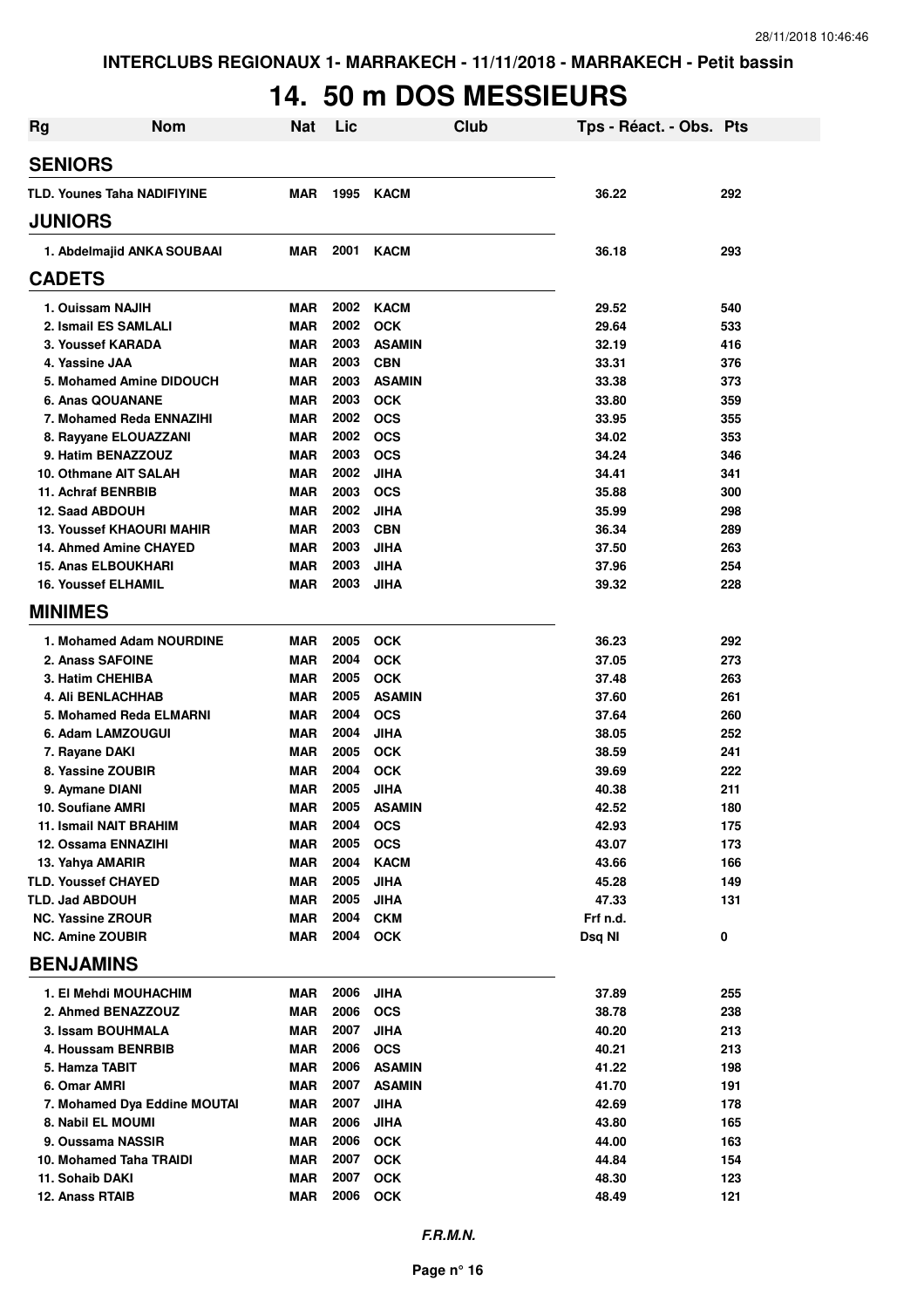# **14. 50 m DOS MESSIEURS**

| <b>Rg</b> | <b>Nom</b>                         | <b>Nat</b> | Lic      |               | Club | Tps - Réact. - Obs. Pts |     |
|-----------|------------------------------------|------------|----------|---------------|------|-------------------------|-----|
|           | <b>SENIORS</b>                     |            |          |               |      |                         |     |
|           | <b>TLD. Younes Taha NADIFIYINE</b> | <b>MAR</b> | 1995     | <b>KACM</b>   |      | 36.22                   | 292 |
|           | <b>JUNIORS</b>                     |            |          |               |      |                         |     |
|           | 1. Abdelmajid ANKA SOUBAAI         | MAR        | 2001     | <b>KACM</b>   |      | 36.18                   | 293 |
|           | <b>CADETS</b>                      |            |          |               |      |                         |     |
|           | 1. Ouissam NAJIH                   | MAR        | 2002     | <b>KACM</b>   |      | 29.52                   | 540 |
|           | 2. Ismail ES SAMLALI               | <b>MAR</b> | 2002     | <b>OCK</b>    |      | 29.64                   | 533 |
|           | <b>3. Youssef KARADA</b>           | <b>MAR</b> | 2003     | <b>ASAMIN</b> |      | 32.19                   | 416 |
|           | 4. Yassine JAA                     | <b>MAR</b> | 2003     | <b>CBN</b>    |      | 33.31                   | 376 |
|           | 5. Mohamed Amine DIDOUCH           | <b>MAR</b> | 2003     | <b>ASAMIN</b> |      | 33.38                   | 373 |
|           | 6. Anas QOUANANE                   | <b>MAR</b> | 2003     | <b>OCK</b>    |      | 33.80                   | 359 |
|           | 7. Mohamed Reda ENNAZIHI           | <b>MAR</b> | 2002     | <b>OCS</b>    |      | 33.95                   | 355 |
|           | 8. Rayyane ELOUAZZANI              | <b>MAR</b> | 2002     | <b>OCS</b>    |      | 34.02                   | 353 |
|           | 9. Hatim BENAZZOUZ                 | <b>MAR</b> | 2003     | <b>OCS</b>    |      | 34.24                   | 346 |
|           | 10. Othmane AIT SALAH              | <b>MAR</b> | 2002     | <b>JIHA</b>   |      | 34.41                   | 341 |
|           | <b>11. Achraf BENRBIB</b>          | <b>MAR</b> | 2003     | <b>OCS</b>    |      | 35.88                   | 300 |
|           | 12. Saad ABDOUH                    | <b>MAR</b> | 2002     | <b>JIHA</b>   |      | 35.99                   | 298 |
|           | <b>13. Youssef KHAOURI MAHIR</b>   | <b>MAR</b> | 2003     | <b>CBN</b>    |      | 36.34                   | 289 |
|           | 14. Ahmed Amine CHAYED             | <b>MAR</b> | 2003     | <b>JIHA</b>   |      | 37.50                   | 263 |
|           | <b>15. Anas ELBOUKHARI</b>         | <b>MAR</b> | 2003     | <b>JIHA</b>   |      | 37.96                   | 254 |
|           | <b>16. Youssef ELHAMIL</b>         | <b>MAR</b> | 2003     | <b>JIHA</b>   |      | 39.32                   | 228 |
|           | <b>MINIMES</b>                     |            |          |               |      |                         |     |
|           | 1. Mohamed Adam NOURDINE           | MAR        | 2005     | <b>OCK</b>    |      | 36.23                   | 292 |
|           | 2. Anass SAFOINE                   | <b>MAR</b> | 2004     | <b>OCK</b>    |      | 37.05                   | 273 |
|           | 3. Hatim CHEHIBA                   | <b>MAR</b> | 2005     | <b>OCK</b>    |      | 37.48                   | 263 |
|           | <b>4. Ali BENLACHHAB</b>           | <b>MAR</b> | 2005     | <b>ASAMIN</b> |      | 37.60                   | 261 |
|           | 5. Mohamed Reda ELMARNI            | <b>MAR</b> | 2004     | <b>OCS</b>    |      | 37.64                   | 260 |
|           | 6. Adam LAMZOUGUI                  | <b>MAR</b> | 2004     | <b>JIHA</b>   |      | 38.05                   | 252 |
|           | 7. Rayane DAKI                     | <b>MAR</b> | 2005     | <b>OCK</b>    |      | 38.59                   | 241 |
|           | 8. Yassine ZOUBIR                  | <b>MAR</b> | 2004     | <b>OCK</b>    |      | 39.69                   | 222 |
|           | 9. Aymane DIANI                    | <b>MAR</b> | 2005     | <b>JIHA</b>   |      | 40.38                   | 211 |
|           | 10. Soufiane AMRI                  | <b>MAR</b> | 2005     | <b>ASAMIN</b> |      | 42.52                   | 180 |
|           | <b>11. Ismail NAIT BRAHIM</b>      | MAR        | 2004     | <b>OCS</b>    |      | 42.93                   | 175 |
|           | 12. Ossama ENNAZIHI                | <b>MAR</b> | 2005     | <b>OCS</b>    |      | 43.07                   | 173 |
|           | 13. Yahya AMARIR                   | <b>MAR</b> | 2004     | <b>KACM</b>   |      | 43.66                   | 166 |
|           | <b>TLD. Youssef CHAYED</b>         | <b>MAR</b> | 2005     | <b>JIHA</b>   |      | 45.28                   | 149 |
|           | <b>TLD. Jad ABDOUH</b>             | <b>MAR</b> | 2005     | <b>JIHA</b>   |      | 47.33                   | 131 |
|           | <b>NC. Yassine ZROUR</b>           | <b>MAR</b> | 2004     | <b>CKM</b>    |      | Frf n.d.                |     |
|           | <b>NC. Amine ZOUBIR</b>            | <b>MAR</b> | 2004 OCK |               |      | Dsq NI                  | 0   |
|           | <b>BENJAMINS</b>                   |            |          |               |      |                         |     |
|           | 1. El Mehdi MOUHACHIM              | MAR        | 2006     | <b>JIHA</b>   |      | 37.89                   | 255 |
|           | 2. Ahmed BENAZZOUZ                 | <b>MAR</b> | 2006     | <b>OCS</b>    |      | 38.78                   | 238 |
|           | 3. Issam BOUHMALA                  | MAR        | 2007     | JIHA          |      | 40.20                   | 213 |
|           | 4. Houssam BENRBIB                 | <b>MAR</b> | 2006     | <b>OCS</b>    |      | 40.21                   | 213 |
|           | 5. Hamza TABIT                     | <b>MAR</b> | 2006     | <b>ASAMIN</b> |      | 41.22                   | 198 |
|           | 6. Omar AMRI                       | <b>MAR</b> | 2007     | <b>ASAMIN</b> |      | 41.70                   | 191 |
|           | 7. Mohamed Dya Eddine MOUTAI       | <b>MAR</b> | 2007     | <b>JIHA</b>   |      | 42.69                   | 178 |
|           | 8. Nabil EL MOUMI                  | <b>MAR</b> | 2006     | <b>JIHA</b>   |      | 43.80                   | 165 |
|           | 9. Oussama NASSIR                  | <b>MAR</b> | 2006     | <b>OCK</b>    |      | 44.00                   | 163 |
|           | 10. Mohamed Taha TRAIDI            | <b>MAR</b> | 2007     | <b>OCK</b>    |      | 44.84                   | 154 |
|           | 11. Sohaib DAKI                    | <b>MAR</b> | 2007     | <b>OCK</b>    |      | 48.30                   | 123 |
|           | 12. Anass RTAIB                    | <b>MAR</b> | 2006     | <b>OCK</b>    |      | 48.49                   | 121 |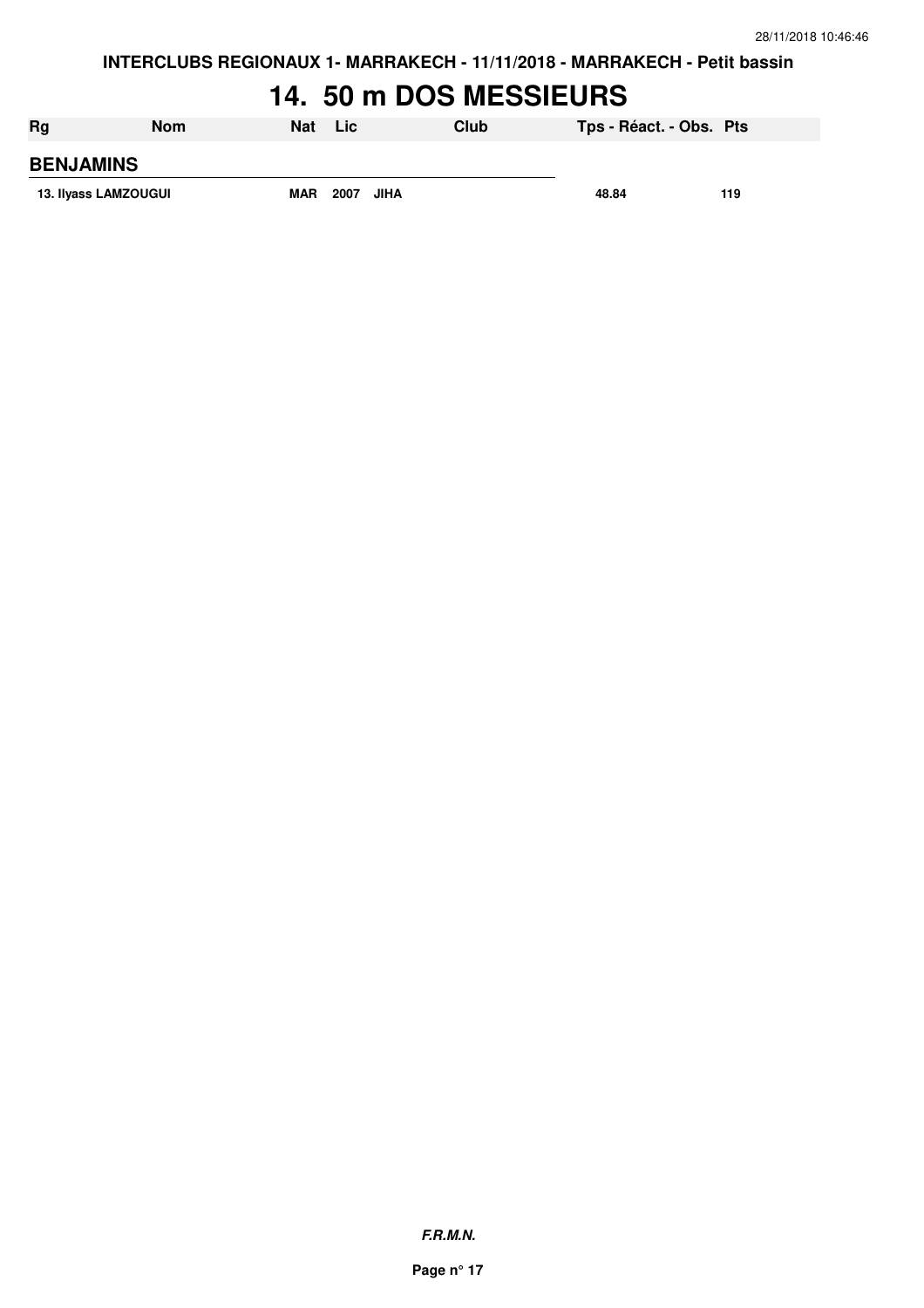**INTERCLUBS REGIONAUX 1- MARRAKECH - 11/11/2018 - MARRAKECH - Petit bassin**

#### **14. 50 m DOS MESSIEURS**

| Rg                   | <b>Nom</b> | Nat | Lic.                | Club | Tps - Réact. - Obs. Pts |     |
|----------------------|------------|-----|---------------------|------|-------------------------|-----|
| <b>BENJAMINS</b>     |            |     |                     |      |                         |     |
| 13. Ilyass LAMZOUGUI |            | MAR | 2007<br><b>JIHA</b> |      | 48.84                   | 119 |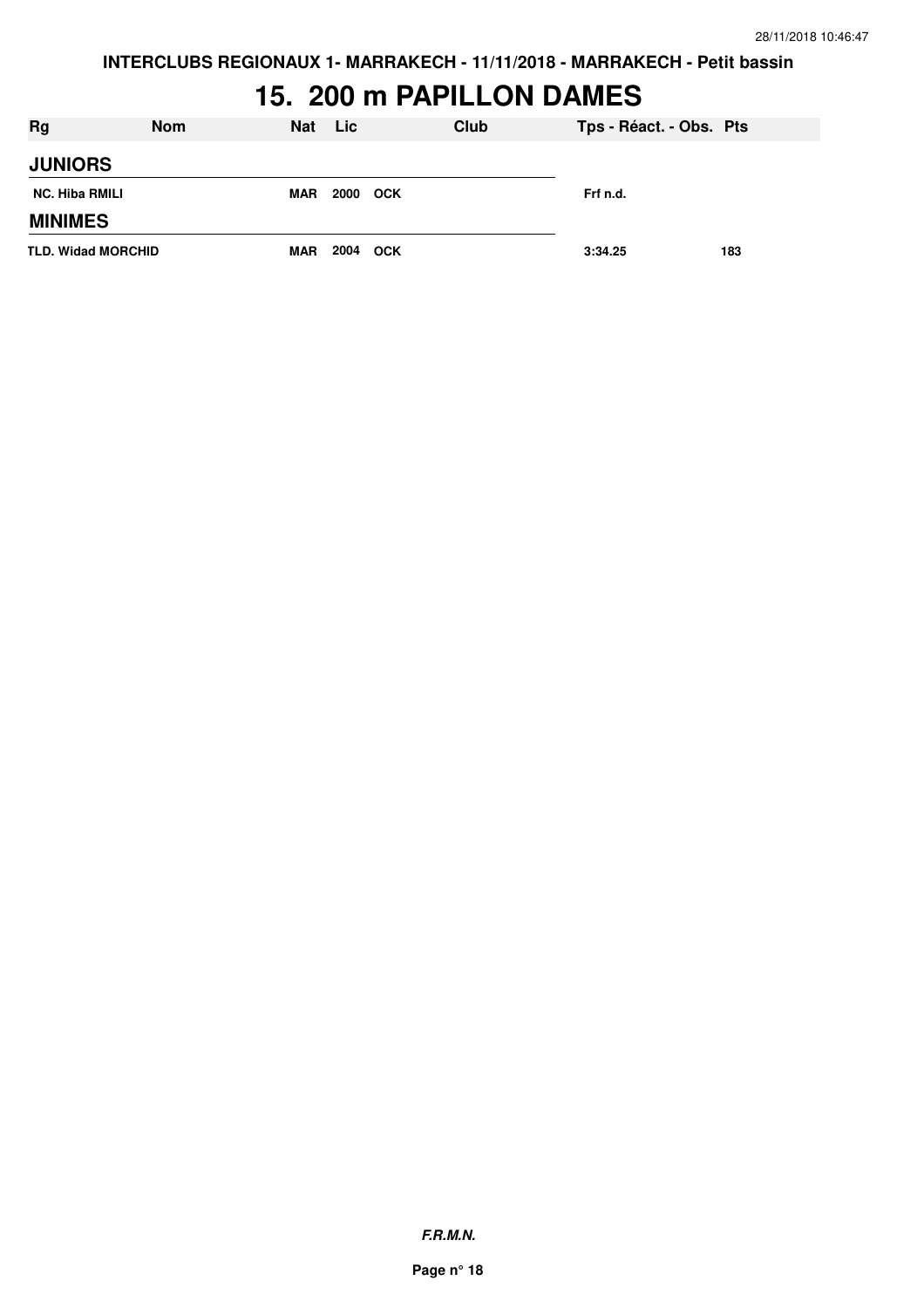**INTERCLUBS REGIONAUX 1- MARRAKECH - 11/11/2018 - MARRAKECH - Petit bassin**

# **15. 200 m PAPILLON DAMES**

| <b>Rg</b>                 | <b>Nom</b> | <b>Nat</b> | Lic      | <b>Club</b> | Tps - Réact. - Obs. Pts |     |
|---------------------------|------------|------------|----------|-------------|-------------------------|-----|
| <b>JUNIORS</b>            |            |            |          |             |                         |     |
| <b>NC. Hiba RMILI</b>     |            | <b>MAR</b> | 2000 OCK |             | Frf n.d.                |     |
| <b>MINIMES</b>            |            |            |          |             |                         |     |
| <b>TLD. Widad MORCHID</b> |            | <b>MAR</b> | 2004 OCK |             | 3:34.25                 | 183 |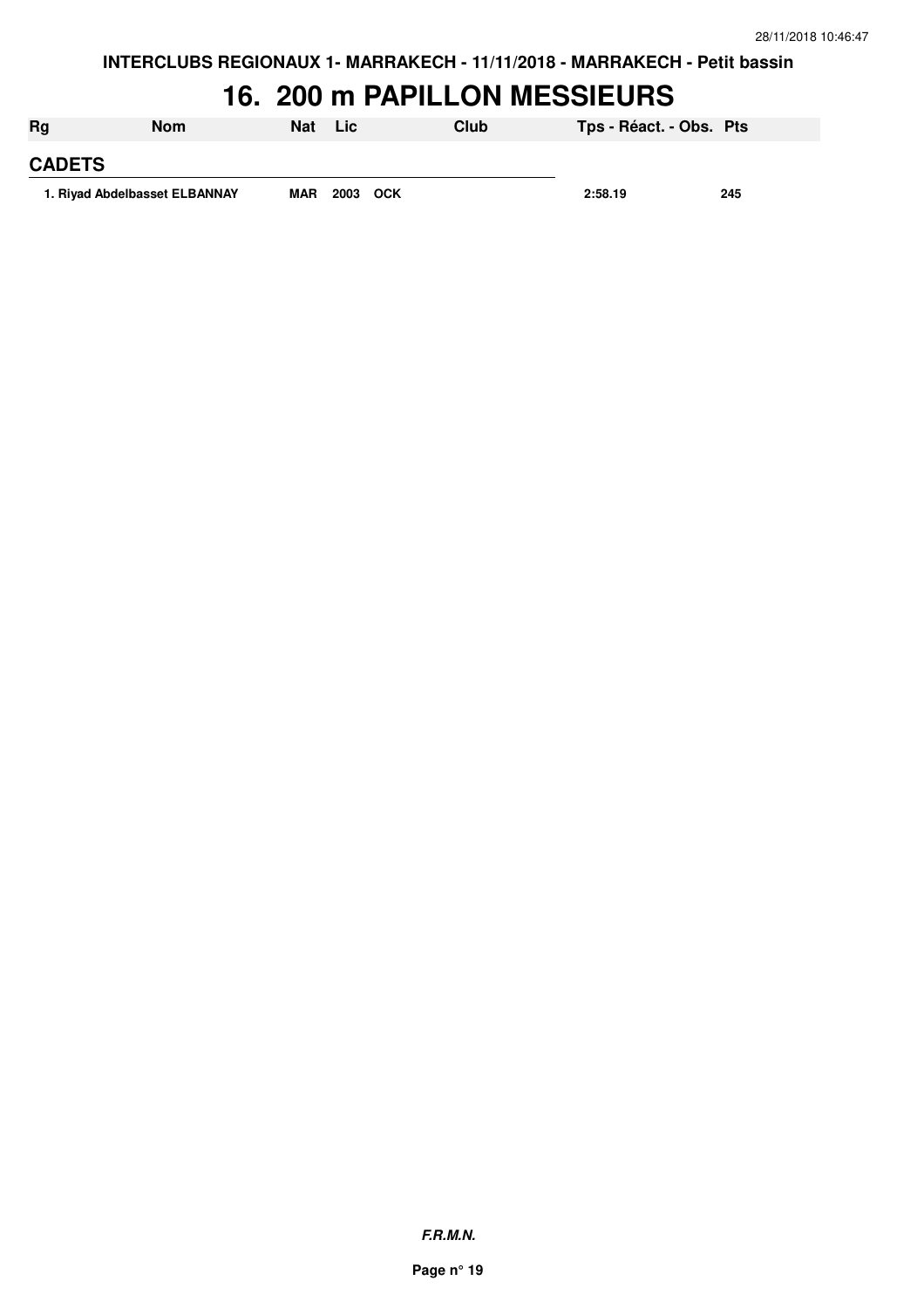#### **16. 200 m PAPILLON MESSIEURS**

| Rg                            | Nom | Nat        | Lic      | Club | Tps - Réact. - Obs. Pts |     |
|-------------------------------|-----|------------|----------|------|-------------------------|-----|
| <b>CADETS</b>                 |     |            |          |      |                         |     |
| 1. Rivad Abdelbasset ELBANNAY |     | <b>MAR</b> | 2003 OCK |      | 2:58.19                 | 245 |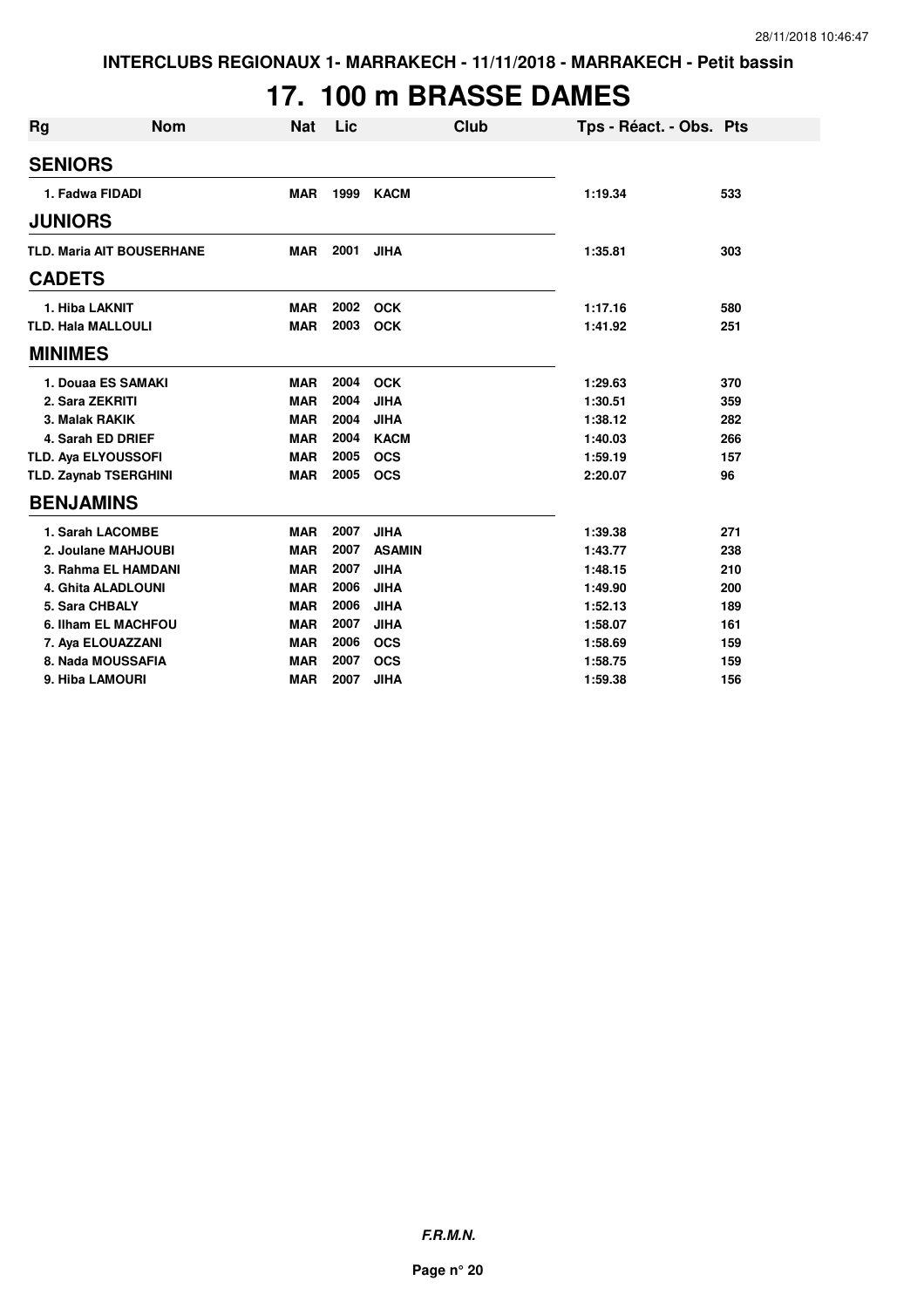# **17. 100 m BRASSE DAMES**

| <b>Rg</b> | <b>Nom</b>                       | <b>Nat</b> | Lic  | <b>Club</b>   | Tps - Réact. - Obs. Pts |     |
|-----------|----------------------------------|------------|------|---------------|-------------------------|-----|
|           | <b>SENIORS</b>                   |            |      |               |                         |     |
|           | 1. Fadwa FIDADI                  | <b>MAR</b> | 1999 | <b>KACM</b>   | 1:19.34                 | 533 |
|           | <b>JUNIORS</b>                   |            |      |               |                         |     |
|           | <b>TLD. Maria AIT BOUSERHANE</b> | <b>MAR</b> | 2001 | <b>JIHA</b>   | 1:35.81                 | 303 |
|           | <b>CADETS</b>                    |            |      |               |                         |     |
|           | 1. Hiba LAKNIT                   | <b>MAR</b> | 2002 | <b>OCK</b>    | 1:17.16                 | 580 |
|           | <b>TLD. Hala MALLOULI</b>        | <b>MAR</b> | 2003 | <b>OCK</b>    | 1:41.92                 | 251 |
|           | <b>MINIMES</b>                   |            |      |               |                         |     |
|           | 1. Douaa ES SAMAKI               | <b>MAR</b> | 2004 | <b>OCK</b>    | 1:29.63                 | 370 |
|           | 2. Sara ZEKRITI                  | <b>MAR</b> | 2004 | <b>JIHA</b>   | 1:30.51                 | 359 |
|           | 3. Malak RAKIK                   | <b>MAR</b> | 2004 | <b>JIHA</b>   | 1:38.12                 | 282 |
|           | 4. Sarah ED DRIEF                | <b>MAR</b> | 2004 | <b>KACM</b>   | 1:40.03                 | 266 |
|           | <b>TLD. Aya ELYOUSSOFI</b>       | <b>MAR</b> | 2005 | <b>OCS</b>    | 1:59.19                 | 157 |
|           | <b>TLD. Zaynab TSERGHINI</b>     | <b>MAR</b> | 2005 | <b>OCS</b>    | 2:20.07                 | 96  |
|           | <b>BENJAMINS</b>                 |            |      |               |                         |     |
|           | 1. Sarah LACOMBE                 | <b>MAR</b> | 2007 | <b>JIHA</b>   | 1:39.38                 | 271 |
|           | 2. Joulane MAHJOUBI              | <b>MAR</b> | 2007 | <b>ASAMIN</b> | 1:43.77                 | 238 |
|           | 3. Rahma EL HAMDANI              | <b>MAR</b> | 2007 | <b>JIHA</b>   | 1:48.15                 | 210 |
|           | <b>4. Ghita ALADLOUNI</b>        | <b>MAR</b> | 2006 | <b>JIHA</b>   | 1:49.90                 | 200 |
|           | 5. Sara CHBALY                   | <b>MAR</b> | 2006 | <b>JIHA</b>   | 1:52.13                 | 189 |
|           | 6. Ilham EL MACHFOU              | <b>MAR</b> | 2007 | <b>JIHA</b>   | 1:58.07                 | 161 |
|           | 7. Aya ELOUAZZANI                | <b>MAR</b> | 2006 | <b>OCS</b>    | 1:58.69                 | 159 |
|           | 8. Nada MOUSSAFIA                | <b>MAR</b> | 2007 | <b>OCS</b>    | 1:58.75                 | 159 |
|           | 9. Hiba LAMOURI                  | <b>MAR</b> | 2007 | <b>JIHA</b>   | 1:59.38                 | 156 |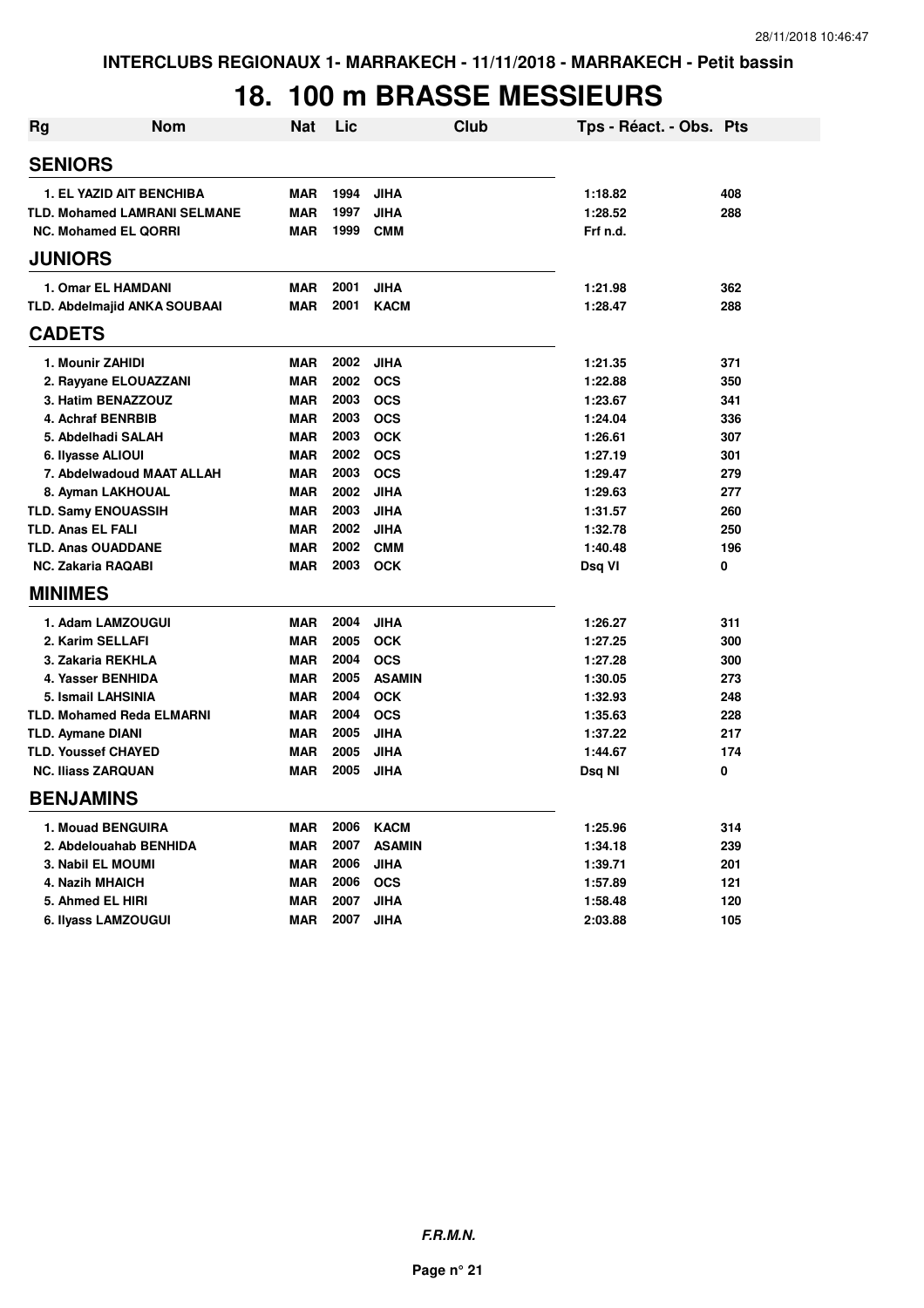#### **18. 100 m BRASSE MESSIEURS**

| <b>Rg</b> | <b>Nom</b>                          | <b>Nat</b> | Lic  | Club          | Tps - Réact. - Obs. Pts |     |
|-----------|-------------------------------------|------------|------|---------------|-------------------------|-----|
|           | <b>SENIORS</b>                      |            |      |               |                         |     |
|           | <b>1. EL YAZID AIT BENCHIBA</b>     | <b>MAR</b> | 1994 | <b>JIHA</b>   | 1:18.82                 | 408 |
|           | TLD. Mohamed LAMRANI SELMANE        | <b>MAR</b> | 1997 | <b>JIHA</b>   | 1:28.52                 | 288 |
|           | <b>NC. Mohamed EL QORRI</b>         | <b>MAR</b> | 1999 | <b>CMM</b>    | Frf n.d.                |     |
|           | <b>JUNIORS</b>                      |            |      |               |                         |     |
|           | 1. Omar EL HAMDANI                  | <b>MAR</b> | 2001 | <b>JIHA</b>   | 1:21.98                 | 362 |
|           | <b>TLD. Abdelmajid ANKA SOUBAAI</b> | <b>MAR</b> | 2001 | <b>KACM</b>   | 1:28.47                 | 288 |
|           | <b>CADETS</b>                       |            |      |               |                         |     |
|           | 1. Mounir ZAHIDI                    | <b>MAR</b> | 2002 | <b>JIHA</b>   | 1:21.35                 | 371 |
|           | 2. Rayyane ELOUAZZANI               | <b>MAR</b> | 2002 | <b>OCS</b>    | 1:22.88                 | 350 |
|           | 3. Hatim BENAZZOUZ                  | <b>MAR</b> | 2003 | <b>OCS</b>    | 1:23.67                 | 341 |
|           | 4. Achraf BENRBIB                   | <b>MAR</b> | 2003 | <b>OCS</b>    | 1:24.04                 | 336 |
|           | 5. Abdelhadi SALAH                  | <b>MAR</b> | 2003 | <b>OCK</b>    | 1:26.61                 | 307 |
|           | 6. Ilyasse ALIOUI                   | <b>MAR</b> | 2002 | <b>OCS</b>    | 1:27.19                 | 301 |
|           | 7. Abdelwadoud MAAT ALLAH           | <b>MAR</b> | 2003 | <b>OCS</b>    | 1:29.47                 | 279 |
|           | 8. Ayman LAKHOUAL                   | <b>MAR</b> | 2002 | <b>JIHA</b>   | 1:29.63                 | 277 |
|           | <b>TLD. Samy ENOUASSIH</b>          | <b>MAR</b> | 2003 | <b>JIHA</b>   | 1:31.57                 | 260 |
|           | <b>TLD. Anas EL FALI</b>            | <b>MAR</b> | 2002 | <b>JIHA</b>   | 1:32.78                 | 250 |
|           | <b>TLD. Anas OUADDANE</b>           | <b>MAR</b> | 2002 | <b>CMM</b>    | 1:40.48                 | 196 |
|           | <b>NC. Zakaria RAQABI</b>           | <b>MAR</b> | 2003 | <b>OCK</b>    | Dsq VI                  | 0   |
|           | <b>MINIMES</b>                      |            |      |               |                         |     |
|           | 1. Adam LAMZOUGUI                   | <b>MAR</b> | 2004 | <b>JIHA</b>   | 1:26.27                 | 311 |
|           | 2. Karim SELLAFI                    | <b>MAR</b> | 2005 | <b>OCK</b>    | 1:27.25                 | 300 |
|           | 3. Zakaria REKHLA                   | <b>MAR</b> | 2004 | <b>OCS</b>    | 1:27.28                 | 300 |
|           | 4. Yasser BENHIDA                   | <b>MAR</b> | 2005 | <b>ASAMIN</b> | 1:30.05                 | 273 |
|           | 5. Ismail LAHSINIA                  | <b>MAR</b> | 2004 | <b>OCK</b>    | 1:32.93                 | 248 |
|           | <b>TLD. Mohamed Reda ELMARNI</b>    | <b>MAR</b> | 2004 | <b>OCS</b>    | 1:35.63                 | 228 |
|           | <b>TLD. Aymane DIANI</b>            | <b>MAR</b> | 2005 | <b>JIHA</b>   | 1:37.22                 | 217 |
|           | <b>TLD. Youssef CHAYED</b>          | <b>MAR</b> | 2005 | <b>JIHA</b>   | 1:44.67                 | 174 |
|           | <b>NC. Iliass ZARQUAN</b>           | <b>MAR</b> | 2005 | <b>JIHA</b>   | Dsq NI                  | 0   |
|           | <b>BENJAMINS</b>                    |            |      |               |                         |     |
|           | 1. Mouad BENGUIRA                   | <b>MAR</b> | 2006 | <b>KACM</b>   | 1:25.96                 | 314 |
|           | 2. Abdelouahab BENHIDA              | <b>MAR</b> | 2007 | <b>ASAMIN</b> | 1:34.18                 | 239 |
|           | <b>3. Nabil EL MOUMI</b>            | <b>MAR</b> | 2006 | <b>JIHA</b>   | 1:39.71                 | 201 |
|           | 4. Nazih MHAICH                     | <b>MAR</b> | 2006 | <b>OCS</b>    | 1:57.89                 | 121 |
|           | 5. Ahmed EL HIRI                    | <b>MAR</b> | 2007 | <b>JIHA</b>   | 1:58.48                 | 120 |
|           | 6. Ilyass LAMZOUGUI                 | <b>MAR</b> | 2007 | <b>JIHA</b>   | 2:03.88                 | 105 |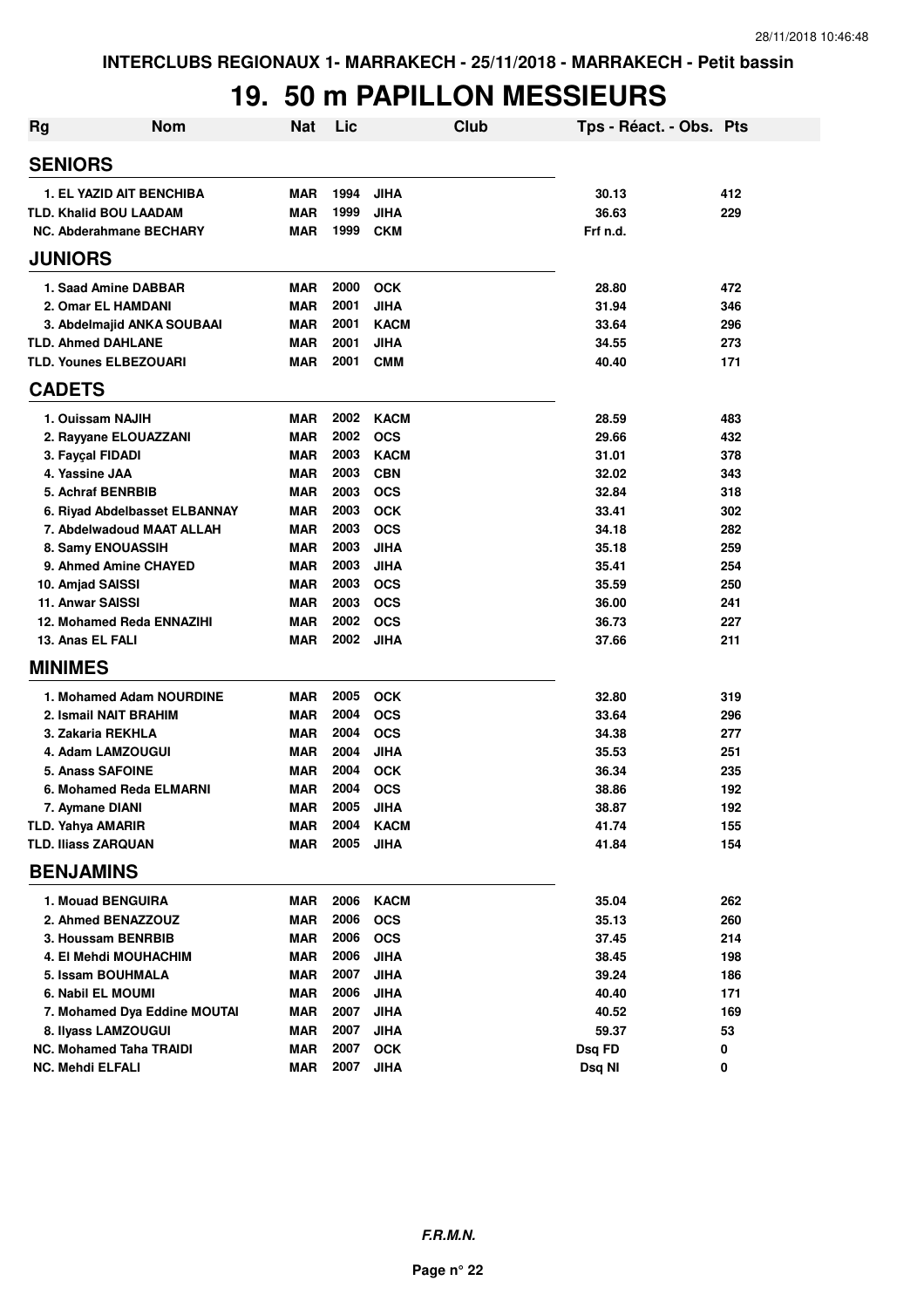#### **19. 50 m PAPILLON MESSIEURS**

| Rg                             | <b>Nom</b>                      | <b>Nat</b> | Lic  | Club        | Tps - Réact. - Obs. Pts |     |
|--------------------------------|---------------------------------|------------|------|-------------|-------------------------|-----|
| <b>SENIORS</b>                 |                                 |            |      |             |                         |     |
|                                | <b>1. EL YAZID AIT BENCHIBA</b> | <b>MAR</b> | 1994 | <b>JIHA</b> | 30.13                   | 412 |
| <b>TLD. Khalid BOU LAADAM</b>  |                                 | <b>MAR</b> | 1999 | <b>JIHA</b> | 36.63                   | 229 |
|                                | NC. Abderahmane BECHARY         | <b>MAR</b> | 1999 | <b>CKM</b>  | Frf n.d.                |     |
| <b>JUNIORS</b>                 |                                 |            |      |             |                         |     |
| 1. Saad Amine DABBAR           |                                 | <b>MAR</b> | 2000 | <b>OCK</b>  | 28.80                   | 472 |
| 2. Omar EL HAMDANI             |                                 | <b>MAR</b> | 2001 | <b>JIHA</b> | 31.94                   | 346 |
|                                | 3. Abdelmajid ANKA SOUBAAI      | <b>MAR</b> | 2001 | <b>KACM</b> | 33.64                   | 296 |
| <b>TLD. Ahmed DAHLANE</b>      |                                 | <b>MAR</b> | 2001 | <b>JIHA</b> | 34.55                   | 273 |
| <b>TLD. Younes ELBEZOUARI</b>  |                                 | <b>MAR</b> | 2001 | <b>CMM</b>  | 40.40                   | 171 |
| <b>CADETS</b>                  |                                 |            |      |             |                         |     |
| 1. Ouissam NAJIH               |                                 | <b>MAR</b> | 2002 | <b>KACM</b> | 28.59                   | 483 |
|                                | 2. Rayyane ELOUAZZANI           | <b>MAR</b> | 2002 | <b>OCS</b>  | 29.66                   | 432 |
| 3. Fayçal FIDADI               |                                 | <b>MAR</b> | 2003 | <b>KACM</b> | 31.01                   | 378 |
| 4. Yassine JAA                 |                                 | <b>MAR</b> | 2003 | <b>CBN</b>  | 32.02                   | 343 |
| 5. Achraf BENRBIB              |                                 | <b>MAR</b> | 2003 | <b>OCS</b>  | 32.84                   | 318 |
|                                | 6. Rivad Abdelbasset ELBANNAY   | <b>MAR</b> | 2003 | <b>OCK</b>  | 33.41                   | 302 |
|                                | 7. Abdelwadoud MAAT ALLAH       | <b>MAR</b> | 2003 | <b>OCS</b>  | 34.18                   | 282 |
| 8. Samy ENOUASSIH              |                                 | <b>MAR</b> | 2003 | <b>JIHA</b> | 35.18                   | 259 |
|                                | 9. Ahmed Amine CHAYED           | <b>MAR</b> | 2003 | <b>JIHA</b> | 35.41                   | 254 |
| 10. Amjad SAISSI               |                                 | <b>MAR</b> | 2003 | <b>OCS</b>  | 35.59                   | 250 |
| <b>11. Anwar SAISSI</b>        |                                 | <b>MAR</b> | 2003 | <b>OCS</b>  | 36.00                   | 241 |
|                                | 12. Mohamed Reda ENNAZIHI       | <b>MAR</b> | 2002 | <b>OCS</b>  | 36.73                   | 227 |
| 13. Anas EL FALI               |                                 | <b>MAR</b> | 2002 | <b>JIHA</b> | 37.66                   | 211 |
| <b>MINIMES</b>                 |                                 |            |      |             |                         |     |
|                                | 1. Mohamed Adam NOURDINE        | <b>MAR</b> | 2005 | <b>OCK</b>  | 32.80                   | 319 |
| 2. Ismail NAIT BRAHIM          |                                 | <b>MAR</b> | 2004 | <b>OCS</b>  | 33.64                   | 296 |
| 3. Zakaria REKHLA              |                                 | <b>MAR</b> | 2004 | <b>OCS</b>  | 34.38                   | 277 |
| 4. Adam LAMZOUGUI              |                                 | <b>MAR</b> | 2004 | <b>JIHA</b> | 35.53                   | 251 |
| 5. Anass SAFOINE               |                                 | <b>MAR</b> | 2004 | <b>OCK</b>  | 36.34                   | 235 |
|                                | 6. Mohamed Reda ELMARNI         | <b>MAR</b> | 2004 | <b>OCS</b>  | 38.86                   | 192 |
| 7. Aymane DIANI                |                                 | <b>MAR</b> | 2005 | JIHA        | 38.87                   | 192 |
| <b>TLD. Yahya AMARIR</b>       |                                 | <b>MAR</b> | 2004 | <b>KACM</b> | 41.74                   | 155 |
| <b>TLD. Iliass ZARQUAN</b>     |                                 | <b>MAR</b> | 2005 | <b>JIHA</b> | 41.84                   | 154 |
| <b>BENJAMINS</b>               |                                 |            |      |             |                         |     |
| 1. Mouad BENGUIRA              |                                 | <b>MAR</b> | 2006 | <b>KACM</b> | 35.04                   | 262 |
| 2. Ahmed BENAZZOUZ             |                                 | <b>MAR</b> | 2006 | <b>OCS</b>  | 35.13                   | 260 |
| 3. Houssam BENRBIB             |                                 | <b>MAR</b> | 2006 | <b>OCS</b>  | 37.45                   | 214 |
|                                | 4. El Mehdi MOUHACHIM           | <b>MAR</b> | 2006 | <b>JIHA</b> | 38.45                   | 198 |
| 5. Issam BOUHMALA              |                                 | <b>MAR</b> | 2007 | <b>JIHA</b> | 39.24                   | 186 |
| 6. Nabil EL MOUMI              |                                 | <b>MAR</b> | 2006 | <b>JIHA</b> | 40.40                   | 171 |
|                                | 7. Mohamed Dya Eddine MOUTAI    | <b>MAR</b> | 2007 | <b>JIHA</b> | 40.52                   | 169 |
| 8. Ilyass LAMZOUGUI            |                                 | <b>MAR</b> | 2007 | <b>JIHA</b> | 59.37                   | 53  |
| <b>NC. Mohamed Taha TRAIDI</b> |                                 | <b>MAR</b> | 2007 | <b>OCK</b>  | Dsq FD                  | 0   |
| <b>NC. Mehdi ELFALI</b>        |                                 | <b>MAR</b> | 2007 | <b>JIHA</b> | Dsq NI                  | 0   |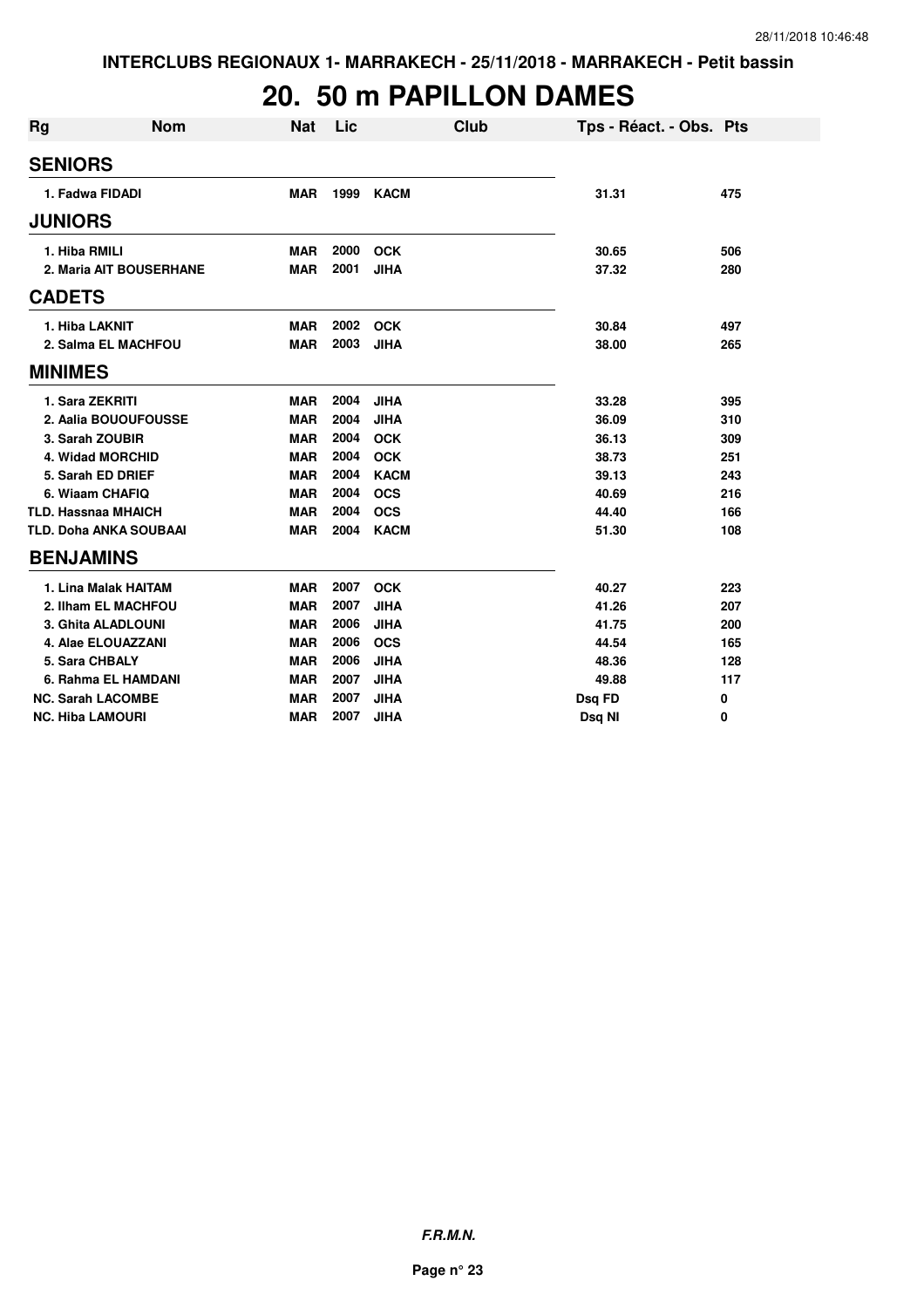# **20. 50 m PAPILLON DAMES**

| Rg             | <b>Nom</b>                    | <b>Nat</b> | Lic  | <b>Club</b> | Tps - Réact. - Obs. Pts |     |
|----------------|-------------------------------|------------|------|-------------|-------------------------|-----|
| <b>SENIORS</b> |                               |            |      |             |                         |     |
|                | 1. Fadwa FIDADI               | <b>MAR</b> | 1999 | <b>KACM</b> | 31.31                   | 475 |
| <b>JUNIORS</b> |                               |            |      |             |                         |     |
|                | 1. Hiba RMILI                 | <b>MAR</b> | 2000 | <b>OCK</b>  | 30.65                   | 506 |
|                | 2. Maria AIT BOUSERHANE       | <b>MAR</b> | 2001 | <b>JIHA</b> | 37.32                   | 280 |
| <b>CADETS</b>  |                               |            |      |             |                         |     |
|                | 1. Hiba LAKNIT                | <b>MAR</b> | 2002 | <b>OCK</b>  | 30.84                   | 497 |
|                | 2. Salma EL MACHFOU           | <b>MAR</b> | 2003 | <b>JIHA</b> | 38.00                   | 265 |
| <b>MINIMES</b> |                               |            |      |             |                         |     |
|                | 1. Sara ZEKRITI               | MAR        | 2004 | <b>JIHA</b> | 33.28                   | 395 |
|                | 2. Aalia BOUOUFOUSSE          | <b>MAR</b> | 2004 | <b>JIHA</b> | 36.09                   | 310 |
|                | 3. Sarah ZOUBIR               | <b>MAR</b> | 2004 | <b>OCK</b>  | 36.13                   | 309 |
|                | 4. Widad MORCHID              | <b>MAR</b> | 2004 | <b>OCK</b>  | 38.73                   | 251 |
|                | 5. Sarah ED DRIEF             | <b>MAR</b> | 2004 | <b>KACM</b> | 39.13                   | 243 |
|                | 6. Wiaam CHAFIQ               | <b>MAR</b> | 2004 | <b>OCS</b>  | 40.69                   | 216 |
|                | <b>TLD. Hassnaa MHAICH</b>    | <b>MAR</b> | 2004 | <b>OCS</b>  | 44.40                   | 166 |
|                | <b>TLD. Doha ANKA SOUBAAI</b> | <b>MAR</b> | 2004 | <b>KACM</b> | 51.30                   | 108 |
|                | <b>BENJAMINS</b>              |            |      |             |                         |     |
|                | 1. Lina Malak HAITAM          | <b>MAR</b> | 2007 | <b>OCK</b>  | 40.27                   | 223 |
|                | 2. Ilham EL MACHFOU           | <b>MAR</b> | 2007 | <b>JIHA</b> | 41.26                   | 207 |
|                | 3. Ghita ALADLOUNI            | <b>MAR</b> | 2006 | <b>JIHA</b> | 41.75                   | 200 |
|                | 4. Alae ELOUAZZANI            | <b>MAR</b> | 2006 | <b>OCS</b>  | 44.54                   | 165 |
|                | 5. Sara CHBALY                | <b>MAR</b> | 2006 | <b>JIHA</b> | 48.36                   | 128 |
|                | 6. Rahma EL HAMDANI           | <b>MAR</b> | 2007 | <b>JIHA</b> | 49.88                   | 117 |
|                | <b>NC. Sarah LACOMBE</b>      | <b>MAR</b> | 2007 | <b>JIHA</b> | Dsq FD                  | 0   |
|                | <b>NC. Hiba LAMOURI</b>       | <b>MAR</b> | 2007 | <b>JIHA</b> | Dsg NI                  | 0   |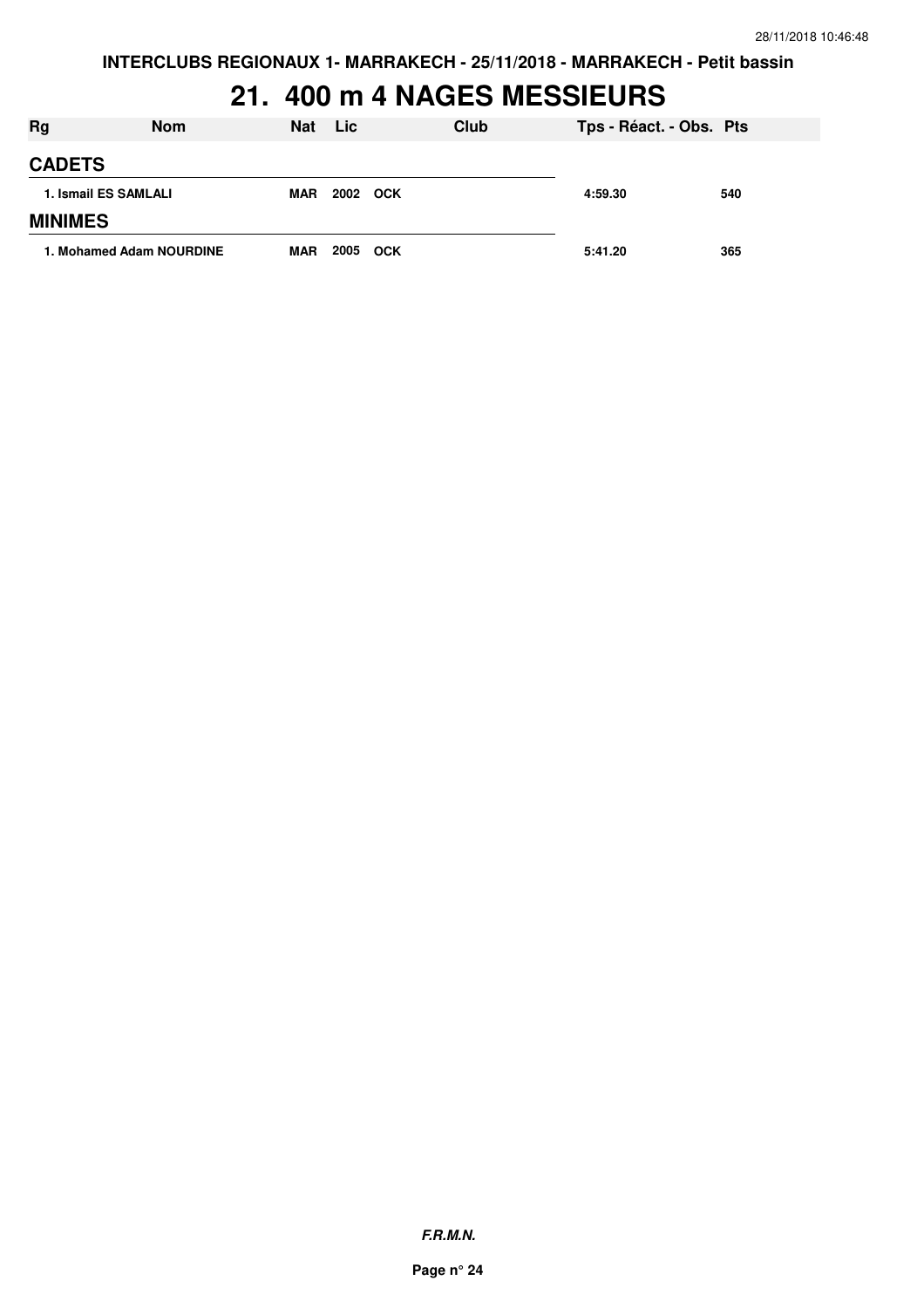**INTERCLUBS REGIONAUX 1- MARRAKECH - 25/11/2018 - MARRAKECH - Petit bassin**

#### **21. 400 m 4 NAGES MESSIEURS**

| <b>Rg</b>            | <b>Nom</b>               | Nat        | <b>Lic</b> |            | Club | Tps - Réact. - Obs. Pts |     |
|----------------------|--------------------------|------------|------------|------------|------|-------------------------|-----|
| <b>CADETS</b>        |                          |            |            |            |      |                         |     |
| 1. Ismail ES SAMLALI |                          | MAR        | 2002 OCK   |            |      | 4:59.30                 | 540 |
| <b>MINIMES</b>       |                          |            |            |            |      |                         |     |
|                      | 1. Mohamed Adam NOURDINE | <b>MAR</b> | 2005       | <b>OCK</b> |      | 5:41.20                 | 365 |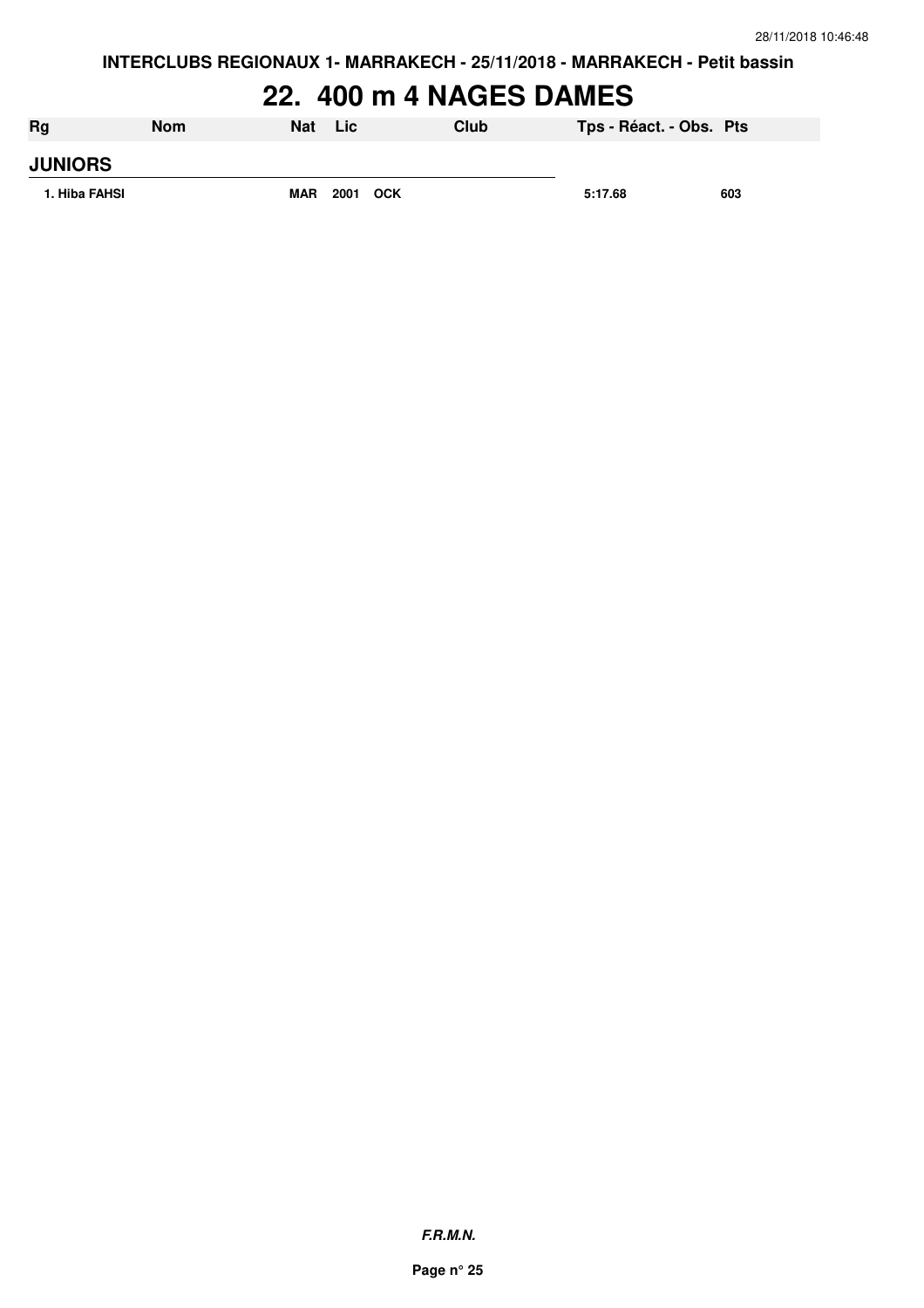**INTERCLUBS REGIONAUX 1- MARRAKECH - 25/11/2018 - MARRAKECH - Petit bassin**

### **22. 400 m 4 NAGES DAMES**

| Rg             | <b>Nom</b> | <b>Nat</b> | <b>Lic</b> | Club | Tps - Réact. - Obs. Pts |     |
|----------------|------------|------------|------------|------|-------------------------|-----|
| <b>JUNIORS</b> |            |            |            |      |                         |     |
| 1. Hiba FAHSI  |            | <b>MAR</b> | 2001 OCK   |      | 5:17.68                 | 603 |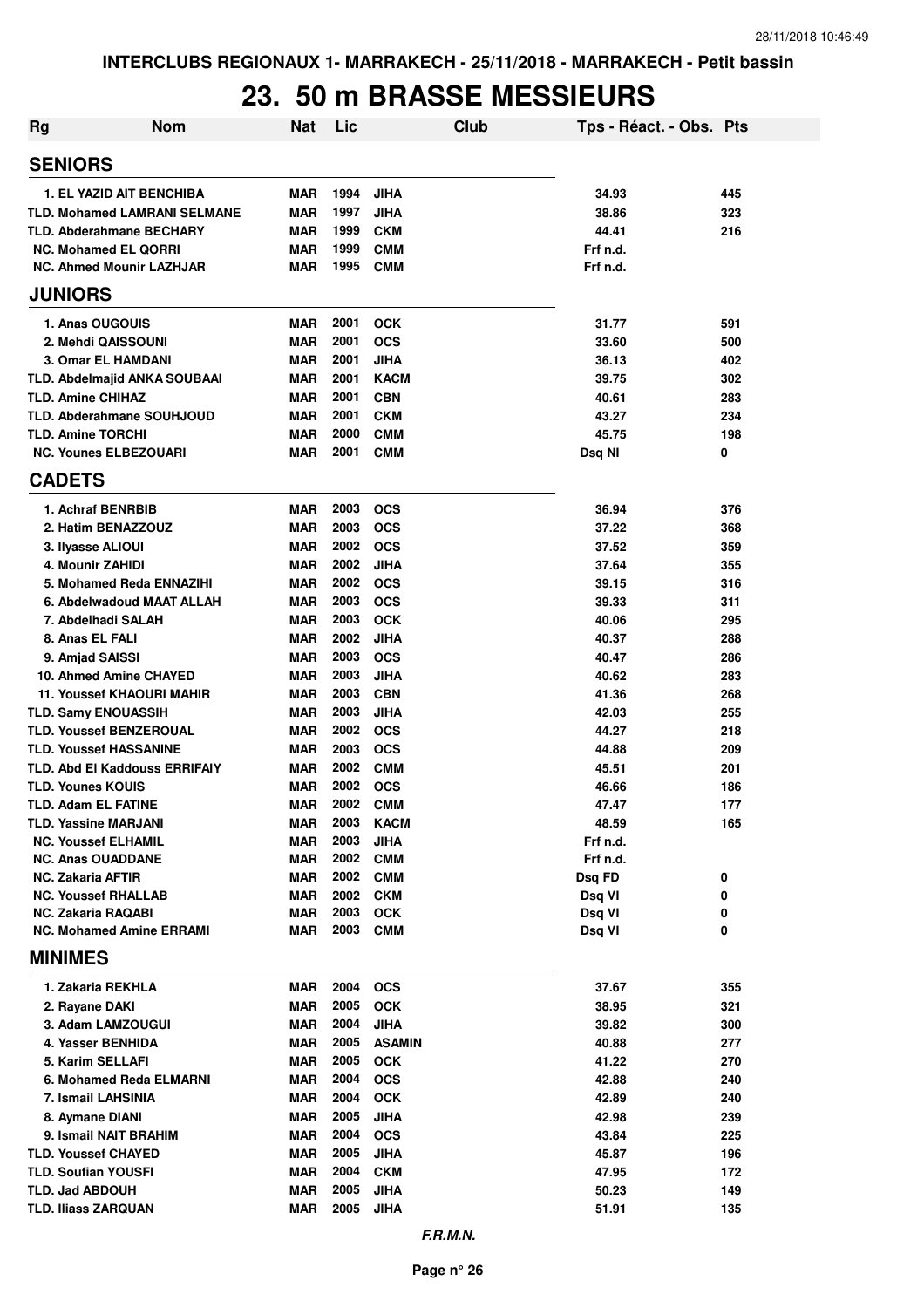#### **23. 50 m BRASSE MESSIEURS**

| Rg                                                              | <b>Nom</b>                          | <b>Nat</b>        | Lic          |                             | <b>Club</b> | Tps - Réact. - Obs. Pts |            |
|-----------------------------------------------------------------|-------------------------------------|-------------------|--------------|-----------------------------|-------------|-------------------------|------------|
| <b>SENIORS</b>                                                  |                                     |                   |              |                             |             |                         |            |
| <b>1. EL YAZID AIT BENCHIBA</b>                                 |                                     | <b>MAR</b>        | 1994         | <b>JIHA</b>                 |             | 34.93                   | 445        |
|                                                                 | <b>TLD. Mohamed LAMRANI SELMANE</b> | MAR               | 1997         | <b>JIHA</b>                 |             | 38.86                   | 323        |
| <b>TLD. Abderahmane BECHARY</b>                                 |                                     | MAR               | 1999         | <b>CKM</b>                  |             | 44.41                   | 216        |
| <b>NC. Mohamed EL QORRI</b>                                     |                                     | MAR               | 1999         | <b>CMM</b>                  |             | Frf n.d.                |            |
| <b>NC. Ahmed Mounir LAZHJAR</b>                                 |                                     | MAR               | 1995         | <b>CMM</b>                  |             | Frf n.d.                |            |
| <b>JUNIORS</b>                                                  |                                     |                   |              |                             |             |                         |            |
| 1. Anas OUGOUIS                                                 |                                     | <b>MAR</b>        | 2001         | <b>OCK</b>                  |             | 31.77                   | 591        |
| 2. Mehdi QAISSOUNI                                              |                                     | <b>MAR</b>        | 2001         | <b>OCS</b>                  |             | 33.60                   | 500        |
| 3. Omar EL HAMDANI                                              |                                     | <b>MAR</b>        | 2001         | <b>JIHA</b>                 |             | 36.13                   | 402        |
| <b>TLD. Abdelmajid ANKA SOUBAAI</b>                             |                                     | MAR               | 2001         | <b>KACM</b>                 |             | 39.75                   | 302        |
| <b>TLD. Amine CHIHAZ</b>                                        |                                     | <b>MAR</b>        | 2001         | <b>CBN</b>                  |             | 40.61                   | 283        |
| <b>TLD. Abderahmane SOUHJOUD</b>                                |                                     | MAR               | 2001         | <b>CKM</b>                  |             | 43.27                   | 234        |
| <b>TLD. Amine TORCHI</b><br><b>NC. Younes ELBEZOUARI</b>        |                                     | MAR<br><b>MAR</b> | 2000<br>2001 | <b>CMM</b><br><b>CMM</b>    |             | 45.75                   | 198<br>0   |
| <b>CADETS</b>                                                   |                                     |                   |              |                             |             | Dsq NI                  |            |
| 1. Achraf BENRBIB                                               |                                     | <b>MAR</b>        | 2003         | <b>OCS</b>                  |             | 36.94                   | 376        |
| 2. Hatim BENAZZOUZ                                              |                                     | MAR               | 2003         | <b>OCS</b>                  |             | 37.22                   | 368        |
| 3. Ilyasse ALIOUI                                               |                                     | <b>MAR</b>        | 2002         | <b>OCS</b>                  |             | 37.52                   | 359        |
| 4. Mounir ZAHIDI                                                |                                     | MAR               | 2002         | <b>JIHA</b>                 |             | 37.64                   | 355        |
| 5. Mohamed Reda ENNAZIHI                                        |                                     | MAR               | 2002         | <b>OCS</b>                  |             | 39.15                   | 316        |
|                                                                 | 6. Abdelwadoud MAAT ALLAH           | <b>MAR</b>        | 2003         | <b>OCS</b>                  |             | 39.33                   | 311        |
| 7. Abdelhadi SALAH                                              |                                     | <b>MAR</b>        | 2003         | <b>OCK</b>                  |             | 40.06                   | 295        |
| 8. Anas EL FALI                                                 |                                     | <b>MAR</b>        | 2002         | <b>JIHA</b>                 |             | 40.37                   | 288        |
| 9. Amjad SAISSI                                                 |                                     | <b>MAR</b>        | 2003         | <b>OCS</b>                  |             | 40.47                   | 286        |
| 10. Ahmed Amine CHAYED                                          |                                     | <b>MAR</b>        | 2003         | <b>JIHA</b>                 |             | 40.62                   | 283        |
| <b>11. Youssef KHAOURI MAHIR</b>                                |                                     | <b>MAR</b>        | 2003         | <b>CBN</b>                  |             | 41.36                   | 268        |
| <b>TLD. Samy ENOUASSIH</b>                                      |                                     | <b>MAR</b>        | 2003         | <b>JIHA</b>                 |             | 42.03                   | 255        |
| <b>TLD. Youssef BENZEROUAL</b><br><b>TLD. Youssef HASSANINE</b> |                                     | MAR<br>MAR        | 2002<br>2003 | <b>OCS</b><br><b>OCS</b>    |             | 44.27<br>44.88          | 218<br>209 |
| <b>TLD. Abd EI Kaddouss ERRIFAIY</b>                            |                                     | <b>MAR</b>        | 2002         | <b>CMM</b>                  |             | 45.51                   | 201        |
| <b>TLD. Younes KOUIS</b>                                        |                                     | <b>MAR</b>        | 2002         | <b>OCS</b>                  |             | 46.66                   | 186        |
| <b>TLD. Adam EL FATINE</b>                                      |                                     | MAR               | 2002         | <b>CMM</b>                  |             | 47.47                   | 177        |
| <b>TLD. Yassine MARJANI</b>                                     |                                     | MAR               | 2003         | <b>KACM</b>                 |             | 48.59                   | 165        |
| <b>NC. Youssef ELHAMIL</b>                                      |                                     | <b>MAR</b>        | 2003         | <b>JIHA</b>                 |             | Frf n.d.                |            |
| <b>NC. Anas OUADDANE</b>                                        |                                     | <b>MAR</b>        | 2002         | <b>CMM</b>                  |             | Frf n.d.                |            |
| <b>NC. Zakaria AFTIR</b>                                        |                                     | <b>MAR</b>        | 2002         | <b>CMM</b>                  |             | Dsq FD                  | 0          |
| <b>NC. Youssef RHALLAB</b>                                      |                                     | MAR               | 2002         | <b>CKM</b>                  |             | Dsq VI                  | 0          |
| <b>NC. Zakaria RAQABI</b>                                       |                                     | MAR               | 2003         | <b>OCK</b>                  |             | Dsq VI                  | 0          |
| <b>NC. Mohamed Amine ERRAMI</b>                                 |                                     | MAR               | 2003         | <b>CMM</b>                  |             | Dsq VI                  | 0          |
| <b>MINIMES</b>                                                  |                                     |                   |              |                             |             |                         |            |
| 1. Zakaria REKHLA                                               |                                     | <b>MAR</b>        | 2004         | <b>OCS</b>                  |             | 37.67                   | 355        |
| 2. Rayane DAKI                                                  |                                     | MAR               | 2005         | <b>OCK</b>                  |             | 38.95                   | 321        |
| 3. Adam LAMZOUGUI                                               |                                     | MAR               | 2004<br>2005 | <b>JIHA</b>                 |             | 39.82                   | 300        |
| 4. Yasser BENHIDA<br>5. Karim SELLAFI                           |                                     | MAR<br>MAR        | 2005         | <b>ASAMIN</b><br><b>OCK</b> |             | 40.88<br>41.22          | 277<br>270 |
| 6. Mohamed Reda ELMARNI                                         |                                     | MAR               | 2004         | <b>OCS</b>                  |             | 42.88                   | 240        |
| 7. Ismail LAHSINIA                                              |                                     | MAR               | 2004         | <b>OCK</b>                  |             | 42.89                   | 240        |
| 8. Aymane DIANI                                                 |                                     | MAR               | 2005         | <b>JIHA</b>                 |             | 42.98                   | 239        |
| 9. Ismail NAIT BRAHIM                                           |                                     | <b>MAR</b>        | 2004         | <b>OCS</b>                  |             | 43.84                   | 225        |
| <b>TLD. Youssef CHAYED</b>                                      |                                     | MAR               | 2005         | <b>JIHA</b>                 |             | 45.87                   | 196        |
| <b>TLD. Soufian YOUSFI</b>                                      |                                     | MAR               | 2004         | <b>CKM</b>                  |             | 47.95                   | 172        |
| <b>TLD. Jad ABDOUH</b>                                          |                                     | MAR               | 2005         | <b>JIHA</b>                 |             | 50.23                   | 149        |
| <b>TLD. Iliass ZARQUAN</b>                                      |                                     | MAR               | 2005         | <b>JIHA</b>                 |             | 51.91                   | 135        |
|                                                                 |                                     |                   |              |                             |             |                         |            |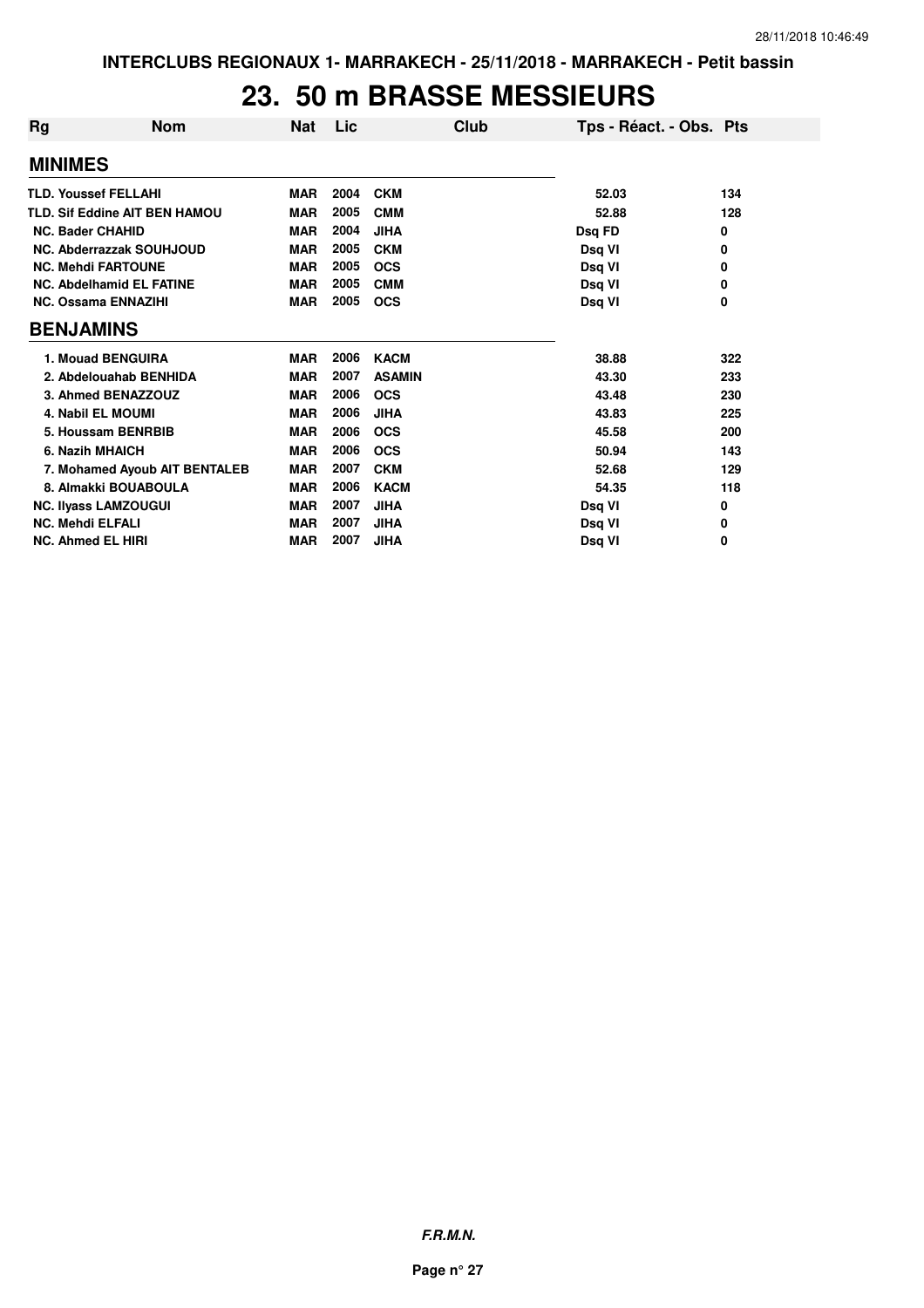#### **23. 50 m BRASSE MESSIEURS**

| Rg                          | <b>Nom</b>                           | Nat        | Lic  | Club          | Tps - Réact. - Obs. Pts |     |
|-----------------------------|--------------------------------------|------------|------|---------------|-------------------------|-----|
| <b>MINIMES</b>              |                                      |            |      |               |                         |     |
| <b>TLD. Youssef FELLAHI</b> |                                      | <b>MAR</b> | 2004 | <b>CKM</b>    | 52.03                   | 134 |
|                             | <b>TLD. Sif Eddine AIT BEN HAMOU</b> | <b>MAR</b> | 2005 | <b>CMM</b>    | 52.88                   | 128 |
| <b>NC. Bader CHAHID</b>     |                                      | <b>MAR</b> | 2004 | <b>JIHA</b>   | Dsq FD                  | 0   |
|                             | NC. Abderrazzak SOUHJOUD             | <b>MAR</b> | 2005 | <b>CKM</b>    | Dsq VI                  | 0   |
|                             | <b>NC. Mehdi FARTOUNE</b>            | <b>MAR</b> | 2005 | <b>OCS</b>    | Dsq VI                  | 0   |
|                             | <b>NC. Abdelhamid EL FATINE</b>      | <b>MAR</b> | 2005 | <b>CMM</b>    | Dsq VI                  | 0   |
|                             | <b>NC. Ossama ENNAZIHI</b>           | <b>MAR</b> | 2005 | <b>OCS</b>    | Dsq VI                  | 0   |
| <b>BENJAMINS</b>            |                                      |            |      |               |                         |     |
|                             | 1. Mouad BENGUIRA                    | <b>MAR</b> | 2006 | <b>KACM</b>   | 38.88                   | 322 |
|                             | 2. Abdelouahab BENHIDA               | <b>MAR</b> | 2007 | <b>ASAMIN</b> | 43.30                   | 233 |
|                             | 3. Ahmed BENAZZOUZ                   | <b>MAR</b> | 2006 | <b>OCS</b>    | 43.48                   | 230 |
|                             | 4. Nabil EL MOUMI                    | <b>MAR</b> | 2006 | <b>JIHA</b>   | 43.83                   | 225 |
|                             | 5. Houssam BENRBIB                   | <b>MAR</b> | 2006 | <b>OCS</b>    | 45.58                   | 200 |
| 6. Nazih MHAICH             |                                      | <b>MAR</b> | 2006 | <b>OCS</b>    | 50.94                   | 143 |
|                             | 7. Mohamed Ayoub AIT BENTALEB        | <b>MAR</b> | 2007 | <b>CKM</b>    | 52.68                   | 129 |
|                             | 8. Almakki BOUABOULA                 | <b>MAR</b> | 2006 | <b>KACM</b>   | 54.35                   | 118 |
|                             | <b>NC. Ilyass LAMZOUGUI</b>          | <b>MAR</b> | 2007 | <b>JIHA</b>   | Dsq VI                  | 0   |
| <b>NC. Mehdi ELFALI</b>     |                                      | <b>MAR</b> | 2007 | <b>JIHA</b>   | Dsq VI                  | 0   |
| <b>NC. Ahmed EL HIRI</b>    |                                      | <b>MAR</b> | 2007 | <b>JIHA</b>   | Dsg VI                  | 0   |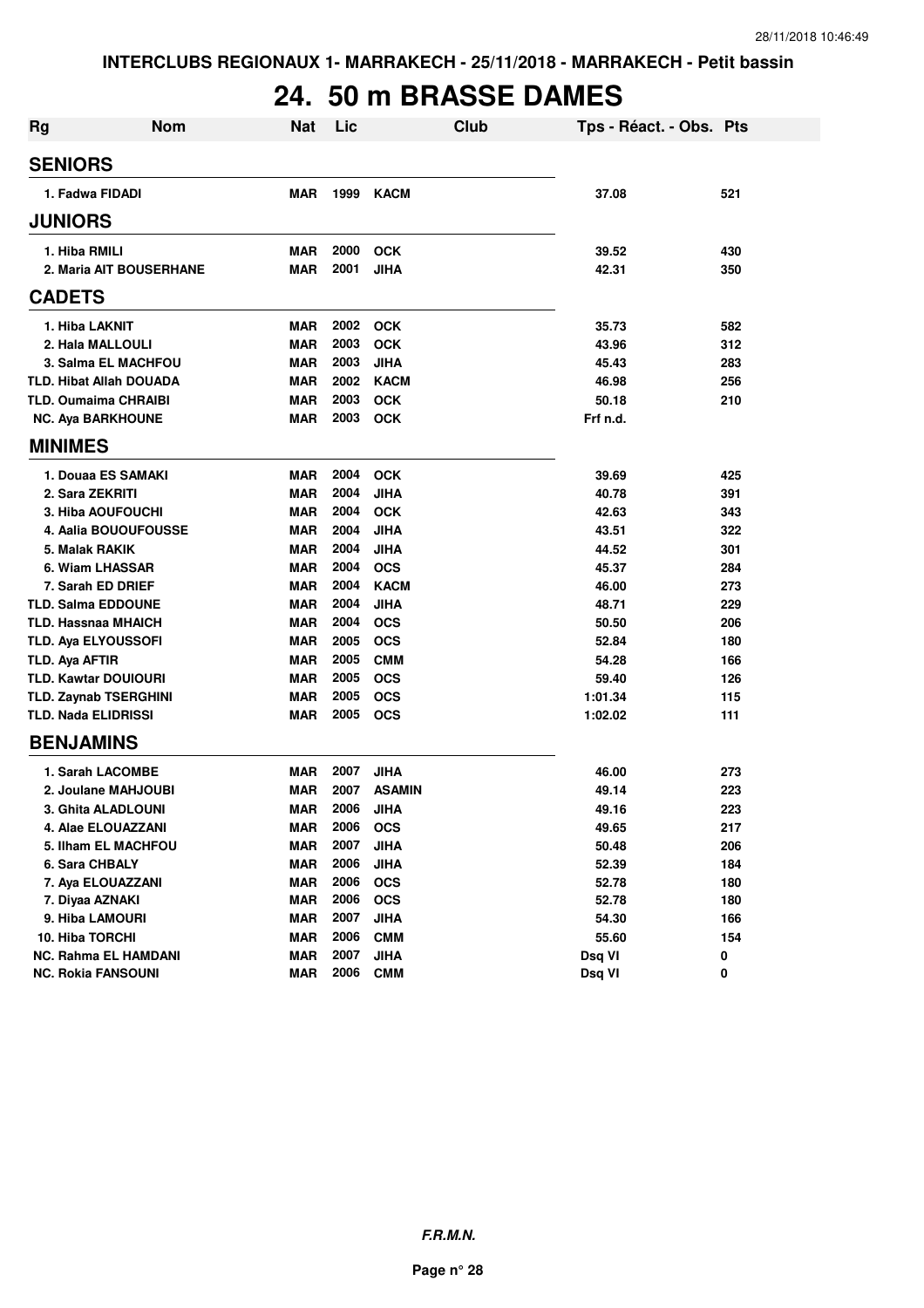# **24. 50 m BRASSE DAMES**

| <b>Rg</b> | <b>Nom</b>                     | <b>Nat</b> | Lic  | <b>Club</b>   | Tps - Réact. - Obs. Pts |     |
|-----------|--------------------------------|------------|------|---------------|-------------------------|-----|
|           | <b>SENIORS</b>                 |            |      |               |                         |     |
|           | 1. Fadwa FIDADI                | <b>MAR</b> | 1999 | <b>KACM</b>   | 37.08                   | 521 |
|           | <b>JUNIORS</b>                 |            |      |               |                         |     |
|           | 1. Hiba RMILI                  | <b>MAR</b> | 2000 | <b>OCK</b>    | 39.52                   | 430 |
|           | 2. Maria AIT BOUSERHANE        | <b>MAR</b> | 2001 | <b>JIHA</b>   | 42.31                   | 350 |
|           | <b>CADETS</b>                  |            |      |               |                         |     |
|           | 1. Hiba LAKNIT                 | <b>MAR</b> | 2002 | <b>OCK</b>    | 35.73                   | 582 |
|           | 2. Hala MALLOULI               | <b>MAR</b> | 2003 | <b>OCK</b>    | 43.96                   | 312 |
|           | 3. Salma EL MACHFOU            | <b>MAR</b> | 2003 | <b>JIHA</b>   | 45.43                   | 283 |
|           | <b>TLD. Hibat Allah DOUADA</b> | <b>MAR</b> | 2002 | <b>KACM</b>   | 46.98                   | 256 |
|           | <b>TLD. Oumaima CHRAIBI</b>    | <b>MAR</b> | 2003 | <b>OCK</b>    | 50.18                   | 210 |
|           | <b>NC. Aya BARKHOUNE</b>       | <b>MAR</b> | 2003 | <b>OCK</b>    | Frf n.d.                |     |
|           | <b>MINIMES</b>                 |            |      |               |                         |     |
|           | 1. Douaa ES SAMAKI             | <b>MAR</b> | 2004 | <b>OCK</b>    | 39.69                   | 425 |
|           | 2. Sara ZEKRITI                | <b>MAR</b> | 2004 | <b>JIHA</b>   | 40.78                   | 391 |
|           | 3. Hiba AOUFOUCHI              | <b>MAR</b> | 2004 | <b>OCK</b>    | 42.63                   | 343 |
|           | 4. Aalia BOUOUFOUSSE           | <b>MAR</b> | 2004 | <b>JIHA</b>   | 43.51                   | 322 |
|           | 5. Malak RAKIK                 | <b>MAR</b> | 2004 | <b>JIHA</b>   | 44.52                   | 301 |
|           | 6. Wiam LHASSAR                | <b>MAR</b> | 2004 | <b>OCS</b>    | 45.37                   | 284 |
|           | 7. Sarah ED DRIEF              | <b>MAR</b> | 2004 | <b>KACM</b>   | 46.00                   | 273 |
|           | <b>TLD. Salma EDDOUNE</b>      | <b>MAR</b> | 2004 | <b>JIHA</b>   | 48.71                   | 229 |
|           | <b>TLD. Hassnaa MHAICH</b>     | <b>MAR</b> | 2004 | <b>OCS</b>    | 50.50                   | 206 |
|           | TLD. Aya ELYOUSSOFI            | <b>MAR</b> | 2005 | <b>OCS</b>    | 52.84                   | 180 |
|           | TLD. Aya AFTIR                 | <b>MAR</b> | 2005 | <b>CMM</b>    | 54.28                   | 166 |
|           | <b>TLD. Kawtar DOUIOURI</b>    | <b>MAR</b> | 2005 | <b>OCS</b>    | 59.40                   | 126 |
|           | <b>TLD. Zaynab TSERGHINI</b>   | <b>MAR</b> | 2005 | <b>OCS</b>    | 1:01.34                 | 115 |
|           | <b>TLD. Nada ELIDRISSI</b>     | <b>MAR</b> | 2005 | <b>OCS</b>    | 1:02.02                 | 111 |
|           | <b>BENJAMINS</b>               |            |      |               |                         |     |
|           | 1. Sarah LACOMBE               | <b>MAR</b> | 2007 | <b>JIHA</b>   | 46.00                   | 273 |
|           | 2. Joulane MAHJOUBI            | <b>MAR</b> | 2007 | <b>ASAMIN</b> | 49.14                   | 223 |
|           | 3. Ghita ALADLOUNI             | <b>MAR</b> | 2006 | JIHA          | 49.16                   | 223 |
|           | 4. Alae ELOUAZZANI             | <b>MAR</b> | 2006 | <b>OCS</b>    | 49.65                   | 217 |
|           | 5. Ilham EL MACHFOU            | <b>MAR</b> | 2007 | <b>JIHA</b>   | 50.48                   | 206 |
|           | 6. Sara CHBALY                 | <b>MAR</b> | 2006 | <b>JIHA</b>   | 52.39                   | 184 |
|           | 7. Aya ELOUAZZANI              | <b>MAR</b> | 2006 | <b>OCS</b>    | 52.78                   | 180 |
|           | 7. Diyaa AZNAKI                | <b>MAR</b> | 2006 | <b>OCS</b>    | 52.78                   | 180 |
|           | 9. Hiba LAMOURI                | <b>MAR</b> | 2007 | <b>JIHA</b>   | 54.30                   | 166 |
|           | 10. Hiba TORCHI                | <b>MAR</b> | 2006 | <b>CMM</b>    | 55.60                   | 154 |
|           | <b>NC. Rahma EL HAMDANI</b>    | <b>MAR</b> | 2007 | <b>JIHA</b>   | Dsq VI                  | 0   |
|           | <b>NC. Rokia FANSOUNI</b>      | <b>MAR</b> | 2006 | <b>CMM</b>    | Dsq VI                  | 0   |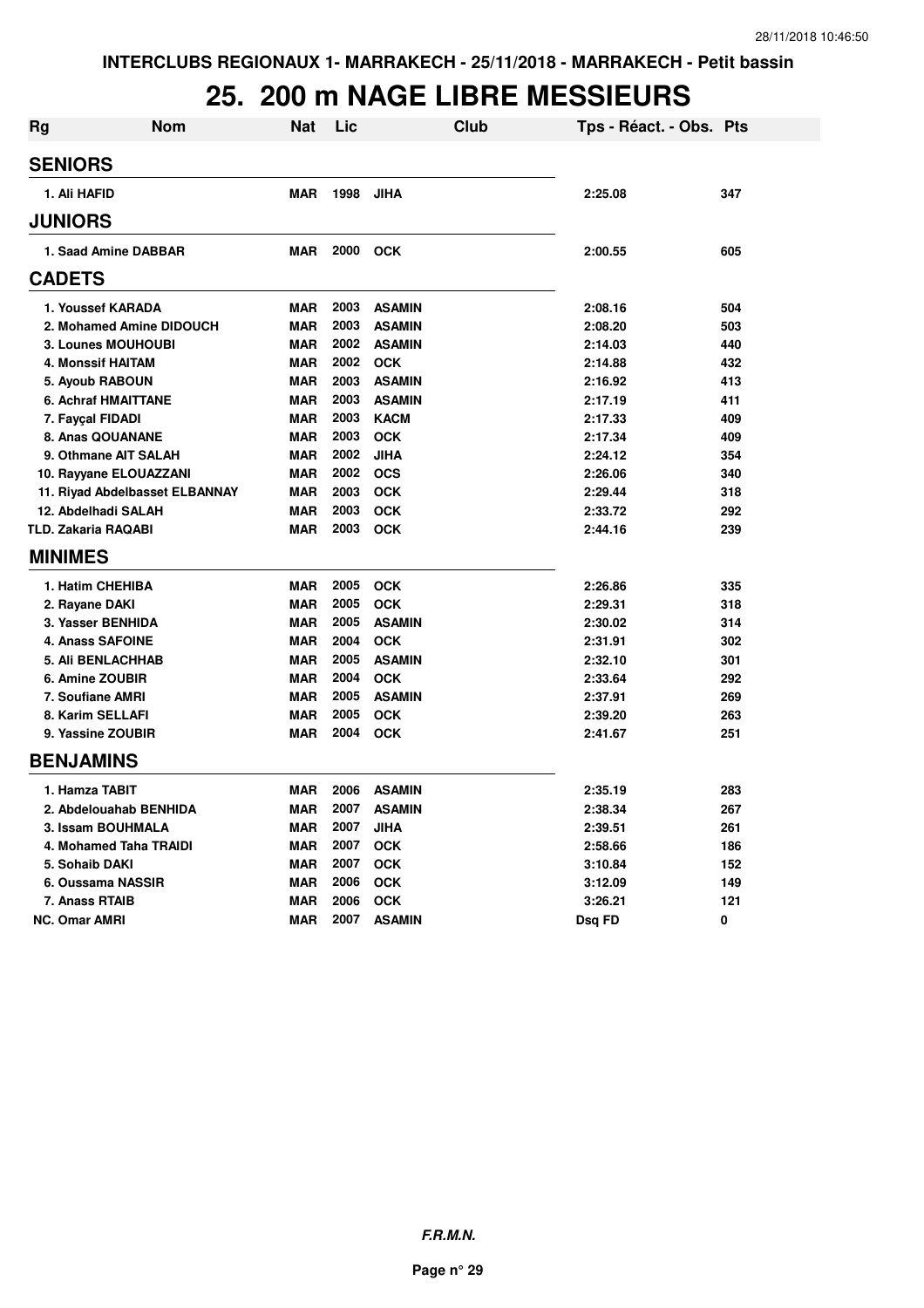#### **25. 200 m NAGE LIBRE MESSIEURS**

| <b>Rg</b> | Nom                            | <b>Nat</b> | Lic  | Club          | Tps - Réact. - Obs. Pts |     |
|-----------|--------------------------------|------------|------|---------------|-------------------------|-----|
|           | <b>SENIORS</b>                 |            |      |               |                         |     |
|           | 1. Ali HAFID                   | <b>MAR</b> | 1998 | <b>JIHA</b>   | 2:25.08                 | 347 |
|           | <b>JUNIORS</b>                 |            |      |               |                         |     |
|           | 1. Saad Amine DABBAR           | <b>MAR</b> | 2000 | <b>OCK</b>    | 2:00.55                 | 605 |
|           | <b>CADETS</b>                  |            |      |               |                         |     |
|           | 1. Youssef KARADA              | <b>MAR</b> | 2003 | <b>ASAMIN</b> | 2:08.16                 | 504 |
|           | 2. Mohamed Amine DIDOUCH       | <b>MAR</b> | 2003 | <b>ASAMIN</b> | 2:08.20                 | 503 |
|           | 3. Lounes MOUHOUBI             | <b>MAR</b> | 2002 | <b>ASAMIN</b> | 2:14.03                 | 440 |
|           | 4. Monssif HAITAM              | <b>MAR</b> |      | 2002 OCK      | 2:14.88                 | 432 |
|           | 5. Ayoub RABOUN                | <b>MAR</b> | 2003 | <b>ASAMIN</b> | 2:16.92                 | 413 |
|           | <b>6. Achraf HMAITTANE</b>     | <b>MAR</b> | 2003 | <b>ASAMIN</b> | 2:17.19                 | 411 |
|           | 7. Fayçal FIDADI               | <b>MAR</b> | 2003 | <b>KACM</b>   | 2:17.33                 | 409 |
|           | 8. Anas QOUANANE               | <b>MAR</b> | 2003 | <b>OCK</b>    | 2:17.34                 | 409 |
|           | 9. Othmane AIT SALAH           | <b>MAR</b> | 2002 | <b>JIHA</b>   | 2:24.12                 | 354 |
|           | 10. Rayyane ELOUAZZANI         | <b>MAR</b> |      | 2002 OCS      | 2:26.06                 | 340 |
|           | 11. Riyad Abdelbasset ELBANNAY | <b>MAR</b> | 2003 | <b>OCK</b>    | 2:29.44                 | 318 |
|           | 12. Abdelhadi SALAH            | <b>MAR</b> | 2003 | <b>OCK</b>    | 2:33.72                 | 292 |
|           | <b>TLD. Zakaria RAQABI</b>     | <b>MAR</b> | 2003 | <b>OCK</b>    | 2:44.16                 | 239 |
|           | <b>MINIMES</b>                 |            |      |               |                         |     |
|           | 1. Hatim CHEHIBA               | <b>MAR</b> | 2005 | <b>OCK</b>    | 2:26.86                 | 335 |
|           | 2. Rayane DAKI                 | <b>MAR</b> | 2005 | <b>OCK</b>    | 2:29.31                 | 318 |
|           | 3. Yasser BENHIDA              | <b>MAR</b> | 2005 | <b>ASAMIN</b> | 2:30.02                 | 314 |
|           | <b>4. Anass SAFOINE</b>        | <b>MAR</b> | 2004 | <b>OCK</b>    | 2:31.91                 | 302 |
|           | <b>5. Ali BENLACHHAB</b>       | <b>MAR</b> | 2005 | <b>ASAMIN</b> | 2:32.10                 | 301 |
|           | 6. Amine ZOUBIR                | <b>MAR</b> | 2004 | <b>OCK</b>    | 2:33.64                 | 292 |
|           | 7. Soufiane AMRI               | <b>MAR</b> | 2005 | <b>ASAMIN</b> | 2:37.91                 | 269 |
|           | 8. Karim SELLAFI               | <b>MAR</b> | 2005 | <b>OCK</b>    | 2:39.20                 | 263 |
|           | 9. Yassine ZOUBIR              | <b>MAR</b> | 2004 | OCK           | 2:41.67                 | 251 |
|           | <b>BENJAMINS</b>               |            |      |               |                         |     |
|           | 1. Hamza TABIT                 | <b>MAR</b> | 2006 | <b>ASAMIN</b> | 2:35.19                 | 283 |
|           | 2. Abdelouahab BENHIDA         | <b>MAR</b> | 2007 | <b>ASAMIN</b> | 2:38.34                 | 267 |
|           | 3. Issam BOUHMALA              | <b>MAR</b> | 2007 | <b>JIHA</b>   | 2:39.51                 | 261 |
|           | 4. Mohamed Taha TRAIDI         | <b>MAR</b> | 2007 | <b>OCK</b>    | 2:58.66                 | 186 |
|           | 5. Sohaib DAKI                 | <b>MAR</b> | 2007 | <b>OCK</b>    | 3:10.84                 | 152 |
|           | 6. Oussama NASSIR              | <b>MAR</b> | 2006 | <b>OCK</b>    | 3:12.09                 | 149 |
|           | 7. Anass RTAIB                 | <b>MAR</b> | 2006 | <b>OCK</b>    | 3:26.21                 | 121 |
|           | <b>NC. Omar AMRI</b>           | <b>MAR</b> | 2007 | <b>ASAMIN</b> | Dsg FD                  | 0   |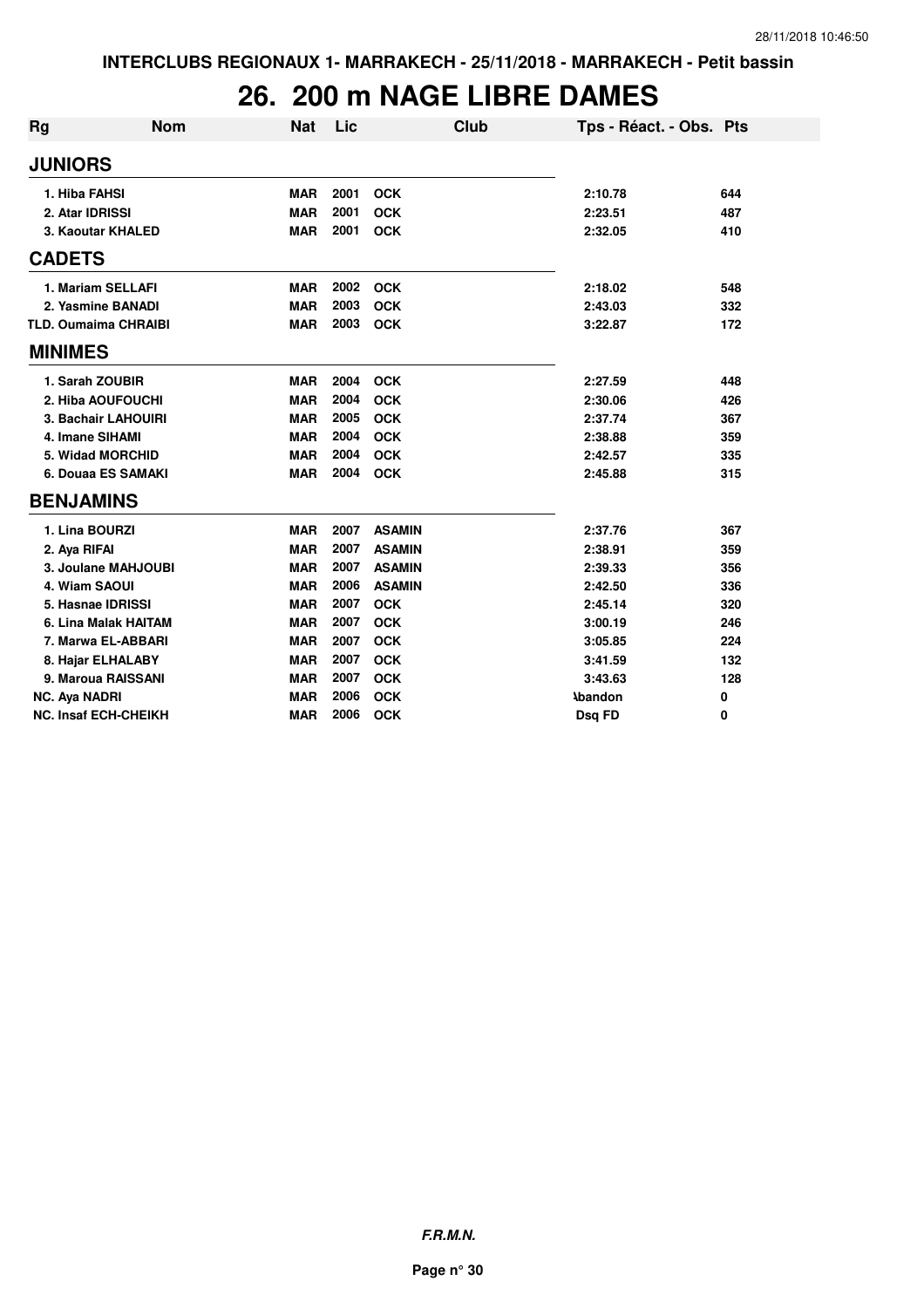#### **26. 200 m NAGE LIBRE DAMES**

| <b>Rg</b>                   | <b>Nom</b>           | <b>Nat</b> | Lic  | Club          | Tps - Réact. - Obs. Pts |     |
|-----------------------------|----------------------|------------|------|---------------|-------------------------|-----|
| <b>JUNIORS</b>              |                      |            |      |               |                         |     |
| 1. Hiba FAHSI               |                      | <b>MAR</b> | 2001 | <b>OCK</b>    | 2:10.78                 | 644 |
| 2. Atar IDRISSI             |                      | <b>MAR</b> | 2001 | <b>OCK</b>    | 2:23.51                 | 487 |
|                             | 3. Kaoutar KHALED    | <b>MAR</b> | 2001 | <b>OCK</b>    | 2:32.05                 | 410 |
| <b>CADETS</b>               |                      |            |      |               |                         |     |
| 1. Mariam SELLAFI           |                      | <b>MAR</b> | 2002 | <b>OCK</b>    | 2:18.02                 | 548 |
|                             | 2. Yasmine BANADI    | <b>MAR</b> | 2003 | <b>OCK</b>    | 2:43.03                 | 332 |
| <b>TLD. Oumaima CHRAIBI</b> |                      | <b>MAR</b> | 2003 | <b>OCK</b>    | 3:22.87                 | 172 |
| <b>MINIMES</b>              |                      |            |      |               |                         |     |
| 1. Sarah ZOUBIR             |                      | <b>MAR</b> | 2004 | <b>OCK</b>    | 2:27.59                 | 448 |
|                             | 2. Hiba AOUFOUCHI    | <b>MAR</b> | 2004 | <b>OCK</b>    | 2:30.06                 | 426 |
|                             | 3. Bachair LAHOUIRI  | <b>MAR</b> | 2005 | <b>OCK</b>    | 2:37.74                 | 367 |
| 4. Imane SIHAMI             |                      | <b>MAR</b> | 2004 | <b>OCK</b>    | 2:38.88                 | 359 |
| 5. Widad MORCHID            |                      | <b>MAR</b> | 2004 | <b>OCK</b>    | 2:42.57                 | 335 |
|                             | 6. Douaa ES SAMAKI   | <b>MAR</b> | 2004 | <b>OCK</b>    | 2:45.88                 | 315 |
| <b>BENJAMINS</b>            |                      |            |      |               |                         |     |
| 1. Lina BOURZI              |                      | <b>MAR</b> | 2007 | <b>ASAMIN</b> | 2:37.76                 | 367 |
| 2. Aya RIFAI                |                      | <b>MAR</b> | 2007 | <b>ASAMIN</b> | 2:38.91                 | 359 |
|                             | 3. Joulane MAHJOUBI  | <b>MAR</b> | 2007 | <b>ASAMIN</b> | 2:39.33                 | 356 |
| 4. Wiam SAOUI               |                      | <b>MAR</b> | 2006 | <b>ASAMIN</b> | 2:42.50                 | 336 |
| 5. Hasnae IDRISSI           |                      | <b>MAR</b> | 2007 | <b>OCK</b>    | 2:45.14                 | 320 |
|                             | 6. Lina Malak HAITAM | <b>MAR</b> | 2007 | <b>OCK</b>    | 3:00.19                 | 246 |
|                             | 7. Marwa EL-ABBARI   | <b>MAR</b> | 2007 | <b>OCK</b>    | 3:05.85                 | 224 |
| 8. Hajar ELHALABY           |                      | <b>MAR</b> | 2007 | <b>OCK</b>    | 3:41.59                 | 132 |
|                             | 9. Maroua RAISSANI   | <b>MAR</b> | 2007 | <b>OCK</b>    | 3:43.63                 | 128 |
| <b>NC. Aya NADRI</b>        |                      | <b>MAR</b> | 2006 | <b>OCK</b>    | <b>Abandon</b>          | 0   |
| <b>NC. Insaf ECH-CHEIKH</b> |                      | <b>MAR</b> | 2006 | <b>OCK</b>    | Dsq FD                  | 0   |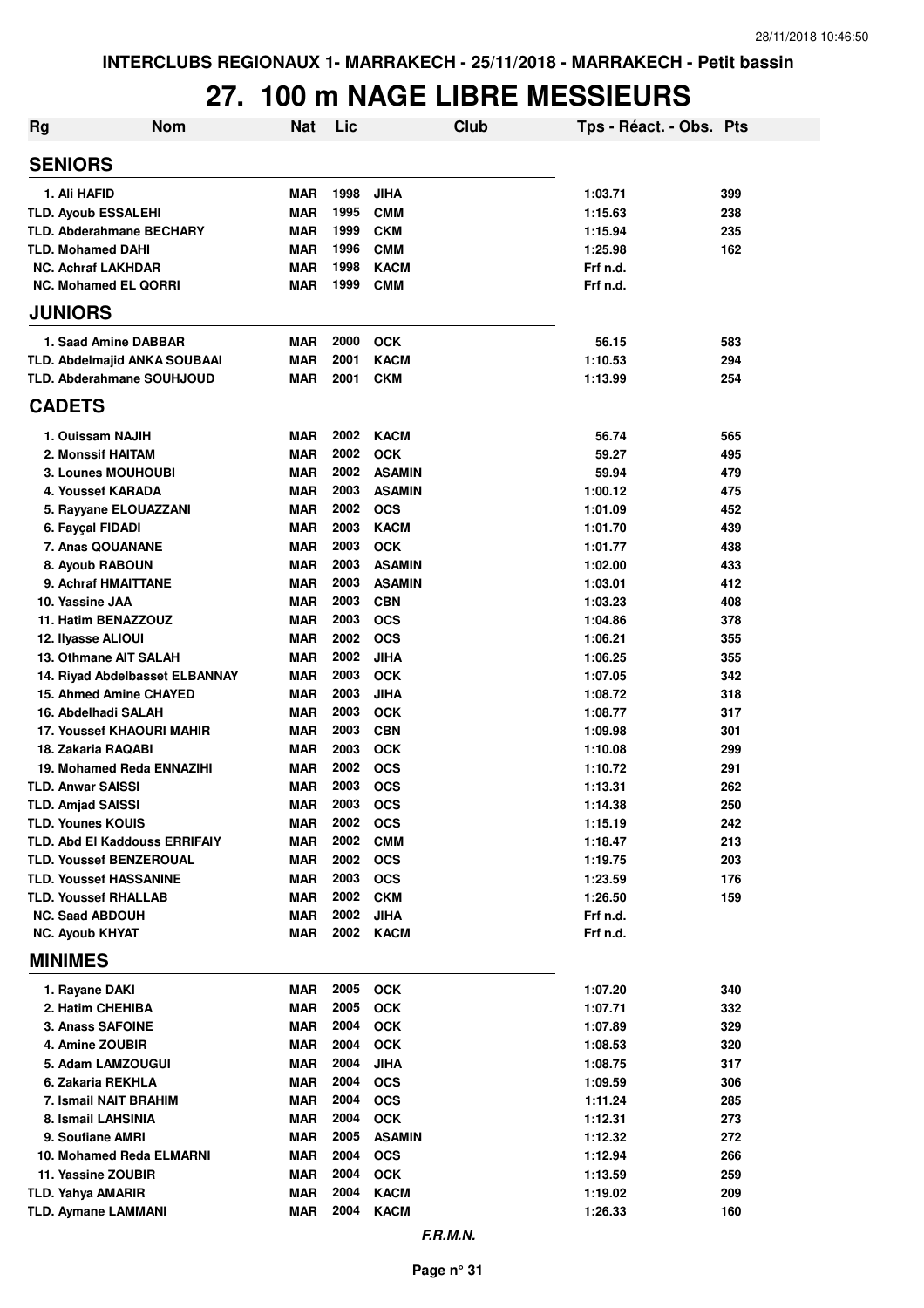### **27. 100 m NAGE LIBRE MESSIEURS**

| <b>Rg</b> | <b>Nom</b>                                                      | <b>Nat</b>               | Lic          | Club                      | Tps - Réact. - Obs. Pts |            |
|-----------|-----------------------------------------------------------------|--------------------------|--------------|---------------------------|-------------------------|------------|
|           | <b>SENIORS</b>                                                  |                          |              |                           |                         |            |
|           | 1. Ali HAFID                                                    | <b>MAR</b>               | 1998         | <b>JIHA</b>               | 1:03.71                 | 399        |
|           | <b>TLD. Ayoub ESSALEHI</b>                                      | <b>MAR</b>               | 1995         | <b>CMM</b>                | 1:15.63                 | 238        |
|           | <b>TLD. Abderahmane BECHARY</b>                                 | <b>MAR</b>               | 1999         | <b>CKM</b>                | 1:15.94                 | 235        |
|           | <b>TLD. Mohamed DAHI</b>                                        | <b>MAR</b>               | 1996         | <b>CMM</b>                | 1:25.98                 | 162        |
|           | <b>NC. Achraf LAKHDAR</b>                                       | <b>MAR</b>               | 1998         | <b>KACM</b>               | Frf n.d.                |            |
|           | <b>NC. Mohamed EL QORRI</b>                                     | <b>MAR</b>               | 1999         | <b>CMM</b>                | Frf n.d.                |            |
|           | <b>JUNIORS</b>                                                  |                          |              |                           |                         |            |
|           | 1. Saad Amine DABBAR                                            | <b>MAR</b>               | 2000         | <b>OCK</b>                | 56.15                   | 583        |
|           | TLD. Abdelmajid ANKA SOUBAAI                                    | <b>MAR</b>               | 2001         | <b>KACM</b>               | 1:10.53                 | 294        |
|           | <b>TLD. Abderahmane SOUHJOUD</b>                                | <b>MAR</b>               | 2001         | <b>CKM</b>                | 1:13.99                 | 254        |
|           | <b>CADETS</b>                                                   |                          |              |                           |                         |            |
|           | 1. Ouissam NAJIH                                                | <b>MAR</b>               | 2002         | <b>KACM</b>               | 56.74                   | 565        |
|           | 2. Monssif HAITAM                                               | <b>MAR</b>               | 2002         | <b>OCK</b>                | 59.27                   | 495        |
|           | <b>3. Lounes MOUHOUBI</b>                                       | <b>MAR</b>               | 2002         | <b>ASAMIN</b>             | 59.94                   | 479        |
|           | 4. Youssef KARADA                                               | <b>MAR</b>               | 2003         | <b>ASAMIN</b>             | 1:00.12                 | 475        |
|           | 5. Rayyane ELOUAZZANI                                           | <b>MAR</b>               | 2002         | <b>OCS</b>                | 1:01.09                 | 452        |
|           | 6. Fayçal FIDADI                                                | <b>MAR</b>               | 2003         | <b>KACM</b>               | 1:01.70                 | 439        |
|           | 7. Anas QOUANANE                                                | <b>MAR</b>               | 2003         | <b>OCK</b>                | 1:01.77                 | 438        |
|           | 8. Ayoub RABOUN                                                 | <b>MAR</b>               | 2003         | <b>ASAMIN</b>             | 1:02.00                 | 433        |
|           | 9. Achraf HMAITTANE                                             | <b>MAR</b>               | 2003         | <b>ASAMIN</b>             | 1:03.01                 | 412        |
|           | 10. Yassine JAA                                                 | <b>MAR</b>               | 2003         | <b>CBN</b>                | 1:03.23                 | 408        |
|           | 11. Hatim BENAZZOUZ                                             | <b>MAR</b>               | 2003         | <b>OCS</b>                | 1:04.86                 | 378        |
|           | 12. Ilyasse ALIOUI                                              | <b>MAR</b>               | 2002<br>2002 | <b>OCS</b>                | 1:06.21                 | 355        |
|           | 13. Othmane AIT SALAH                                           | <b>MAR</b><br><b>MAR</b> | 2003         | <b>JIHA</b><br><b>OCK</b> | 1:06.25                 | 355<br>342 |
|           | 14. Riyad Abdelbasset ELBANNAY<br><b>15. Ahmed Amine CHAYED</b> | <b>MAR</b>               | 2003         | <b>JIHA</b>               | 1:07.05<br>1:08.72      | 318        |
|           | 16. Abdelhadi SALAH                                             | <b>MAR</b>               | 2003         | <b>OCK</b>                | 1:08.77                 | 317        |
|           | 17. Youssef KHAOURI MAHIR                                       | <b>MAR</b>               | 2003         | <b>CBN</b>                | 1:09.98                 | 301        |
|           | 18. Zakaria RAQABI                                              | <b>MAR</b>               | 2003         | <b>OCK</b>                | 1:10.08                 | 299        |
|           | 19. Mohamed Reda ENNAZIHI                                       | <b>MAR</b>               | 2002         | <b>OCS</b>                | 1:10.72                 | 291        |
|           | <b>TLD. Anwar SAISSI</b>                                        | <b>MAR</b>               | 2003         | <b>OCS</b>                | 1:13.31                 | 262        |
|           | <b>TLD. Amjad SAISSI</b>                                        | <b>MAR</b>               | 2003         | <b>OCS</b>                | 1:14.38                 | 250        |
|           | <b>TLD. Younes KOUIS</b>                                        | <b>MAR</b>               | 2002         | <b>OCS</b>                | 1:15.19                 | 242        |
|           | <b>TLD. Abd EI Kaddouss ERRIFAIY</b>                            | <b>MAR</b>               | 2002         | <b>CMM</b>                | 1:18.47                 | 213        |
|           | <b>TLD. Youssef BENZEROUAL</b>                                  | <b>MAR</b>               | 2002         | <b>OCS</b>                | 1:19.75                 | 203        |
|           | <b>TLD. Youssef HASSANINE</b>                                   | <b>MAR</b>               | 2003         | <b>OCS</b>                | 1:23.59                 | 176        |
|           | <b>TLD. Youssef RHALLAB</b>                                     | <b>MAR</b>               | 2002         | <b>CKM</b>                | 1:26.50                 | 159        |
|           | <b>NC. Saad ABDOUH</b>                                          | <b>MAR</b>               | 2002         | <b>JIHA</b>               | Frf n.d.                |            |
|           | <b>NC. Ayoub KHYAT</b>                                          | MAR                      | 2002         | <b>KACM</b>               | Frf n.d.                |            |
|           | <b>MINIMES</b>                                                  |                          |              |                           |                         |            |
|           | 1. Rayane DAKI                                                  | MAR                      | 2005         | <b>OCK</b>                | 1:07.20                 | 340        |
|           | 2. Hatim CHEHIBA                                                | <b>MAR</b>               | 2005         | <b>OCK</b>                | 1:07.71                 | 332        |
|           | 3. Anass SAFOINE                                                | <b>MAR</b>               | 2004         | <b>OCK</b>                | 1:07.89                 | 329        |
|           | 4. Amine ZOUBIR                                                 | <b>MAR</b>               | 2004         | <b>OCK</b>                | 1:08.53                 | 320        |
|           | 5. Adam LAMZOUGUI                                               | <b>MAR</b>               | 2004         | <b>JIHA</b>               | 1:08.75                 | 317        |
|           | 6. Zakaria REKHLA                                               | <b>MAR</b>               | 2004         | <b>OCS</b>                | 1:09.59                 | 306        |
|           | 7. Ismail NAIT BRAHIM                                           | <b>MAR</b>               | 2004         | <b>OCS</b>                | 1:11.24                 | 285        |
|           | 8. Ismail LAHSINIA                                              | <b>MAR</b>               | 2004         | <b>OCK</b>                | 1:12.31                 | 273        |
|           | 9. Soufiane AMRI                                                | <b>MAR</b>               | 2005         | <b>ASAMIN</b>             | 1:12.32                 | 272        |
|           | 10. Mohamed Reda ELMARNI                                        | <b>MAR</b>               | 2004         | <b>OCS</b>                | 1:12.94                 | 266        |
|           | 11. Yassine ZOUBIR                                              | <b>MAR</b>               | 2004         | <b>OCK</b>                | 1:13.59                 | 259        |
|           | <b>TLD. Yahya AMARIR</b>                                        | <b>MAR</b>               | 2004         | <b>KACM</b>               | 1:19.02                 | 209        |
|           | <b>TLD. Aymane LAMMANI</b>                                      | <b>MAR</b>               | 2004         | <b>KACM</b>               | 1:26.33                 | 160        |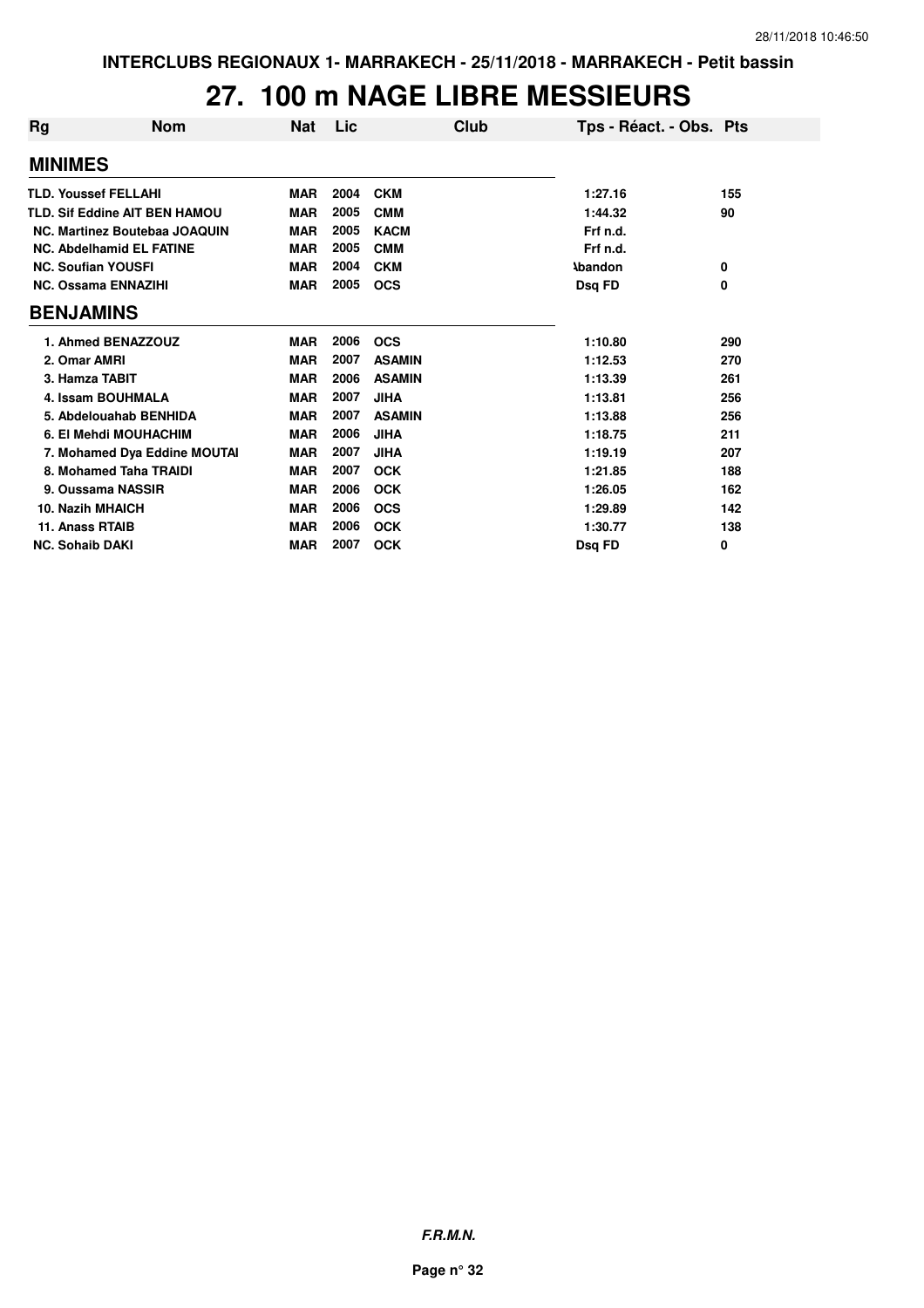#### **27. 100 m NAGE LIBRE MESSIEURS**

| Rg | <b>Nom</b>                           | Nat        | Lic  | Club          | Tps - Réact. - Obs. Pts |     |
|----|--------------------------------------|------------|------|---------------|-------------------------|-----|
|    | <b>MINIMES</b>                       |            |      |               |                         |     |
|    | <b>TLD. Youssef FELLAHI</b>          | <b>MAR</b> | 2004 | <b>CKM</b>    | 1:27.16                 | 155 |
|    | <b>TLD. Sif Eddine AIT BEN HAMOU</b> | <b>MAR</b> | 2005 | <b>CMM</b>    | 1:44.32                 | 90  |
|    | NC. Martinez Boutebaa JOAQUIN        | <b>MAR</b> | 2005 | <b>KACM</b>   | Frf n.d.                |     |
|    | <b>NC. Abdelhamid EL FATINE</b>      | <b>MAR</b> | 2005 | <b>CMM</b>    | Frf n.d.                |     |
|    | <b>NC. Soufian YOUSFI</b>            | <b>MAR</b> | 2004 | <b>CKM</b>    | <b>Abandon</b>          | 0   |
|    | <b>NC. Ossama ENNAZIHI</b>           | <b>MAR</b> | 2005 | <b>OCS</b>    | Dsq FD                  | 0   |
|    | <b>BENJAMINS</b>                     |            |      |               |                         |     |
|    | 1. Ahmed BENAZZOUZ                   | <b>MAR</b> | 2006 | <b>OCS</b>    | 1:10.80                 | 290 |
|    | 2. Omar AMRI                         | <b>MAR</b> | 2007 | <b>ASAMIN</b> | 1:12.53                 | 270 |
|    | 3. Hamza TABIT                       | <b>MAR</b> | 2006 | <b>ASAMIN</b> | 1:13.39                 | 261 |
|    | 4. Issam BOUHMALA                    | <b>MAR</b> | 2007 | <b>JIHA</b>   | 1:13.81                 | 256 |
|    | 5. Abdelouahab BENHIDA               | <b>MAR</b> | 2007 | <b>ASAMIN</b> | 1:13.88                 | 256 |
|    | 6. El Mehdi MOUHACHIM                | <b>MAR</b> | 2006 | <b>JIHA</b>   | 1:18.75                 | 211 |
|    | 7. Mohamed Dya Eddine MOUTAI         | <b>MAR</b> | 2007 | <b>JIHA</b>   | 1:19.19                 | 207 |
|    | 8. Mohamed Taha TRAIDI               | <b>MAR</b> | 2007 | <b>OCK</b>    | 1:21.85                 | 188 |
|    | 9. Oussama NASSIR                    | <b>MAR</b> | 2006 | <b>OCK</b>    | 1:26.05                 | 162 |
|    | <b>10. Nazih MHAICH</b>              | <b>MAR</b> | 2006 | <b>OCS</b>    | 1:29.89                 | 142 |
|    | 11. Anass RTAIB                      | <b>MAR</b> | 2006 | <b>OCK</b>    | 1:30.77                 | 138 |
|    | <b>NC. Sohaib DAKI</b>               | <b>MAR</b> | 2007 | <b>OCK</b>    | Dsq FD                  | 0   |

**F.R.M.N.**

**Page n° 32**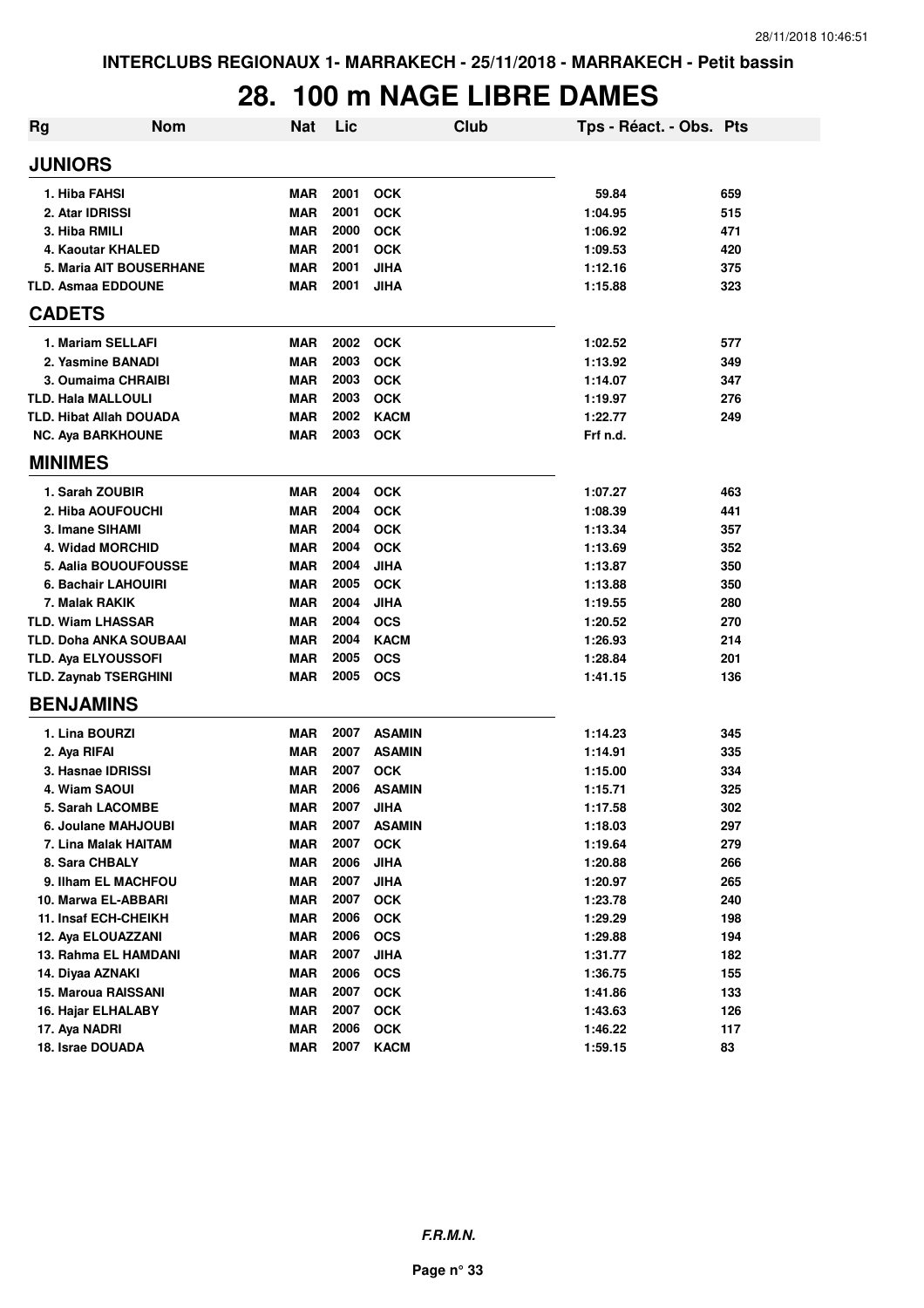#### **28. 100 m NAGE LIBRE DAMES**

| <b>Rg</b> | <b>Nom</b>                   | <b>Nat</b> | Lic  | Club          | Tps - Réact. - Obs. Pts |     |
|-----------|------------------------------|------------|------|---------------|-------------------------|-----|
|           | <b>JUNIORS</b>               |            |      |               |                         |     |
|           | 1. Hiba FAHSI                | <b>MAR</b> | 2001 | <b>OCK</b>    | 59.84                   | 659 |
|           | 2. Atar IDRISSI              | <b>MAR</b> | 2001 | <b>OCK</b>    | 1:04.95                 | 515 |
|           | 3. Hiba RMILI                | <b>MAR</b> | 2000 | <b>OCK</b>    | 1:06.92                 | 471 |
|           | 4. Kaoutar KHALED            | <b>MAR</b> | 2001 | <b>OCK</b>    | 1:09.53                 | 420 |
|           | 5. Maria AIT BOUSERHANE      | <b>MAR</b> | 2001 | <b>JIHA</b>   | 1:12.16                 | 375 |
|           | <b>TLD. Asmaa EDDOUNE</b>    | <b>MAR</b> | 2001 | <b>JIHA</b>   | 1:15.88                 | 323 |
|           | <b>CADETS</b>                |            |      |               |                         |     |
|           | 1. Mariam SELLAFI            | <b>MAR</b> | 2002 | <b>OCK</b>    | 1:02.52                 | 577 |
|           | 2. Yasmine BANADI            | <b>MAR</b> | 2003 | <b>OCK</b>    | 1:13.92                 | 349 |
|           | 3. Oumaima CHRAIBI           | <b>MAR</b> | 2003 | <b>OCK</b>    | 1:14.07                 | 347 |
|           | <b>TLD. Hala MALLOULI</b>    | <b>MAR</b> | 2003 | <b>OCK</b>    | 1:19.97                 | 276 |
|           | TLD. Hibat Allah DOUADA      | <b>MAR</b> | 2002 | <b>KACM</b>   | 1:22.77                 | 249 |
|           | <b>NC. Aya BARKHOUNE</b>     | <b>MAR</b> | 2003 | <b>OCK</b>    | Frf n.d.                |     |
|           | <b>MINIMES</b>               |            |      |               |                         |     |
|           | 1. Sarah ZOUBIR              | <b>MAR</b> | 2004 | <b>OCK</b>    | 1:07.27                 | 463 |
|           | 2. Hiba AOUFOUCHI            | <b>MAR</b> | 2004 | <b>OCK</b>    | 1:08.39                 | 441 |
|           | 3. Imane SIHAMI              | <b>MAR</b> | 2004 | <b>OCK</b>    | 1:13.34                 | 357 |
|           | 4. Widad MORCHID             | <b>MAR</b> | 2004 | <b>OCK</b>    | 1:13.69                 | 352 |
|           | 5. Aalia BOUOUFOUSSE         | <b>MAR</b> | 2004 | <b>JIHA</b>   | 1:13.87                 | 350 |
|           | 6. Bachair LAHOUIRI          | <b>MAR</b> | 2005 | <b>OCK</b>    | 1:13.88                 | 350 |
|           | 7. Malak RAKIK               | <b>MAR</b> | 2004 | <b>JIHA</b>   | 1:19.55                 | 280 |
|           | <b>TLD. Wiam LHASSAR</b>     | <b>MAR</b> | 2004 | <b>OCS</b>    | 1:20.52                 | 270 |
|           | TLD. Doha ANKA SOUBAAI       | <b>MAR</b> | 2004 | <b>KACM</b>   | 1:26.93                 | 214 |
|           | TLD. Aya ELYOUSSOFI          | <b>MAR</b> | 2005 | <b>OCS</b>    | 1:28.84                 | 201 |
|           | <b>TLD. Zaynab TSERGHINI</b> | MAR        | 2005 | <b>OCS</b>    | 1:41.15                 | 136 |
|           | <b>BENJAMINS</b>             |            |      |               |                         |     |
|           | 1. Lina BOURZI               | <b>MAR</b> | 2007 | <b>ASAMIN</b> | 1:14.23                 | 345 |
|           | 2. Aya RIFAI                 | <b>MAR</b> | 2007 | <b>ASAMIN</b> | 1:14.91                 | 335 |
|           | 3. Hasnae IDRISSI            | <b>MAR</b> | 2007 | <b>OCK</b>    | 1:15.00                 | 334 |
|           | 4. Wiam SAOUI                | <b>MAR</b> | 2006 | <b>ASAMIN</b> | 1:15.71                 | 325 |
|           | 5. Sarah LACOMBE             | <b>MAR</b> | 2007 | JIHA          | 1:17.58                 | 302 |
|           | 6. Joulane MAHJOUBI          | <b>MAR</b> | 2007 | <b>ASAMIN</b> | 1:18.03                 | 297 |
|           | 7. Lina Malak HAITAM         | <b>MAR</b> | 2007 | <b>OCK</b>    | 1:19.64                 | 279 |
|           | 8. Sara CHBALY               | <b>MAR</b> | 2006 | <b>JIHA</b>   | 1:20.88                 | 266 |
|           | 9. Ilham EL MACHFOU          | <b>MAR</b> | 2007 | <b>JIHA</b>   | 1:20.97                 | 265 |
|           | 10. Marwa EL-ABBARI          | <b>MAR</b> | 2007 | OCK           | 1:23.78                 | 240 |
|           | 11. Insaf ECH-CHEIKH         | <b>MAR</b> | 2006 | <b>OCK</b>    | 1:29.29                 | 198 |
|           | 12. Aya ELOUAZZANI           | <b>MAR</b> | 2006 | <b>OCS</b>    | 1:29.88                 | 194 |
|           | 13. Rahma EL HAMDANI         | <b>MAR</b> | 2007 | <b>JIHA</b>   | 1:31.77                 | 182 |
|           | 14. Diyaa AZNAKI             | <b>MAR</b> | 2006 | <b>OCS</b>    | 1:36.75                 | 155 |
|           | <b>15. Maroua RAISSANI</b>   | <b>MAR</b> | 2007 | OCK           | 1:41.86                 | 133 |
|           | 16. Hajar ELHALABY           | <b>MAR</b> | 2007 | OCK           | 1:43.63                 | 126 |
|           | 17. Aya NADRI                | <b>MAR</b> | 2006 | OCK           | 1:46.22                 | 117 |
|           | 18. Israe DOUADA             | <b>MAR</b> | 2007 | <b>KACM</b>   | 1:59.15                 | 83  |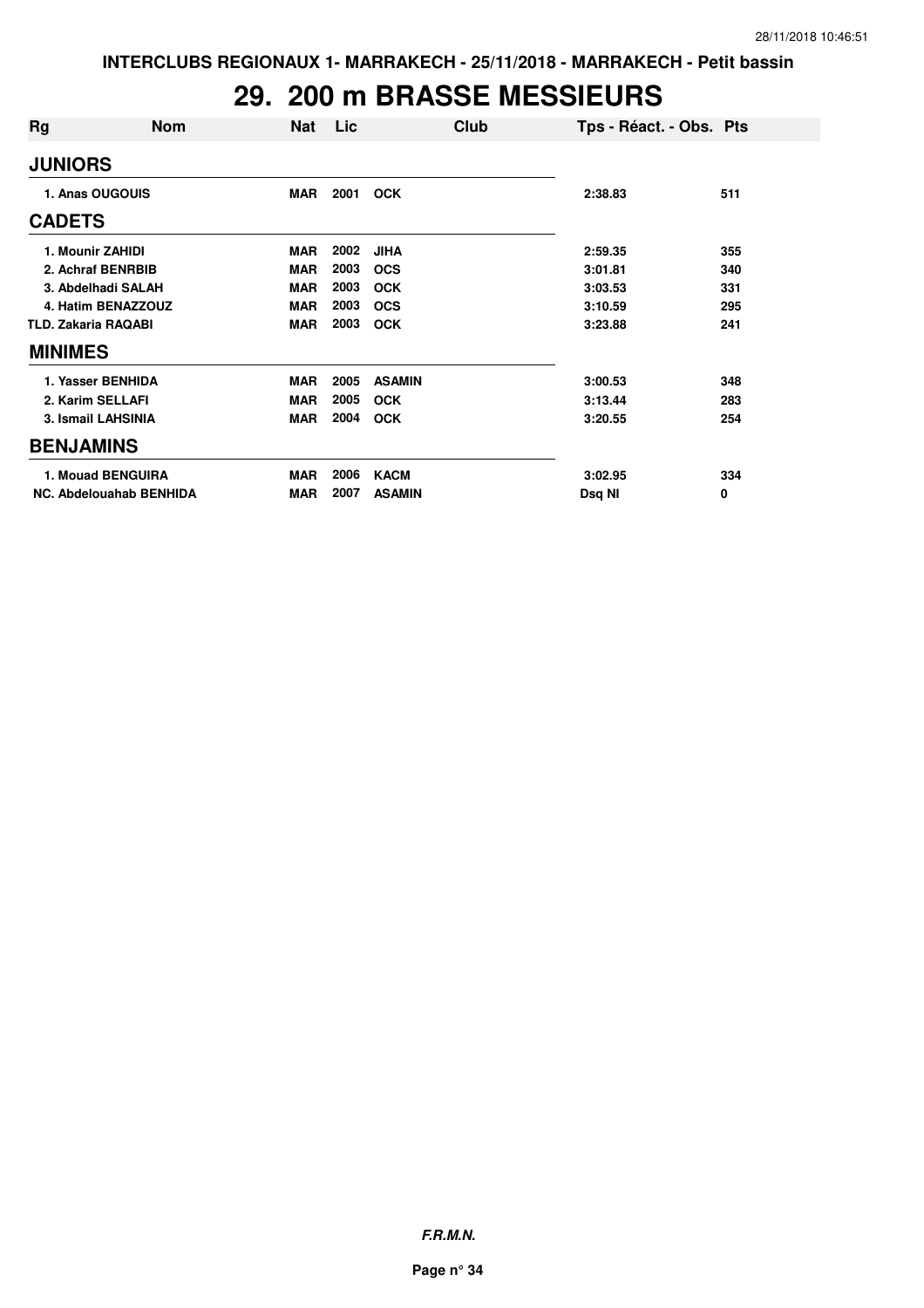#### **29. 200 m BRASSE MESSIEURS**

| Rg                         | <b>Nom</b>                     | <b>Nat</b> | Lic. | Club          | Tps - Réact. - Obs. Pts |     |
|----------------------------|--------------------------------|------------|------|---------------|-------------------------|-----|
| <b>JUNIORS</b>             |                                |            |      |               |                         |     |
|                            | 1. Anas OUGOUIS                | <b>MAR</b> | 2001 | <b>OCK</b>    | 2:38.83                 | 511 |
| <b>CADETS</b>              |                                |            |      |               |                         |     |
|                            | 1. Mounir ZAHIDI               | <b>MAR</b> | 2002 | <b>JIHA</b>   | 2:59.35                 | 355 |
|                            | 2. Achraf BENRBIB              | <b>MAR</b> | 2003 | <b>OCS</b>    | 3:01.81                 | 340 |
|                            | 3. Abdelhadi SALAH             | <b>MAR</b> | 2003 | <b>OCK</b>    | 3:03.53                 | 331 |
|                            | 4. Hatim BENAZZOUZ             | <b>MAR</b> | 2003 | <b>OCS</b>    | 3:10.59                 | 295 |
| <b>TLD. Zakaria RAQABI</b> |                                | <b>MAR</b> | 2003 | <b>OCK</b>    | 3:23.88                 | 241 |
| <b>MINIMES</b>             |                                |            |      |               |                         |     |
|                            | 1. Yasser BENHIDA              | <b>MAR</b> | 2005 | <b>ASAMIN</b> | 3:00.53                 | 348 |
|                            | 2. Karim SELLAFI               | <b>MAR</b> | 2005 | <b>OCK</b>    | 3:13.44                 | 283 |
|                            | 3. Ismail LAHSINIA             | <b>MAR</b> | 2004 | <b>OCK</b>    | 3:20.55                 | 254 |
| <b>BENJAMINS</b>           |                                |            |      |               |                         |     |
|                            | <b>1. Mouad BENGUIRA</b>       | <b>MAR</b> | 2006 | <b>KACM</b>   | 3:02.95                 | 334 |
|                            | <b>NC. Abdelouahab BENHIDA</b> | <b>MAR</b> | 2007 | <b>ASAMIN</b> | Dsq NI                  | 0   |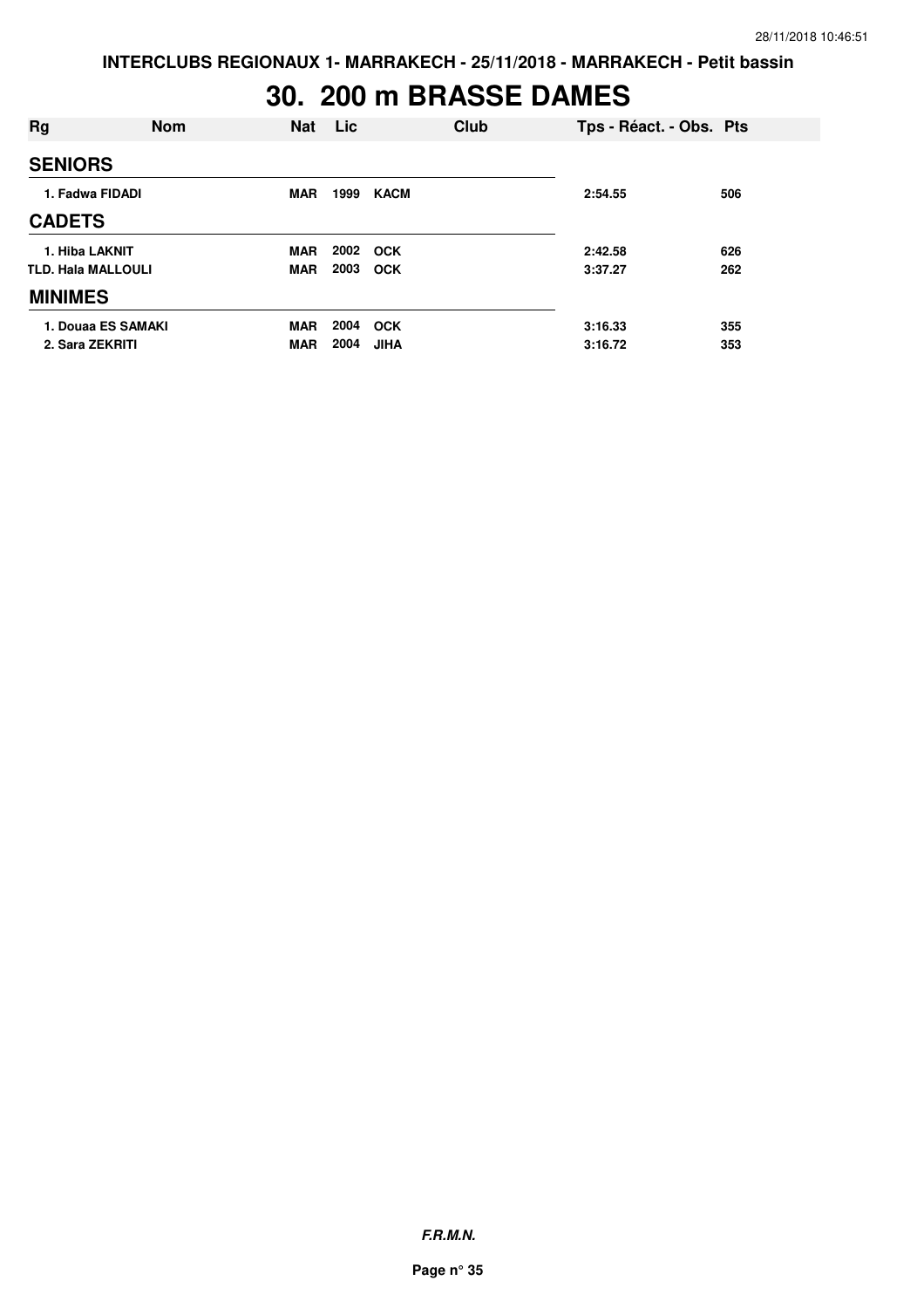# **30. 200 m BRASSE DAMES**

| <b>Rg</b>                 | <b>Nom</b> | Nat        | Lic  |             | <b>Club</b> | Tps - Réact. - Obs. Pts |     |
|---------------------------|------------|------------|------|-------------|-------------|-------------------------|-----|
| <b>SENIORS</b>            |            |            |      |             |             |                         |     |
| 1. Fadwa FIDADI           |            | <b>MAR</b> | 1999 | <b>KACM</b> |             | 2:54.55                 | 506 |
| <b>CADETS</b>             |            |            |      |             |             |                         |     |
| 1. Hiba LAKNIT            |            | <b>MAR</b> | 2002 | <b>OCK</b>  |             | 2:42.58                 | 626 |
| <b>TLD. Hala MALLOULI</b> |            | <b>MAR</b> | 2003 | <b>OCK</b>  |             | 3:37.27                 | 262 |
| <b>MINIMES</b>            |            |            |      |             |             |                         |     |
| 1. Douaa ES SAMAKI        |            | <b>MAR</b> | 2004 | <b>OCK</b>  |             | 3:16.33                 | 355 |
| 2. Sara ZEKRITI           |            | <b>MAR</b> | 2004 | JIHA        |             | 3:16.72                 | 353 |

**F.R.M.N.**

**Page n° 35**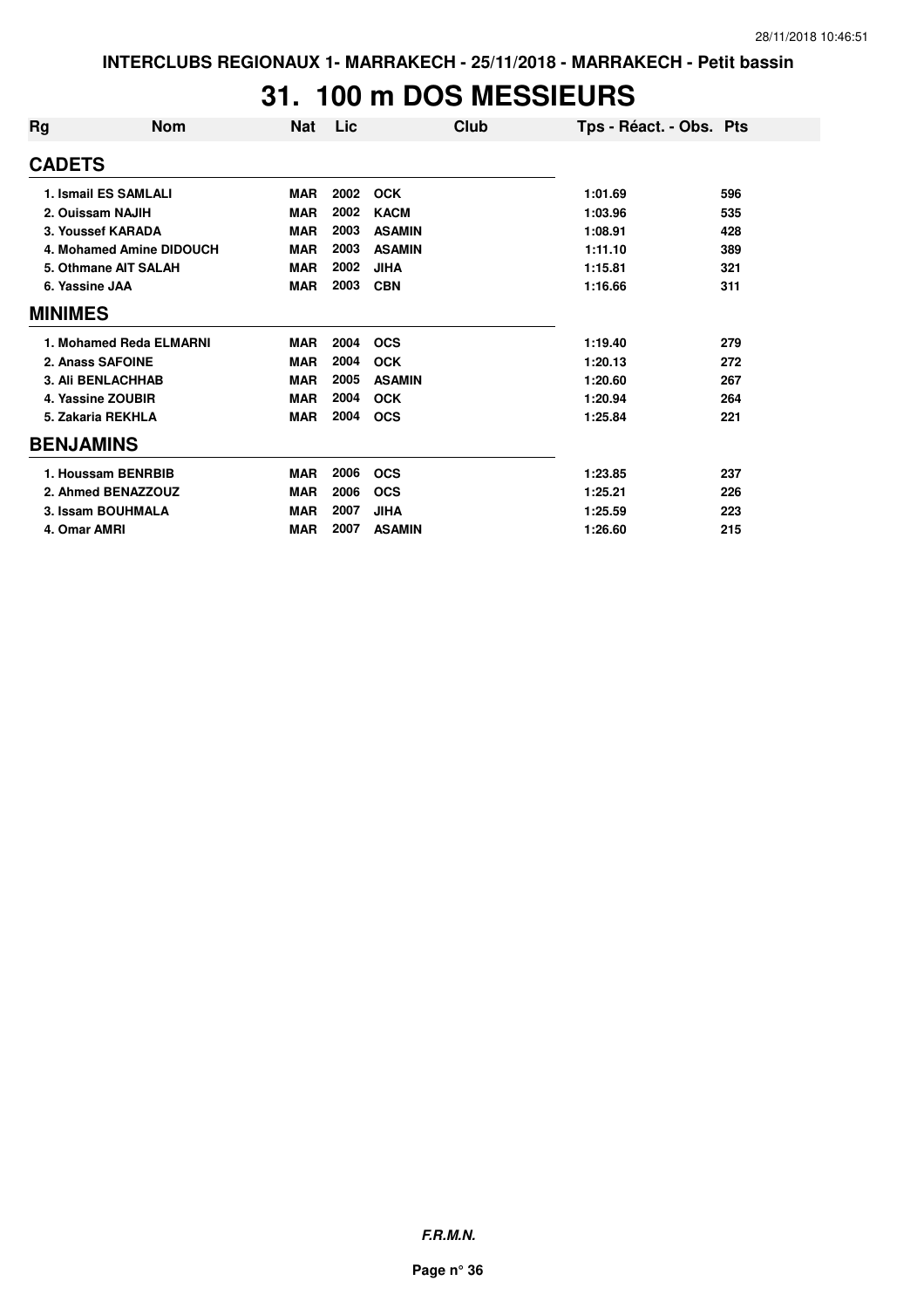#### **31. 100 m DOS MESSIEURS**

| Rg               | <b>Nom</b>               | <b>Nat</b> | Lic  | Club          | Tps - Réact. - Obs. Pts |     |
|------------------|--------------------------|------------|------|---------------|-------------------------|-----|
| <b>CADETS</b>    |                          |            |      |               |                         |     |
|                  | 1. Ismail ES SAMLALI     | <b>MAR</b> | 2002 | <b>OCK</b>    | 1:01.69                 | 596 |
|                  | 2. Ouissam NAJIH         | <b>MAR</b> | 2002 | <b>KACM</b>   | 1:03.96                 | 535 |
|                  | 3. Youssef KARADA        | <b>MAR</b> | 2003 | <b>ASAMIN</b> | 1:08.91                 | 428 |
|                  | 4. Mohamed Amine DIDOUCH | <b>MAR</b> | 2003 | <b>ASAMIN</b> | 1:11.10                 | 389 |
|                  | 5. Othmane AIT SALAH     | <b>MAR</b> | 2002 | <b>JIHA</b>   | 1:15.81                 | 321 |
| 6. Yassine JAA   |                          | <b>MAR</b> | 2003 | <b>CBN</b>    | 1:16.66                 | 311 |
| <b>MINIMES</b>   |                          |            |      |               |                         |     |
|                  | 1. Mohamed Reda ELMARNI  | <b>MAR</b> | 2004 | <b>OCS</b>    | 1:19.40                 | 279 |
|                  | 2. Anass SAFOINE         | <b>MAR</b> | 2004 | <b>OCK</b>    | 1:20.13                 | 272 |
|                  | <b>3. Ali BENLACHHAB</b> | <b>MAR</b> | 2005 | <b>ASAMIN</b> | 1:20.60                 | 267 |
|                  | 4. Yassine ZOUBIR        | <b>MAR</b> | 2004 | <b>OCK</b>    | 1:20.94                 | 264 |
|                  | 5. Zakaria REKHLA        | <b>MAR</b> | 2004 | <b>OCS</b>    | 1:25.84                 | 221 |
| <b>BENJAMINS</b> |                          |            |      |               |                         |     |
|                  | 1. Houssam BENRBIB       | <b>MAR</b> | 2006 | <b>OCS</b>    | 1:23.85                 | 237 |
|                  | 2. Ahmed BENAZZOUZ       | <b>MAR</b> | 2006 | <b>OCS</b>    | 1:25.21                 | 226 |
|                  | 3. Issam BOUHMALA        | <b>MAR</b> | 2007 | <b>JIHA</b>   | 1:25.59                 | 223 |
| 4. Omar AMRI     |                          | <b>MAR</b> | 2007 | <b>ASAMIN</b> | 1:26.60                 | 215 |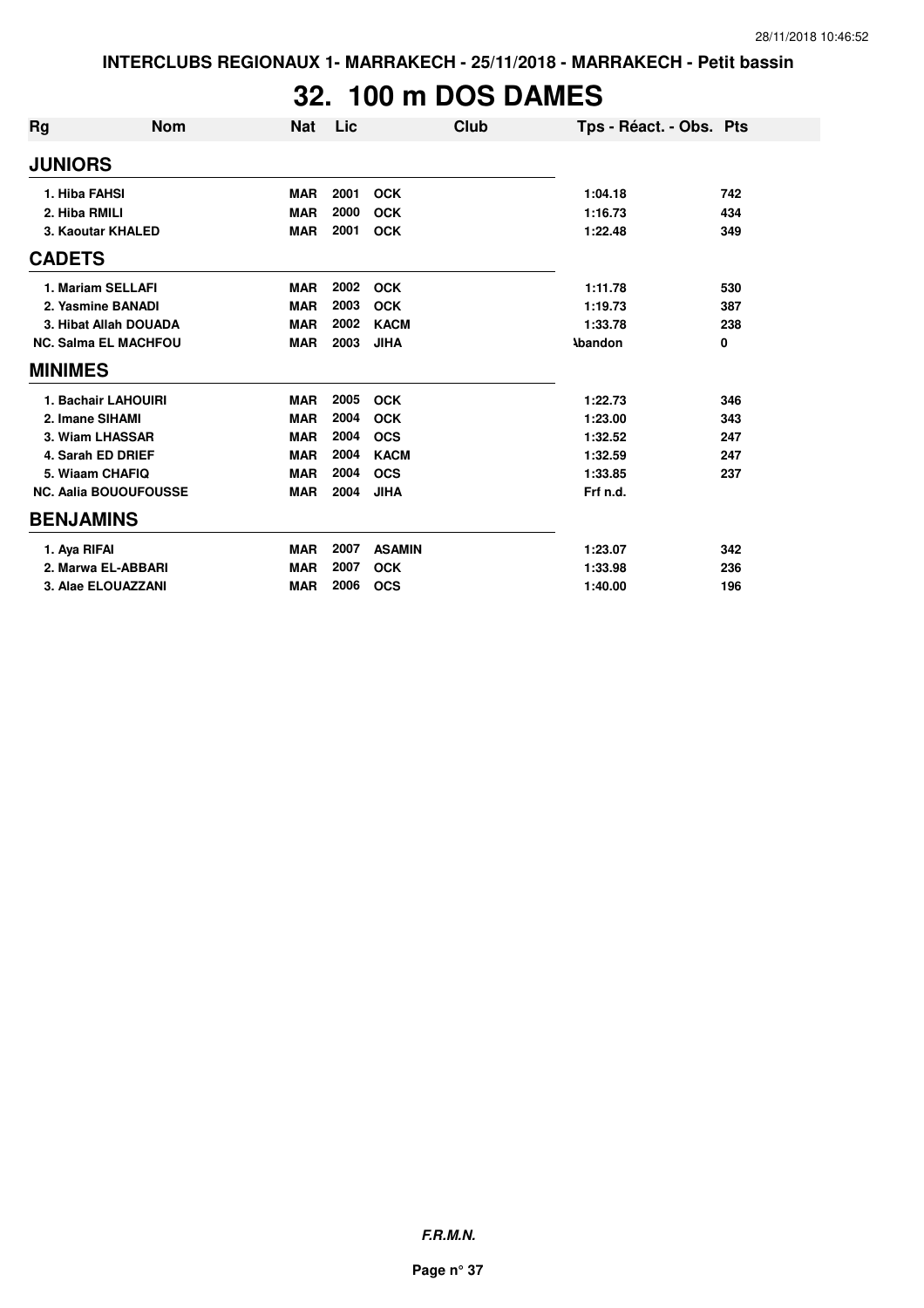# **32. 100 m DOS DAMES**

| Rg                           | <b>Nom</b>          | <b>Nat</b> | Lic  | Club          | Tps - Réact. - Obs. Pts |     |
|------------------------------|---------------------|------------|------|---------------|-------------------------|-----|
| <b>JUNIORS</b>               |                     |            |      |               |                         |     |
| 1. Hiba FAHSI                |                     | <b>MAR</b> | 2001 | <b>OCK</b>    | 1:04.18                 | 742 |
| 2. Hiba RMILI                |                     | <b>MAR</b> | 2000 | <b>OCK</b>    | 1:16.73                 | 434 |
| 3. Kaoutar KHALED            |                     | <b>MAR</b> | 2001 | <b>OCK</b>    | 1:22.48                 | 349 |
| <b>CADETS</b>                |                     |            |      |               |                         |     |
| 1. Mariam SELLAFI            |                     | <b>MAR</b> | 2002 | <b>OCK</b>    | 1:11.78                 | 530 |
| 2. Yasmine BANADI            |                     | <b>MAR</b> | 2003 | <b>OCK</b>    | 1:19.73                 | 387 |
| 3. Hibat Allah DOUADA        |                     | <b>MAR</b> | 2002 | <b>KACM</b>   | 1:33.78                 | 238 |
| <b>NC. Salma EL MACHFOU</b>  |                     | <b>MAR</b> | 2003 | <b>JIHA</b>   | <b>Abandon</b>          | 0   |
| <b>MINIMES</b>               |                     |            |      |               |                         |     |
|                              | 1. Bachair LAHOUIRI | <b>MAR</b> | 2005 | <b>OCK</b>    | 1:22.73                 | 346 |
|                              | 2. Imane SIHAMI     | <b>MAR</b> | 2004 | <b>OCK</b>    | 1:23.00                 | 343 |
|                              | 3. Wiam LHASSAR     | <b>MAR</b> | 2004 | <b>OCS</b>    | 1:32.52                 | 247 |
|                              | 4. Sarah ED DRIEF   | <b>MAR</b> | 2004 | <b>KACM</b>   | 1:32.59                 | 247 |
|                              | 5. Wiaam CHAFIQ     | <b>MAR</b> | 2004 | <b>OCS</b>    | 1:33.85                 | 237 |
| <b>NC. Aalia BOUOUFOUSSE</b> |                     | <b>MAR</b> | 2004 | <b>JIHA</b>   | Frf n.d.                |     |
| <b>BENJAMINS</b>             |                     |            |      |               |                         |     |
| 1. Ava RIFAI                 |                     | <b>MAR</b> | 2007 | <b>ASAMIN</b> | 1:23.07                 | 342 |
| 2. Marwa EL-ABBARI           |                     | <b>MAR</b> | 2007 | <b>OCK</b>    | 1:33.98                 | 236 |
| 3. Alae ELOUAZZANI           |                     | <b>MAR</b> | 2006 | <b>OCS</b>    | 1:40.00                 | 196 |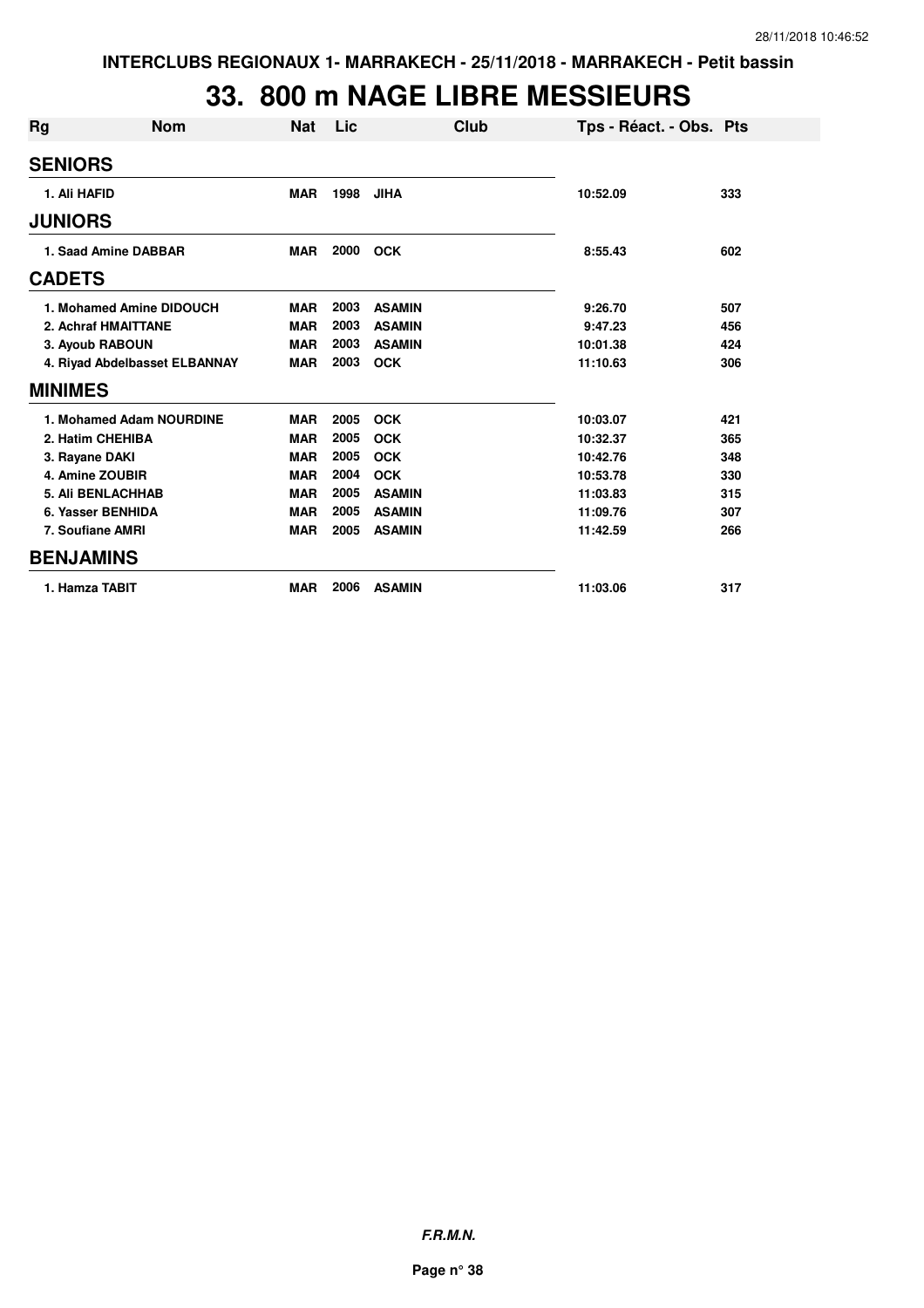### **33. 800 m NAGE LIBRE MESSIEURS**

| Rg                            | <b>Nom</b>               | <b>Nat</b> | Lic  | Club          | Tps - Réact. - Obs. Pts |     |
|-------------------------------|--------------------------|------------|------|---------------|-------------------------|-----|
| <b>SENIORS</b>                |                          |            |      |               |                         |     |
| 1. Ali HAFID                  |                          | <b>MAR</b> | 1998 | <b>JIHA</b>   | 10:52.09                | 333 |
| <b>JUNIORS</b>                |                          |            |      |               |                         |     |
| 1. Saad Amine DABBAR          |                          | <b>MAR</b> | 2000 | <b>OCK</b>    | 8:55.43                 | 602 |
| <b>CADETS</b>                 |                          |            |      |               |                         |     |
| 1. Mohamed Amine DIDOUCH      |                          | <b>MAR</b> | 2003 | <b>ASAMIN</b> | 9:26.70                 | 507 |
| 2. Achraf HMAITTANE           |                          | <b>MAR</b> | 2003 | <b>ASAMIN</b> | 9:47.23                 | 456 |
| 3. Ayoub RABOUN               |                          | <b>MAR</b> | 2003 | <b>ASAMIN</b> | 10:01.38                | 424 |
| 4. Riyad Abdelbasset ELBANNAY |                          | <b>MAR</b> | 2003 | <b>OCK</b>    | 11:10.63                | 306 |
| <b>MINIMES</b>                |                          |            |      |               |                         |     |
|                               | 1. Mohamed Adam NOURDINE | <b>MAR</b> | 2005 | <b>OCK</b>    | 10:03.07                | 421 |
| 2. Hatim CHEHIBA              |                          | <b>MAR</b> | 2005 | <b>OCK</b>    | 10:32.37                | 365 |
| 3. Rayane DAKI                |                          | <b>MAR</b> | 2005 | <b>OCK</b>    | 10:42.76                | 348 |
| 4. Amine ZOUBIR               |                          | <b>MAR</b> | 2004 | <b>OCK</b>    | 10:53.78                | 330 |
|                               | <b>5. Ali BENLACHHAB</b> | <b>MAR</b> | 2005 | <b>ASAMIN</b> | 11:03.83                | 315 |
| 6. Yasser BENHIDA             |                          | <b>MAR</b> | 2005 | <b>ASAMIN</b> | 11:09.76                | 307 |
|                               | 7. Soufiane AMRI         | <b>MAR</b> | 2005 | <b>ASAMIN</b> | 11:42.59                | 266 |
| <b>BENJAMINS</b>              |                          |            |      |               |                         |     |
|                               | 1. Hamza TABIT           | <b>MAR</b> | 2006 | <b>ASAMIN</b> | 11:03.06                | 317 |